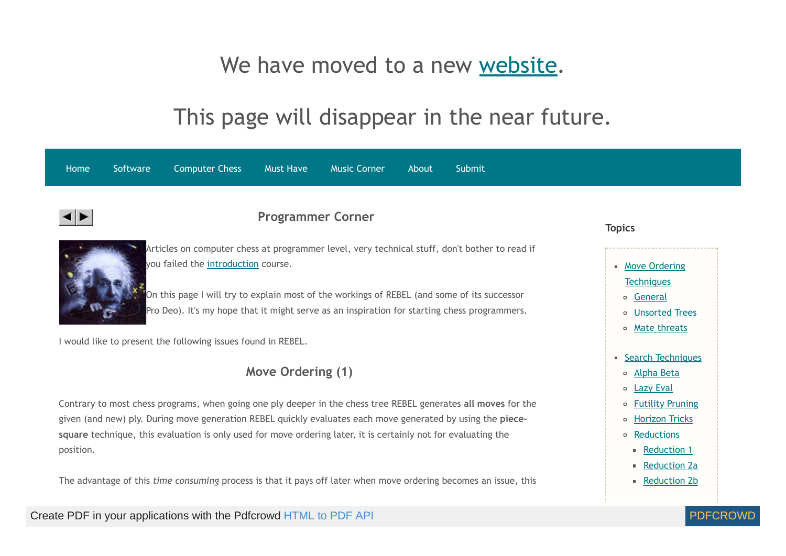# We have moved to a new [website](http://www.rebel13.nl/).

# This page will disappear in the near future.

<span id="page-0-0"></span>

| <b>Computer Chess</b><br>Software<br><b>Must Have</b><br><b>Music Corner</b><br>Submit<br>Home<br>About                                                                                                                                                                                                                                                      |                                                                                                                  |
|--------------------------------------------------------------------------------------------------------------------------------------------------------------------------------------------------------------------------------------------------------------------------------------------------------------------------------------------------------------|------------------------------------------------------------------------------------------------------------------|
| <b>Programmer Corner</b>                                                                                                                                                                                                                                                                                                                                     | <b>Topics</b>                                                                                                    |
| Articles on computer chess at programmer level, very technical stuff, don't bother to read if<br>you failed the introduction course.<br>On this page I will try to explain most of the workings of REBEL (and some of its successor<br>Pro Deo). It's my hope that it might serve as an inspiration for starting chess programmers.                          | • Move Ordering<br><b>Techniques</b><br>o General<br><b>Unsorted Trees</b><br>$\circ$<br>Mate threats<br>$\circ$ |
| I would like to present the following issues found in REBEL.                                                                                                                                                                                                                                                                                                 |                                                                                                                  |
| Move Ordering (1)                                                                                                                                                                                                                                                                                                                                            | <b>Search Techniques</b><br><b>Alpha Beta</b><br>$\circ$<br><b>Lazy Eval</b><br>$\circ$                          |
| Contrary to most chess programs, when going one ply deeper in the chess tree REBEL generates all moves for the<br>given (and new) ply. During move generation REBEL quickly evaluates each move generated by using the piece-<br>square technique, this evaluation is only used for move ordering later, it is certainly not for evaluating the<br>position. | <b>Futility Pruning</b><br>$\circ$<br><b>Horizon Tricks</b><br>$\circ$<br>Reductions<br>$\circ$<br>Reduction 1   |
| The advantage of this time consuming process is that it pays off later when move ordering becomes an issue, this                                                                                                                                                                                                                                             | Reduction 2a<br>Reduction 2b                                                                                     |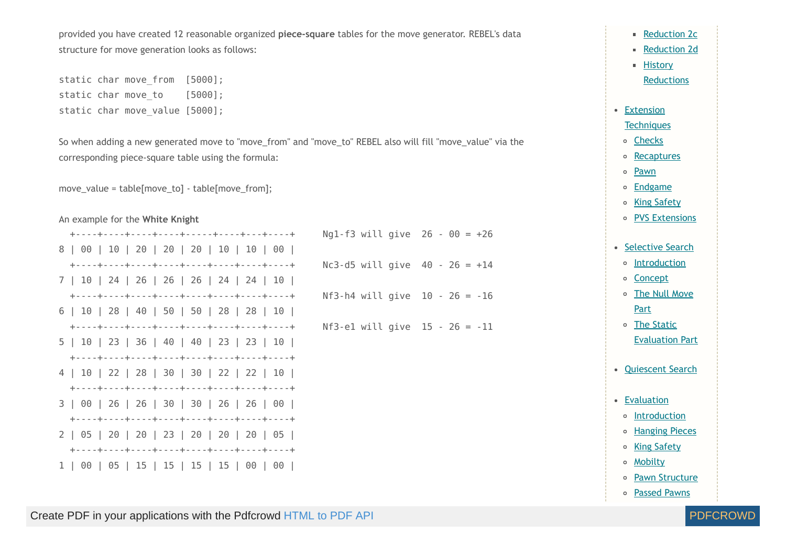provided you have created 12 reasonable organized **piece-square** tables for the move generator. REBEL's data structure for move generation looks as follows:

static char move\_from [5000]; static char move to [5000]; static char move value [5000];

So when adding a new generated move to "move\_from" and "move\_to" REBEL also will fill "move\_value" via the corresponding piece-square table using the formula:

move\_value = table[move\_to] - table[move\_from];

#### An example for the **White Knight**

|                                           | Ng1-f3 will give $26 - 00 = +26$ |  |
|-------------------------------------------|----------------------------------|--|
| 8   00   10   20   20   20   10   10   00 |                                  |  |
|                                           | $Nc3-d5$ will give 40 - 26 = +14 |  |
| 7   10   24   26   26   26   24   24   10 |                                  |  |
|                                           | Nf3-h4 will give $10 - 26 = -16$ |  |
| 6   10   28   40   50   50   28   28   10 |                                  |  |
|                                           | Nf3-e1 will give $15 - 26 = -11$ |  |
| 5   10   23   36   40   40   23   23   10 |                                  |  |
|                                           |                                  |  |
| 4   10   22   28   30   30   22   22   10 |                                  |  |
|                                           |                                  |  |
| 3   00   26   26   30   30   26   26   00 |                                  |  |
|                                           |                                  |  |
| 2   05   20   20   23   20   20   20   05 |                                  |  |
|                                           |                                  |  |
|                                           |                                  |  |

**[Reduction](#page-20-0) 2c [Reduction](#page-20-1) 2d History** 

**[Reductions](http://www.top-5000.nl/authors/rebel/hr.htm)** 

• Extension

**[Techniques](#page-22-0)** 

[Checks](#page-22-0)

o [Recaptures](#page-23-0)

[Pawn](#page-25-0)  $\circ$ 

**[Endgame](#page-25-1)**  $\circ$ 

o King [Safety](#page-26-0)

o PVS [Extensions](#page-26-1)

- [Selective](#page-28-0) Search
- o [Introduction](#page-28-0)

[Concept](#page-29-0)

The Null [Move](#page-32-0) **Part** 

The Static [Evaluation](#page-33-0) Part

- [Quiescent](#page-35-0) Search
- [Evaluation](#page-38-0)
- <sup>o</sup> [Introduction](#page-38-0)
- o [Hanging](#page-40-0) Pieces
- o King [Safety](#page-43-0)
- [Mobilty](#page-49-0)
- o Pawn [Structure](#page-52-0)
- [Passed](#page-56-0) Pawns

Create PDF in your applications with the Pdfcrowd [HTML to PDF API](https://pdfcrowd.com/doc/api/?ref=pdf) [PDFCROWD](https://pdfcrowd.com/?ref=pdf)

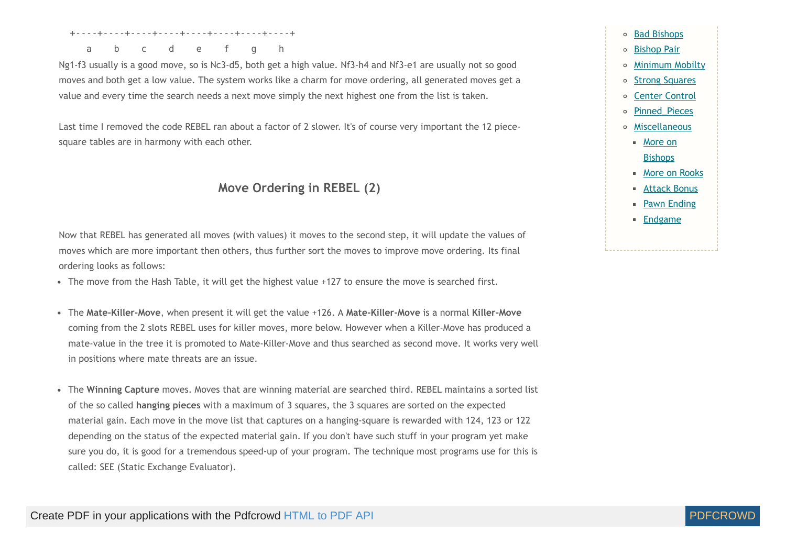+----+----+----+----+----+----+----+----+

a b c d e f g h

Ng1-f3 usually is a good move, so is Nc3-d5, both get a high value. Nf3-h4 and Nf3-e1 are usually not so good moves and both get a low value. The system works like a charm for move ordering, all generated moves get a value and every time the search needs a next move simply the next highest one from the list is taken.

Last time I removed the code REBEL ran about a factor of 2 slower. It's of course very important the 12 piecesquare tables are in harmony with each other.

#### **Move Ordering in REBEL (2)**

Now that REBEL has generated all moves (with values) it moves to the second step, it will update the values of moves which are more important then others, thus further sort the moves to improve move ordering. Its final ordering looks as follows:

• The move from the Hash Table, it will get the highest value +127 to ensure the move is searched first.

- <span id="page-2-0"></span>The **Mate-Killer-Move**, when present it will get the value +126. A **Mate-Killer-Move** is a normal **Killer-Move** coming from the 2 slots REBEL uses for killer moves, more below. However when a Killer-Move has produced a mate-value in the tree it is promoted to Mate-Killer-Move and thus searched as second move. It works very well in positions where mate threats are an issue.
- The **Winning Capture** moves. Moves that are winning material are searched third. REBEL maintains a sorted list of the so called **hanging pieces** with a maximum of 3 squares, the 3 squares are sorted on the expected material gain. Each move in the move list that captures on a hanging-square is rewarded with 124, 123 or 122 depending on the status of the expected material gain. If you don't have such stuff in your program yet make sure you do, it is good for a tremendous speed-up of your program. The technique most programs use for this is called: SEE (Static Exchange Evaluator).

#### Bad [Bishops](#page-63-0) [Bishop](#page-65-0) Pair [Minimum](#page-66-0) Mobilty  $\circ$ **Strong [Squares](#page-67-0)**  $\circ$ Center [Control](#page-68-0)  $\circ$ [Pinned\\_Pieces](#page-69-0)  $\circ$ [Miscellaneous](#page-70-0)  $\circ$ More on **[Bishops](#page-70-0)** ■ More on [Rooks](#page-71-0) ■ [Attack](#page-73-0) Bonus **Pawn [Ending](#page-74-0) [Endgame](#page-74-1)**

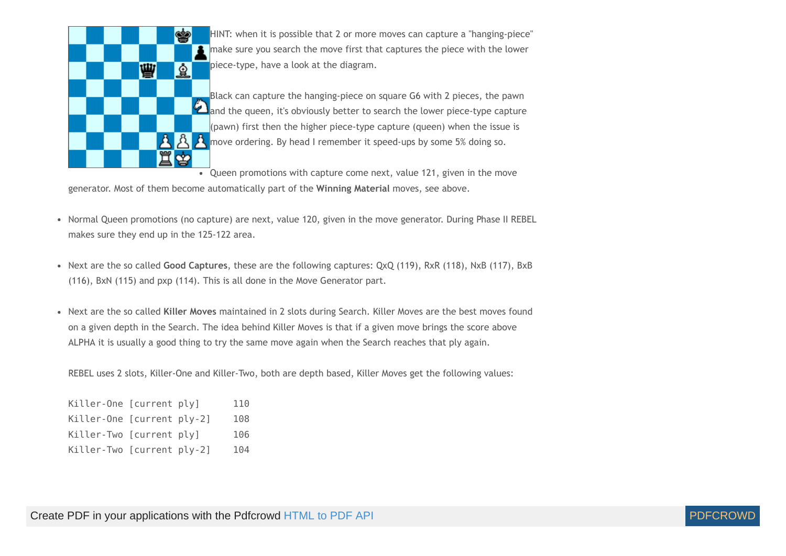

HINT: when it is possible that 2 or more moves can capture a "hanging-piece" make sure you search the move first that captures the piece with the lower piece-type, have a look at the diagram.

Black can capture the hanging-piece on square G6 with 2 pieces, the pawn and the queen, it's obviously better to search the lower piece-type capture (pawn) first then the higher piece-type capture (queen) when the issue is  $\mathbf{A}$  move ordering. By head I remember it speed-ups by some 5% doing so.

• Queen promotions with capture come next, value 121, given in the move generator. Most of them become automatically part of the **Winning Material** moves, see above.

- Normal Queen promotions (no capture) are next, value 120, given in the move generator. During Phase II REBEL makes sure they end up in the 125-122 area.
- Next are the so called **Good Captures**, these are the following captures: QxQ (119), RxR (118), NxB (117), BxB (116), BxN (115) and pxp (114). This is all done in the Move Generator part.
- Next are the so called **Killer Moves** maintained in 2 slots during Search. Killer Moves are the best moves found on a given depth in the Search. The idea behind Killer Moves is that if a given move brings the score above ALPHA it is usually a good thing to try the same move again when the Search reaches that ply again.

REBEL uses 2 slots, Killer-One and Killer-Two, both are depth based, Killer Moves get the following values:

| Killer-One [current ply]   |  | 110 |
|----------------------------|--|-----|
| Killer-One [current ply-2] |  | 108 |
| Killer-Two [current ply]   |  | 106 |
| Killer-Two [current ply-2] |  | 104 |

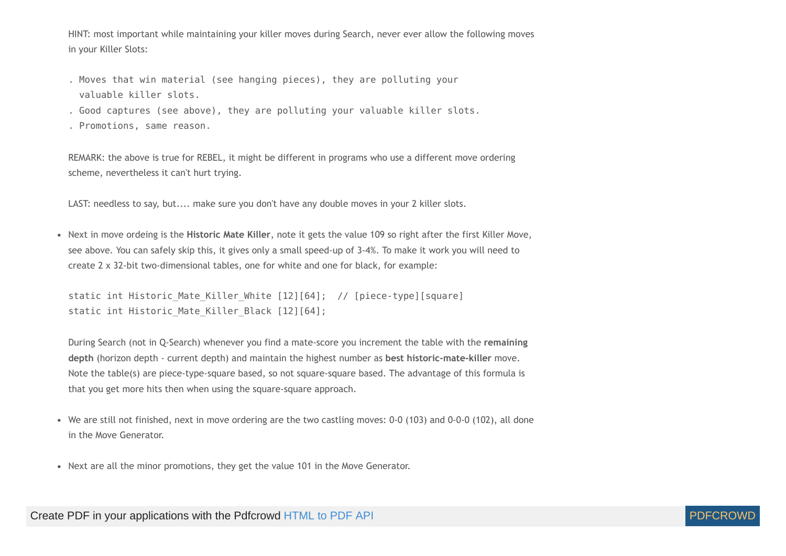HINT: most important while maintaining your killer moves during Search, never ever allow the following moves in your Killer Slots:

- . Moves that win material (see hanging pieces), they are polluting your valuable killer slots.
- . Good captures (see above), they are polluting your valuable killer slots. . Promotions, same reason.

REMARK: the above is true for REBEL, it might be different in programs who use a different move ordering scheme, nevertheless it can't hurt trying.

LAST: needless to say, but.... make sure you don't have any double moves in your 2 killer slots.

Next in move ordeing is the **Historic Mate Killer**, note it gets the value 109 so right after the first Killer Move, see above. You can safely skip this, it gives only a small speed-up of 3-4%. To make it work you will need to create 2 x 32-bit two-dimensional tables, one for white and one for black, for example:

```
static int Historic Mate Killer White [12][64]; // [piece-type][square]
static int Historic_Mate_Killer Black [12][64];
```
During Search (not in Q-Search) whenever you find a mate-score you increment the table with the **remaining depth** (horizon depth - current depth) and maintain the highest number as **best historic-mate-killer** move. Note the table(s) are piece-type-square based, so not square-square based. The advantage of this formula is that you get more hits then when using the square-square approach.

- We are still not finished, next in move ordering are the two castling moves: 0-0 (103) and 0-0-0 (102), all done in the Move Generator.
- Next are all the minor promotions, they get the value 101 in the Move Generator.

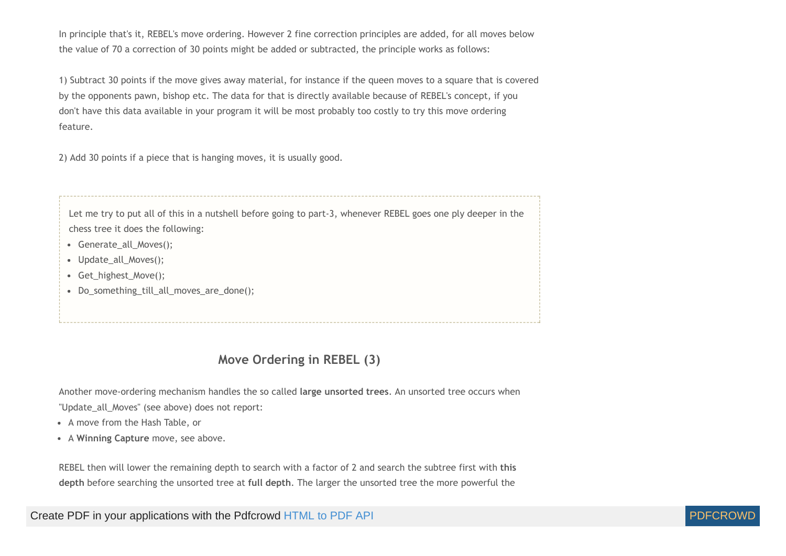In principle that's it, REBEL's move ordering. However 2 fine correction principles are added, for all moves below the value of 70 a correction of 30 points might be added or subtracted, the principle works as follows:

1) Subtract 30 points if the move gives away material, for instance if the queen moves to a square that is covered by the opponents pawn, bishop etc. The data for that is directly available because of REBEL's concept, if you don't have this data available in your program it will be most probably too costly to try this move ordering feature.

2) Add 30 points if a piece that is hanging moves, it is usually good.

Let me try to put all of this in a nutshell before going to part-3, whenever REBEL goes one ply deeper in the chess tree it does the following:

- Generate all Moves():
- Update\_all\_Moves();
- Get\_highest\_Move();
- <span id="page-5-0"></span>Do\_something\_till\_all\_moves\_are\_done();

# **Move Ordering in REBEL (3)**

Another move-ordering mechanism handles the so called **large unsorted trees**. An unsorted tree occurs when

"Update all Moves" (see above) does not report:

- A move from the Hash Table, or
- A **Winning Capture** move, see above.

REBEL then will lower the remaining depth to search with a factor of 2 and search the subtree first with **this depth** before searching the unsorted tree at **full depth**. The larger the unsorted tree the more powerful the

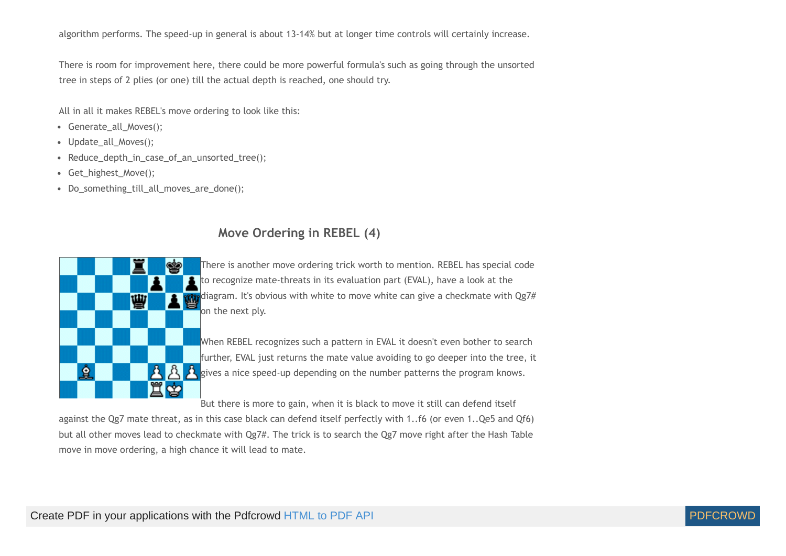algorithm performs. The speed-up in general is about 13-14% but at longer time controls will certainly increase.

There is room for improvement here, there could be more powerful formula's such as going through the unsorted tree in steps of 2 plies (or one) till the actual depth is reached, one should try.

All in all it makes REBEL's move ordering to look like this:

- Generate all Moves();
- Update\_all\_Moves();
- Reduce\_depth\_in\_case\_of\_an\_unsorted\_tree();
- Get highest Move();
- <span id="page-6-0"></span>Do\_something\_till\_all\_moves\_are\_done();

# **Move Ordering in REBEL (4)**



There is another move ordering trick worth to mention. REBEL has special code to recognize mate-threats in its evaluation part (EVAL), have a look at the diagram. It's obvious with white to move white can give a checkmate with Qg7# on the next ply.

When REBEL recognizes such a pattern in EVAL it doesn't even bother to search further, EVAL just returns the mate value avoiding to go deeper into the tree, it gives a nice speed-up depending on the number patterns the program knows.

But there is more to gain, when it is black to move it still can defend itself

against the Qg7 mate threat, as in this case black can defend itself perfectly with 1..f6 (or even 1..Qe5 and Qf6) but all other moves lead to checkmate with Qg7#. The trick is to search the Qg7 move right after the Hash Table move in move ordering, a high chance it will lead to mate.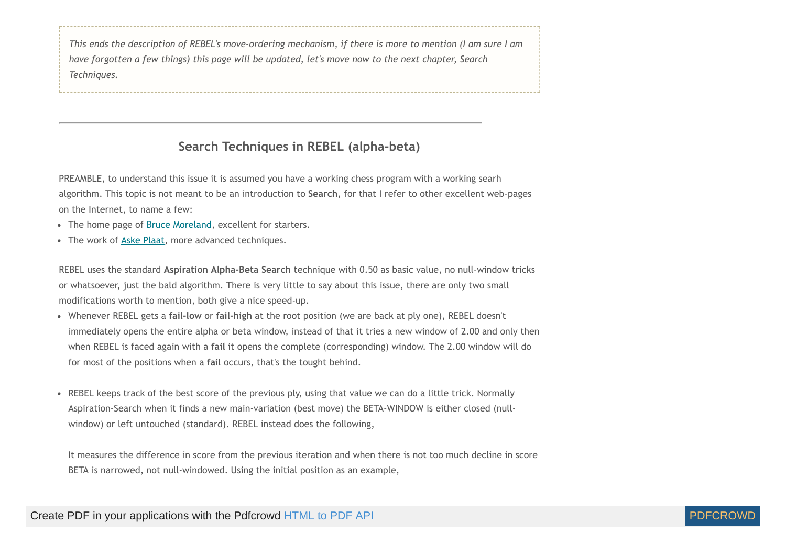This ends the description of REBEL's move-ordering mechanism, if there is more to mention (I am sure I am *have forgotten a few things) this page will be updated, let's move now to the next chapter, Search Techniques.*

# **Search Techniques in REBEL (alpha-beta)**

<span id="page-7-0"></span>PREAMBLE, to understand this issue it is assumed you have a working chess program with a working searh algorithm. This topic is not meant to be an introduction to **Search**, for that I refer to other excellent web-pages on the Internet, to name a few:

- The home page of **Bruce Moreland**, excellent for starters.
- The work of Aske [Plaat](http://www.xs4all.nl/~aske/pubs.html), more advanced techniques.

REBEL uses the standard **Aspiration Alpha-Beta Search** technique with 0.50 as basic value, no null-window tricks or whatsoever, just the bald algorithm. There is very little to say about this issue, there are only two small modifications worth to mention, both give a nice speed-up.

- Whenever REBEL gets a **fail-low** or **fail-high** at the root position (we are back at ply one), REBEL doesn't immediately opens the entire alpha or beta window, instead of that it tries a new window of 2.00 and only then when REBEL is faced again with a **fail** it opens the complete (corresponding) window. The 2.00 window will do for most of the positions when a **fail** occurs, that's the tought behind.
- REBEL keeps track of the best score of the previous ply, using that value we can do a little trick. Normally Aspiration-Search when it finds a new main-variation (best move) the BETA-WINDOW is either closed (nullwindow) or left untouched (standard). REBEL instead does the following,

It measures the difference in score from the previous iteration and when there is not too much decline in score BETA is narrowed, not null-windowed. Using the initial position as an example,

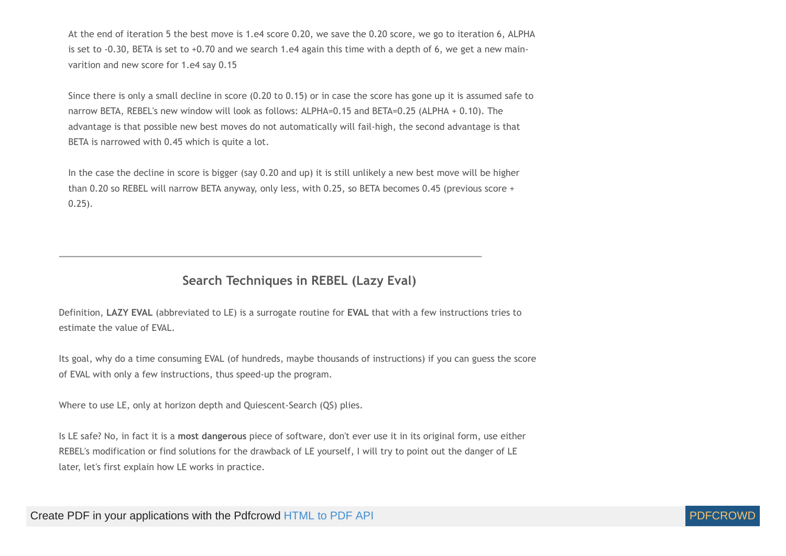At the end of iteration 5 the best move is 1.e4 score 0.20, we save the 0.20 score, we go to iteration 6, ALPHA is set to -0.30, BETA is set to  $+0.70$  and we search 1.e4 again this time with a depth of 6, we get a new mainvarition and new score for 1.e4 say 0.15

Since there is only a small decline in score (0.20 to 0.15) or in case the score has gone up it is assumed safe to narrow BETA, REBEL's new window will look as follows: ALPHA=0.15 and BETA=0.25 (ALPHA + 0.10). The advantage is that possible new best moves do not automatically will fail-high, the second advantage is that BETA is narrowed with 0.45 which is quite a lot.

In the case the decline in score is bigger (say 0.20 and up) it is still unlikely a new best move will be higher than 0.20 so REBEL will narrow BETA anyway, only less, with 0.25, so BETA becomes 0.45 (previous score + 0.25).

# **Search Techniques in REBEL (Lazy Eval)**

<span id="page-8-0"></span>Definition, **LAZY EVAL** (abbreviated to LE) is a surrogate routine for **EVAL** that with a few instructions tries to estimate the value of EVAL.

Its goal, why do a time consuming EVAL (of hundreds, maybe thousands of instructions) if you can guess the score of EVAL with only a few instructions, thus speed-up the program.

Where to use LE, only at horizon depth and Quiescent-Search (QS) plies.

Is LE safe? No, in fact it is a **most dangerous** piece of software, don't ever use it in its original form, use either REBEL's modification or find solutions for the drawback of LE yourself, I will try to point out the danger of LE later, let's first explain how LE works in practice.

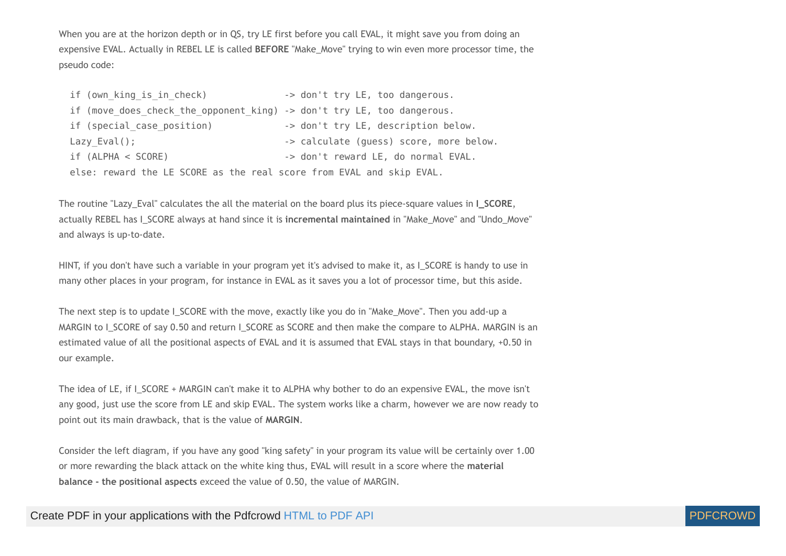When you are at the horizon depth or in QS, try LE first before you call EVAL, it might save you from doing an expensive EVAL. Actually in REBEL LE is called **BEFORE** "Make\_Move" trying to win even more processor time, the pseudo code:

| if (own king is in check)                                              | -> don't try LE, too dangerous.         |
|------------------------------------------------------------------------|-----------------------------------------|
| if (move does check the opponent king) -> don't try LE, too dangerous. |                                         |
| if (special case position)                                             | -> don't try LE, description below.     |
| Lazy $Eval()$ ;                                                        | -> calculate (guess) score, more below. |
| if (ALPHA < SCORE)                                                     | -> don't reward LE, do normal EVAL.     |
| else: reward the LE SCORE as the real score from EVAL and skip EVAL.   |                                         |

<span id="page-9-0"></span>The routine "Lazy\_Eval" calculates the all the material on the board plus its piece-square values in **I\_SCORE**, actually REBEL has I\_SCORE always at hand since it is **incremental maintained** in "Make\_Move" and "Undo\_Move" and always is up-to-date.

HINT, if you don't have such a variable in your program yet it's advised to make it, as I\_SCORE is handy to use in many other places in your program, for instance in EVAL as it saves you a lot of processor time, but this aside.

The next step is to update I\_SCORE with the move, exactly like you do in "Make\_Move". Then you add-up a MARGIN to I\_SCORE of say 0.50 and return I\_SCORE as SCORE and then make the compare to ALPHA. MARGIN is an estimated value of all the positional aspects of EVAL and it is assumed that EVAL stays in that boundary, +0.50 in our example.

The idea of LE, if I\_SCORE + MARGIN can't make it to ALPHA why bother to do an expensive EVAL, the move isn't any good, just use the score from LE and skip EVAL. The system works like a charm, however we are now ready to point out its main drawback, that is the value of **MARGIN**.

Consider the left diagram, if you have any good "king safety" in your program its value will be certainly over 1.00 or more rewarding the black attack on the white king thus, EVAL will result in a score where the **material balance - the positional aspects** exceed the value of 0.50, the value of MARGIN.

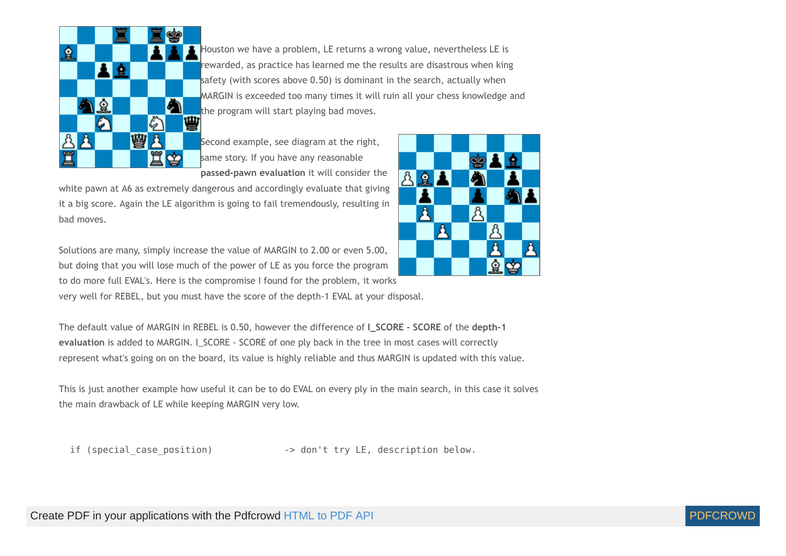

Houston we have a problem, LE returns a wrong value, nevertheless LE is rewarded, as practice has learned me the results are disastrous when king safety (with scores above 0.50) is dominant in the search, actually when MARGIN is exceeded too many times it will ruin all your chess knowledge and the program will start playing bad moves.<br> $\mathbf{W}$ 

Second example, see diagram at the right, same story. If you have any reasonable **passed-pawn evaluation** it will consider the

white pawn at A6 as extremely dangerous and accordingly evaluate that giving it a big score. Again the LE algorithm is going to fail tremendously, resulting in bad moves.

Solutions are many, simply increase the value of MARGIN to 2.00 or even 5.00, but doing that you will lose much of the power of LE as you force the program to do more full EVAL's. Here is the compromise I found for the problem, it works very well for REBEL, but you must have the score of the depth-1 EVAL at your disposal.

The default value of MARGIN in REBEL is 0.50, however the difference of **I\_SCORE - SCORE** of the **depth-1** evaluation is added to MARGIN. I\_SCORE - SCORE of one ply back in the tree in most cases will correctly represent what's going on on the board, its value is highly reliable and thus MARGIN is updated with this value.

This is just another example how useful it can be to do EVAL on every ply in the main search, in this case it solves the main drawback of LE while keeping MARGIN very low.

if (special case position) -> don't try LE, description below.



А

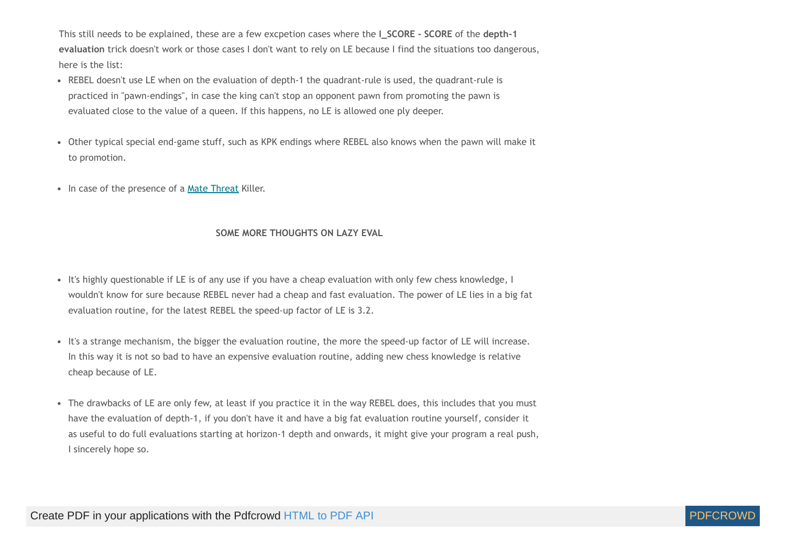This still needs to be explained, these are a few excpetion cases where the **I\_SCORE - SCORE** of the **depth-1 evaluation** trick doesn't work or those cases I don't want to rely on LE because I find the situations too dangerous, here is the list:

- REBEL doesn't use LE when on the evaluation of depth-1 the quadrant-rule is used, the quadrant-rule is practiced in "pawn-endings", in case the king can't stop an opponent pawn from promoting the pawn is evaluated close to the value of a queen. If this happens, no LE is allowed one ply deeper.
- Other typical special end-game stuff, such as KPK endings where REBEL also knows when the pawn will make it to promotion.
- In case of the presence of a Mate [Threat](#page-6-0) Killer.

#### **SOME MORE THOUGHTS ON LAZY EVAL**

- It's highly questionable if LE is of any use if you have a cheap evaluation with only few chess knowledge, I wouldn't know for sure because REBEL never had a cheap and fast evaluation. The power of LE lies in a big fat evaluation routine, for the latest REBEL the speed-up factor of LE is 3.2.
- It's a strange mechanism, the bigger the evaluation routine, the more the speed-up factor of LE will increase. In this way it is not so bad to have an expensive evaluation routine, adding new chess knowledge is relative cheap because of LE.
- The drawbacks of LE are only few, at least if you practice it in the way REBEL does, this includes that you must have the evaluation of depth-1, if you don't have it and have a big fat evaluation routine yourself, consider it as useful to do full evaluations starting at horizon-1 depth and onwards, it might give your program a real push, I sincerely hope so.

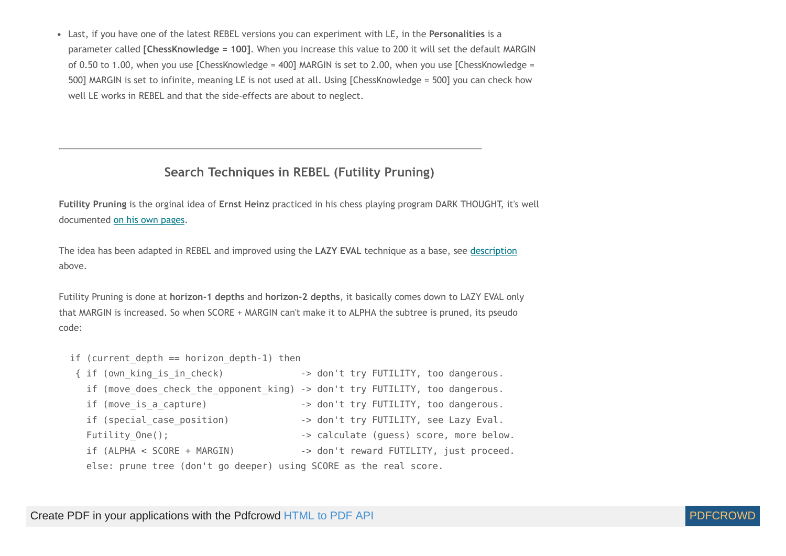Last, if you have one of the latest REBEL versions you can experiment with LE, in the **Personalities** is a parameter called **[ChessKnowledge = 100]**. When you increase this value to 200 it will set the default MARGIN of 0.50 to 1.00, when you use [ChessKnowledge = 400] MARGIN is set to 2.00, when you use [ChessKnowledge = 500] MARGIN is set to infinite, meaning LE is not used at all. Using [ChessKnowledge = 500] you can check how well LE works in REBEL and that the side-effects are about to neglect.

## **Search Techniques in REBEL (Futility Pruning)**

<span id="page-12-0"></span>**Futility Pruning** is the orginal idea of **Ernst Heinz** practiced in his chess playing program DARK THOUGHT, it's well documented on his own [pages.](http://supertech.lcs.mit.edu/~heinz/dt/node18.html)

The idea has been adapted in REBEL and improved using the **LAZY EVAL** technique as a base, see [description](#page-8-0) above.

Futility Pruning is done at **horizon-1 depths** and **horizon-2 depths**, it basically comes down to LAZY EVAL only that MARGIN is increased. So when SCORE + MARGIN can't make it to ALPHA the subtree is pruned, its pseudo code:

if (current depth  $==$  horizon depth-1) then

```
{ if (own king is in check) -> don't try FUTILITY, too dangerous.
  if (move does check the opponent king) -> don't try FUTILITY, too dangerous.
  if (move is a capture) -> don't try FUTILITY, too dangerous.
  if (special case position) -> don't try FUTILITY, see Lazy Eval.
  Futility One(); \qquad \qquad -\geq calculate (guess) score, more below.
 if (ALPHA < SCORE + MARGIN) -> don't reward FUTILITY, just proceed.
   else: prune tree (don't go deeper) using SCORE as the real score.
```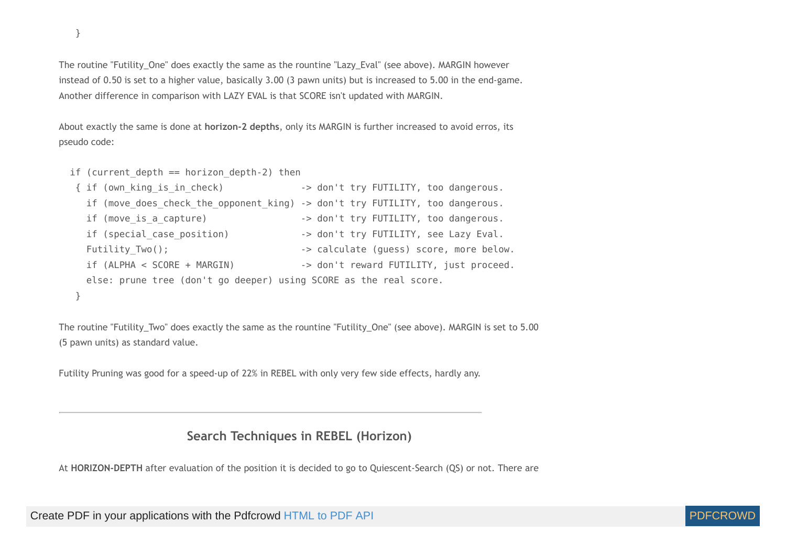The routine "Futility\_One" does exactly the same as the rountine "Lazy\_Eval" (see above). MARGIN however instead of 0.50 is set to a higher value, basically 3.00 (3 pawn units) but is increased to 5.00 in the end-game. Another difference in comparison with LAZY EVAL is that SCORE isn't updated with MARGIN.

About exactly the same is done at **horizon-2 depths**, only its MARGIN is further increased to avoid erros, its pseudo code:

```
if (current depth == horizon depth-2) then
```

```
{ if (own king is in check) \longrightarrow don't try FUTILITY, too dangerous.
  if (move does check the opponent king) -> don't try FUTILITY, too dangerous.
  if (move is a capture) -> don't try FUTILITY, too dangerous.
  if (special case position) -> don't try FUTILITY, see Lazy Eval.
  Futility Two(); \qquad \qquad -\geq calculate (guess) score, more below.
  if (ALPHA < SCORE + MARGIN) -> don't reward FUTILITY, just proceed.
  else: prune tree (don't go deeper) using SCORE as the real score.
 }
```
The routine "Futility\_Two" does exactly the same as the rountine "Futility\_One" (see above). MARGIN is set to 5.00 (5 pawn units) as standard value.

<span id="page-13-0"></span>Futility Pruning was good for a speed-up of 22% in REBEL with only very few side effects, hardly any.

#### **Search Techniques in REBEL (Horizon)**

At **HORIZON-DEPTH** after evaluation of the position it is decided to go to Quiescent-Search (QS) or not. There are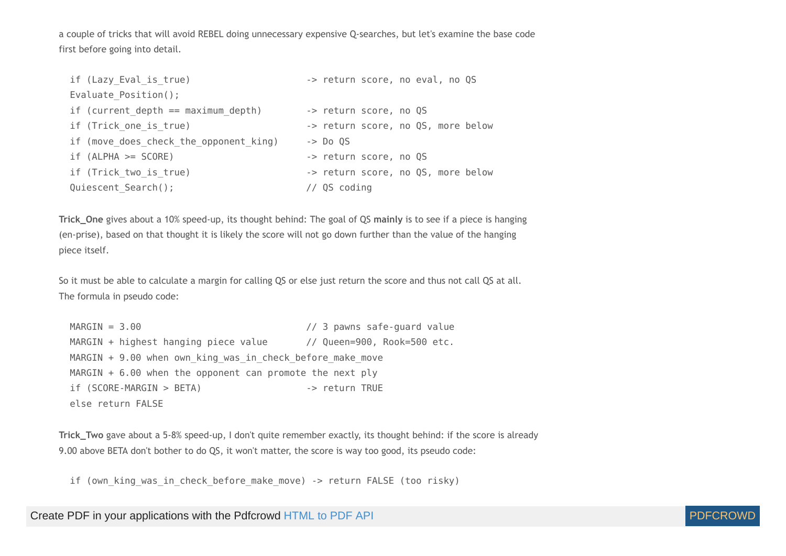a couple of tricks that will avoid REBEL doing unnecessary expensive Q-searches, but let's examine the base code first before going into detail.

| if (Lazy Eval is true)                 | -> return score, no eval, no QS    |
|----------------------------------------|------------------------------------|
| Evaluate Position();                   |                                    |
| if (current depth $==$ maximum depth)  | -> return score, no QS             |
| if (Trick one is true)                 | -> return score, no QS, more below |
| if (move does check the opponent king) | $\rightarrow$ Do OS                |
| $if (ALPHA >= SCORE)$                  | -> return score, no QS             |
| if (Trick two is true)                 | -> return score, no QS, more below |
| Quiescent Search();                    | $//$ QS coding                     |

**Trick\_One** gives about a 10% speed-up, its thought behind: The goal of QS **mainly** is to see if a piece is hanging (en-prise), based on that thought it is likely the score will not go down further than the value of the hanging piece itself.

So it must be able to calculate a margin for calling QS or else just return the score and thus not call QS at all. The formula in pseudo code:

 MARGIN = 3.00 // 3 pawns safe-guard value MARGIN + highest hanging piece value // Queen=900, Rook=500 etc.  $MARGIN + 9.00$  when own king was in check before make move MARGIN + 6.00 when the opponent can promote the next ply if (SCORE-MARGIN > BETA) -> return TRUE else return FALSE

**Trick\_Two** gave about a 5-8% speed-up, I don't quite remember exactly, its thought behind: if the score is already 9.00 above BETA don't bother to do QS, it won't matter, the score is way too good, its pseudo code:

if (own king was in check before make move) -> return FALSE (too risky)

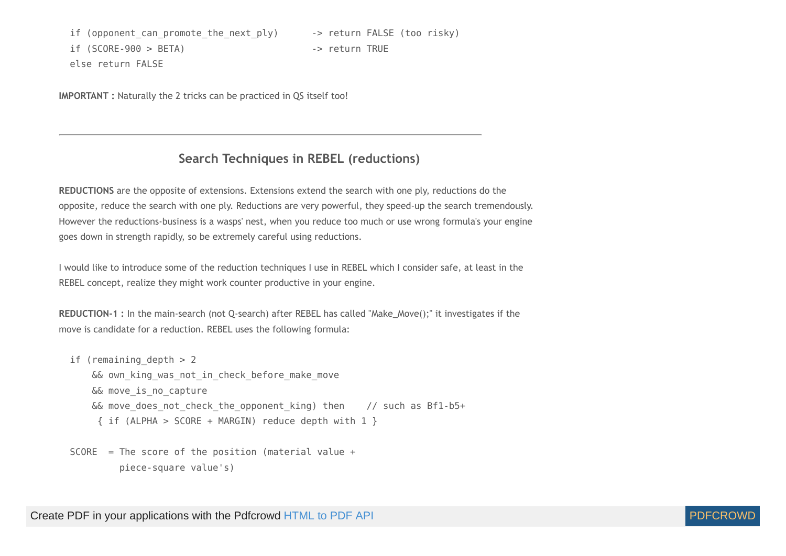if (opponent can promote the next ply) -> return FALSE (too risky) if (SCORE-900 > BETA) -> return TRUE else return FALSE

<span id="page-15-0"></span>**IMPORTANT** : Naturally the 2 tricks can be practiced in QS itself too!

#### **Search Techniques in REBEL (reductions)**

<span id="page-15-1"></span>**REDUCTIONS** are the opposite of extensions. Extensions extend the search with one ply, reductions do the opposite, reduce the search with one ply. Reductions are very powerful, they speed-up the search tremendously. However the reductions-business is a wasps' nest, when you reduce too much or use wrong formula's your engine goes down in strength rapidly, so be extremely careful using reductions.

I would like to introduce some of the reduction techniques I use in REBEL which I consider safe, at least in the REBEL concept, realize they might work counter productive in your engine.

**REDUCTION-1 :** In the main-search (not Q-search) after REBEL has called "Make\_Move();" it investigates if the move is candidate for a reduction. REBEL uses the following formula:

```
if (remaining depth > 2&& own king was not in check before make move
    && move_is_no_capture 
   & move does not check the opponent king) then // such as Bf1-b5+
     { if (ALPHA > SCORE + MARGIN) reduce depth with 1 }
```

```
SCORE = The score of the position (material value + piece-square value's)
```
Create PDF in your applications with the Pdfcrowd [HTML to PDF API](https://pdfcrowd.com/doc/api/?ref=pdf) [PDFCROWD](https://pdfcrowd.com/?ref=pdf) FOR API PDFCROWD FOR API

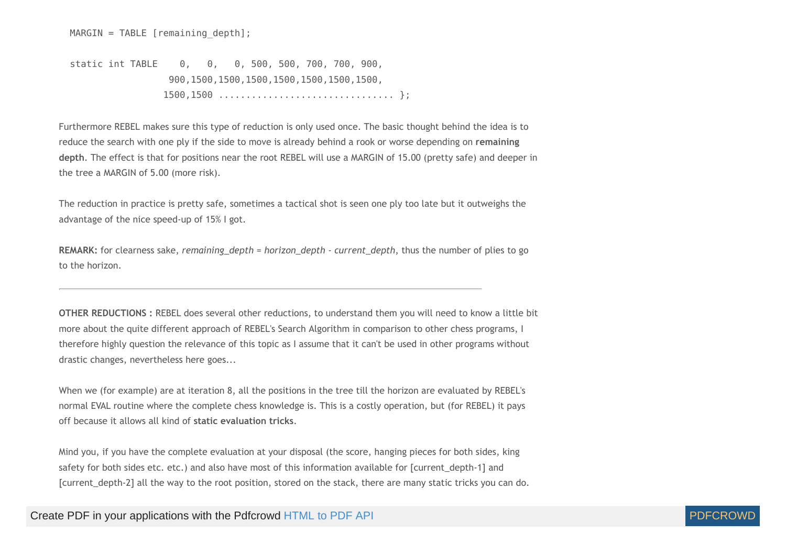$MARGIN = TABLE [remaining depth];$ 

 static int TABLE 0, 0, 0, 500, 500, 700, 700, 900, 900,1500,1500,1500,1500,1500,1500,1500, 1500,1500 ................................ };

Furthermore REBEL makes sure this type of reduction is only used once. The basic thought behind the idea is to reduce the search with one ply if the side to move is already behind a rook or worse depending on **remaining depth**. The effect is that for positions near the root REBEL will use a MARGIN of 15.00 (pretty safe) and deeper in the tree a MARGIN of 5.00 (more risk).

The reduction in practice is pretty safe, sometimes a tactical shot is seen one ply too late but it outweighs the advantage of the nice speed-up of 15% I got.

**REMARK:** for clearness sake, *remaining\_depth = horizon\_depth - current\_depth*, thus the number of plies to go to the horizon.

<span id="page-16-0"></span>**OTHER REDUCTIONS :** REBEL does several other reductions, to understand them you will need to know a little bit more about the quite different approach of REBEL's Search Algorithm in comparison to other chess programs, I therefore highly question the relevance of this topic as I assume that it can't be used in other programs without drastic changes, nevertheless here goes...

When we (for example) are at iteration 8, all the positions in the tree till the horizon are evaluated by REBEL's normal EVAL routine where the complete chess knowledge is. This is a costly operation, but (for REBEL) it pays off because it allows all kind of **static evaluation tricks**.

Mind you, if you have the complete evaluation at your disposal (the score, hanging pieces for both sides, king safety for both sides etc. etc.) and also have most of this information available for [current\_depth-1] and [current\_depth-2] all the way to the root position, stored on the stack, there are many static tricks you can do.

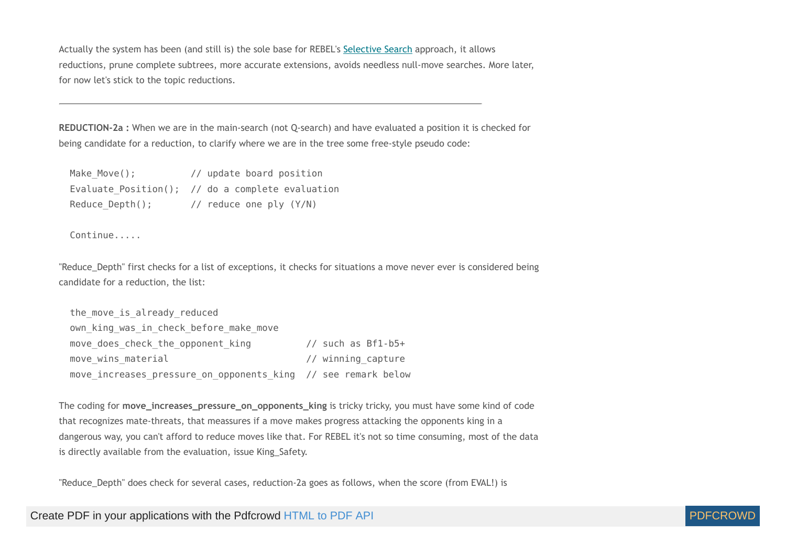Actually the system has been (and still is) the sole base for REBEL's [Selective](#page-28-0) Search approach, it allows reductions, prune complete subtrees, more accurate extensions, avoids needless null-move searches. More later, for now let's stick to the topic reductions.

<span id="page-17-0"></span>**REDUCTION-2a :** When we are in the main-search (not Q-search) and have evaluated a position it is checked for being candidate for a reduction, to clarify where we are in the tree some free-style pseudo code:

| Make Move();    | // update board position                            |
|-----------------|-----------------------------------------------------|
|                 | Evaluate $Position()$ ; // do a complete evaluation |
| Reduce Depth(); | // reduce one ply (Y/N)                             |

Continue.....

"Reduce\_Depth" first checks for a list of exceptions, it checks for situations a move never ever is considered being candidate for a reduction, the list:

```
the move is already reduced
own king was in check before make move
move does check the opponent king // such as Bf1-b5+
move wins material \sqrt{2} // winning capture
move increases pressure on opponents king // see remark below
```
<span id="page-17-1"></span>The coding for move increases pressure on opponents king is tricky tricky, you must have some kind of code that recognizes mate-threats, that meassures if a move makes progress attacking the opponents king in a dangerous way, you can't afford to reduce moves like that. For REBEL it's not so time consuming, most of the data is directly available from the evaluation, issue King\_Safety.

"Reduce\_Depth" does check for several cases, reduction-2a goes as follows, when the score (from EVAL!) is

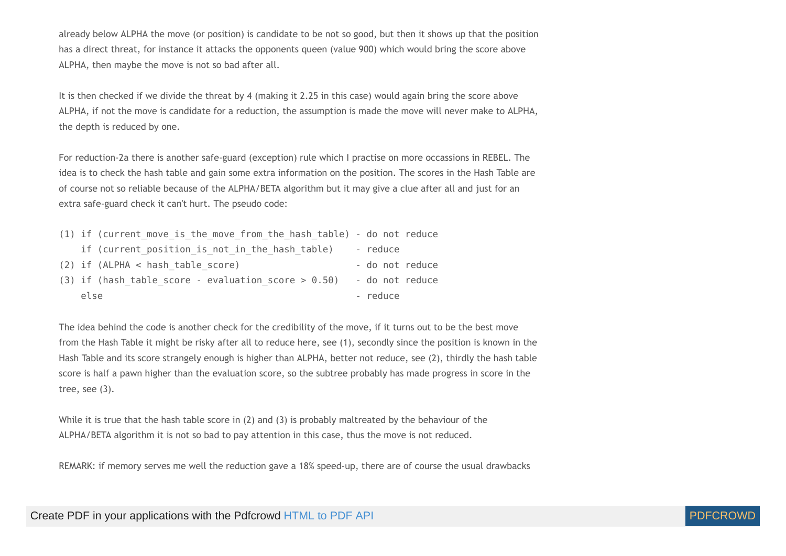already below ALPHA the move (or position) is candidate to be not so good, but then it shows up that the position has a direct threat, for instance it attacks the opponents queen (value 900) which would bring the score above ALPHA, then maybe the move is not so bad after all.

It is then checked if we divide the threat by 4 (making it 2.25 in this case) would again bring the score above ALPHA, if not the move is candidate for a reduction, the assumption is made the move will never make to ALPHA, the depth is reduced by one.

For reduction-2a there is another safe-guard (exception) rule which I practise on more occassions in REBEL. The idea is to check the hash table and gain some extra information on the position. The scores in the Hash Table are of course not so reliable because of the ALPHA/BETA algorithm but it may give a clue after all and just for an extra safe-guard check it can't hurt. The pseudo code:

| (1) if (current move is the move from the hash table) - do not reduce |                 |
|-----------------------------------------------------------------------|-----------------|
| if (current position is not in the hash table)                        | - reduce        |
| $(2)$ if $(ALPHA < hash$ table score)                                 | - do not reduce |
| $(3)$ if (hash table score - evaluation score > 0.50)                 | - do not reduce |
| else                                                                  | - reduce        |

The idea behind the code is another check for the credibility of the move, if it turns out to be the best move from the Hash Table it might be risky after all to reduce here, see (1), secondly since the position is known in the Hash Table and its score strangely enough is higher than ALPHA, better not reduce, see (2), thirdly the hash table score is half a pawn higher than the evaluation score, so the subtree probably has made progress in score in the tree, see (3).

While it is true that the hash table score in (2) and (3) is probably maltreated by the behaviour of the ALPHA/BETA algorithm it is not so bad to pay attention in this case, thus the move is not reduced.

REMARK: if memory serves me well the reduction gave a 18% speed-up, there are of course the usual drawbacks

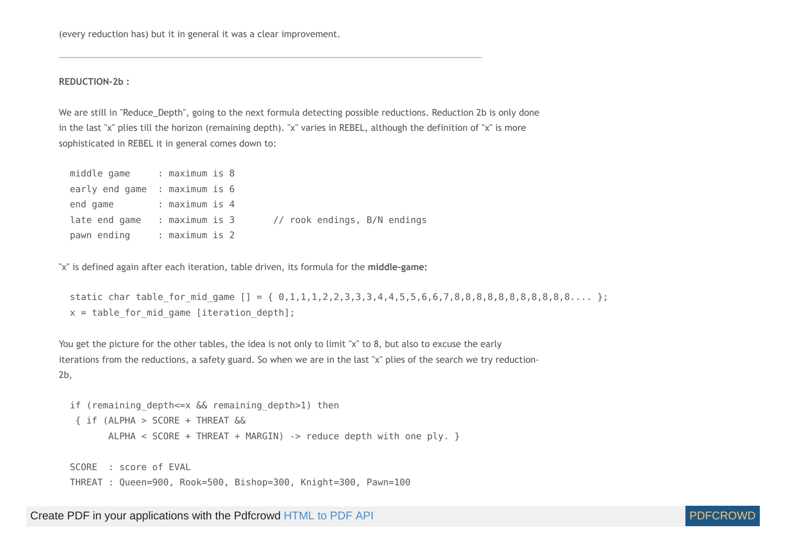(every reduction has) but it in general it was a clear improvement.

<span id="page-19-0"></span>**REDUCTION-2b :**

We are still in "Reduce\_Depth", going to the next formula detecting possible reductions. Reduction 2b is only done in the last "x" plies till the horizon (remaining depth). "x" varies in REBEL, although the definition of "x" is more sophisticated in REBEL it in general comes down to:

| middle game : maximum is 8    |                |  |  |                              |  |
|-------------------------------|----------------|--|--|------------------------------|--|
| early end game : maximum is 6 |                |  |  |                              |  |
| end game                      | : maximum is 4 |  |  |                              |  |
| late end game                 | : maximum is 3 |  |  | // rook endings, B/N endings |  |
| pawn ending                   | : maximum is 2 |  |  |                              |  |

"x" is defined again after each iteration, table driven, its formula for the **middle-game:**

 static char table\_for\_mid\_game [] = { 0,1,1,1,2,2,3,3,3,4,4,5,5,6,6,7,8,8,8,8,8,8,8,8,8,8,8.... };  $x =$  table for mid game [iteration depth];

You get the picture for the other tables, the idea is not only to limit "x" to 8, but also to excuse the early iterations from the reductions, a safety guard. So when we are in the last "x" plies of the search we try reduction-2b,

```
if (remaining depth <= x && remaining depth>1) then
 { if (ALPHA > SCORE + THREAT && 
        ALPHA < SCORE + THREAT + MARGIN) -> reduce depth with one ply. }
 SCORE : score of EVAL
```

```
 THREAT : Queen=900, Rook=500, Bishop=300, Knight=300, Pawn=100
```
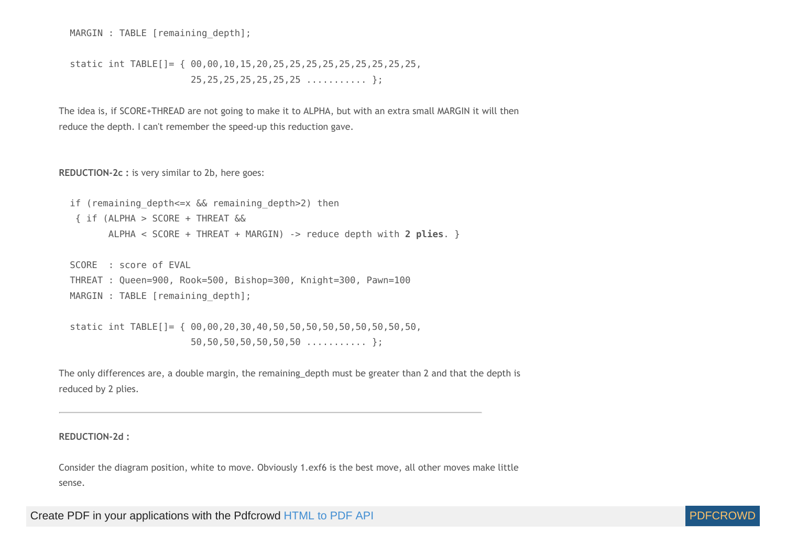MARGIN : TABLE [remaining depth];

 static int TABLE[]= { 00,00,10,15,20,25,25,25,25,25,25,25,25,25,  $25, 25, 25, 25, 25, 25, 25, \ldots$ 

<span id="page-20-0"></span>The idea is, if SCORE+THREAD are not going to make it to ALPHA, but with an extra small MARGIN it will then reduce the depth. I can't remember the speed-up this reduction gave.

**REDUCTION-2c :** is very similar to 2b, here goes:

if (remaining depth <= x && remaining depth>2) then { if (ALPHA > SCORE + THREAT && ALPHA < SCORE + THREAT + MARGIN) -> reduce depth with **2 plies**. }

 SCORE : score of EVAL THREAT : Queen=900, Rook=500, Bishop=300, Knight=300, Pawn=100 MARGIN : TABLE [remaining depth];

 static int TABLE[]= { 00,00,20,30,40,50,50,50,50,50,50,50,50,50, 50,50,50,50,50,50,50 ........... };

The only differences are, a double margin, the remaining\_depth must be greater than 2 and that the depth is reduced by 2 plies.

<span id="page-20-1"></span>**REDUCTION-2d :**

Consider the diagram position, white to move. Obviously 1.exf6 is the best move, all other moves make little sense.

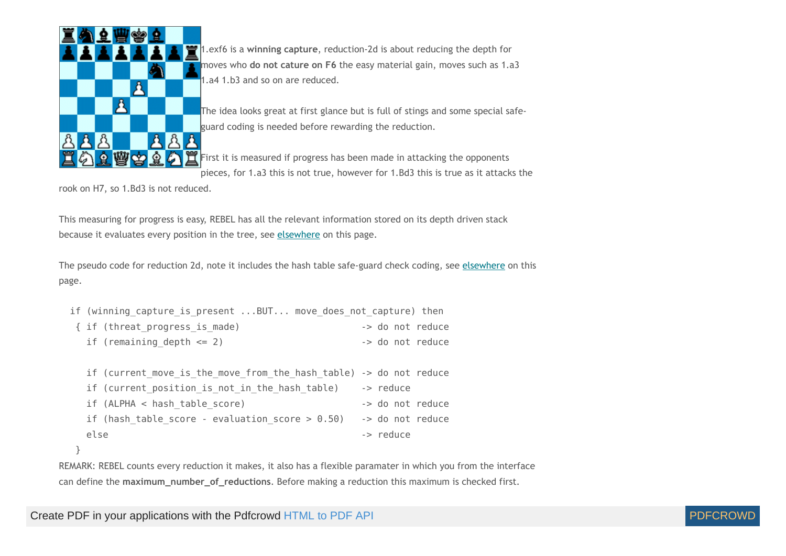

1.exf6 is a **winning capture**, reduction-2d is about reducing the depth for moves who **do not cature on F6** the easy material gain, moves such as 1.a3 1.a4 1.b3 and so on are reduced.

The idea looks great at first glance but is full of stings and some special safeguard coding is needed before rewarding the reduction.

 $\mathbf{\tilde{r}}$  First it is measured if progress has been made in attacking the opponents  $\bar{p}$  pieces, for 1.a3 this is not true, however for 1.Bd3 this is true as it attacks the

rook on H7, so 1.Bd3 is not reduced.

This measuring for progress is easy, REBEL has all the relevant information stored on its depth driven stack because it evaluates every position in the tree, see [elsewhere](#page-16-0) on this page.

The pseudo code for reduction 2d, note it includes the hash table safe-guard check coding, see [elsewhere](#page-17-1) on this page.

```
if (winning capture is present ...BUT... move does not capture) then
 { if (threat_progress_is_made) -> do not reduce
  if (remaining depth \leq 2) \qquad \qquad -> do not reduce
```

| if (current move is the move from the hash table) -> do not reduce |                  |  |
|--------------------------------------------------------------------|------------------|--|
| if (current position is not in the hash table)                     | -> reduce        |  |
| $if$ (ALPHA < hash table score)                                    | -> do not reduce |  |
| if (hash table score - evaluation score $> 0.50$ )                 | -> do not reduce |  |
| else                                                               | -> reduce        |  |
|                                                                    |                  |  |

}

REMARK: REBEL counts every reduction it makes, it also has a flexible paramater in which you from the interface can define the **maximum\_number\_of\_reductions**. Before making a reduction this maximum is checked first.

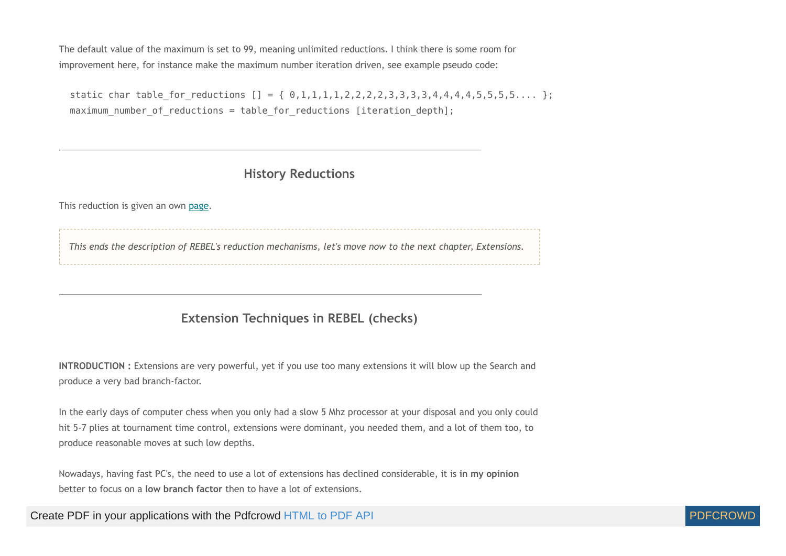The default value of the maximum is set to 99, meaning unlimited reductions. I think there is some room for improvement here, for instance make the maximum number iteration driven, see example pseudo code:

static char table for reductions  $[] = { 0,1,1,1,1,2,2,2,2,3,3,3,4,4,4,4,5,5,5,5,... }$ maximum number of reductions = table for reductions [iteration depth];

## **History Reductions**

This reduction is given an own [page.](http://www.top-5000.nl/authors/rebel/hr.htm)

<span id="page-22-0"></span>*This ends the description of REBEL's reduction mechanisms, let's move now to the next chapter, Extensions.*

## **Extension Techniques in REBEL (checks)**

**INTRODUCTION :** Extensions are very powerful, yet if you use too many extensions it will blow up the Search and produce a very bad branch-factor.

In the early days of computer chess when you only had a slow 5 Mhz processor at your disposal and you only could hit 5-7 plies at tournament time control, extensions were dominant, you needed them, and a lot of them too, to produce reasonable moves at such low depths.

Nowadays, having fast PC's, the need to use a lot of extensions has declined considerable, it is **in my opinion** better to focus on a **low branch factor** then to have a lot of extensions.

Create PDF in your applications with the Pdfcrowd [HTML to PDF API](https://pdfcrowd.com/doc/api/?ref=pdf) [PDFCROWD](https://pdfcrowd.com/?ref=pdf) AT A PUT API PDFCROWD BE A PUT API

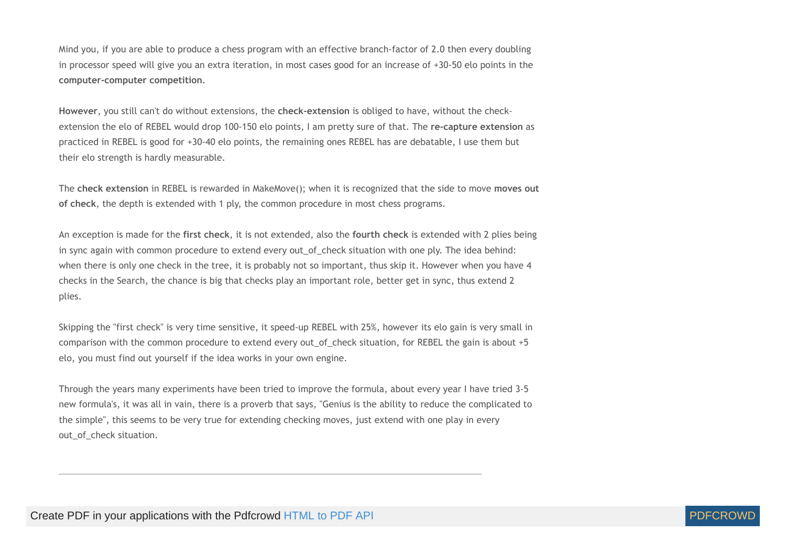Mind you, if you are able to produce a chess program with an effective branch-factor of 2.0 then every doubling in processor speed will give you an extra iteration, in most cases good for an increase of +30-50 elo points in the **computer-computer competition**.

**However**, you still can't do without extensions, the **check-extension** is obliged to have, without the checkextension the elo of REBEL would drop 100-150 elo points, I am pretty sure of that. The **re-capture extension** as practiced in REBEL is good for +30-40 elo points, the remaining ones REBEL has are debatable, I use them but their elo strength is hardly measurable.

The **check extension** in REBEL is rewarded in MakeMove(); when it is recognized that the side to move **moves out of check**, the depth is extended with 1 ply, the common procedure in most chess programs.

An exception is made for the **first check**, it is not extended, also the **fourth check** is extended with 2 plies being in sync again with common procedure to extend every out of check situation with one ply. The idea behind: when there is only one check in the tree, it is probably not so important, thus skip it. However when you have 4 checks in the Search, the chance is big that checks play an important role, better get in sync, thus extend 2 plies.

Skipping the "first check" is very time sensitive, it speed-up REBEL with 25%, however its elo gain is very small in comparison with the common procedure to extend every out of check situation, for REBEL the gain is about +5 elo, you must find out yourself if the idea works in your own engine.

Through the years many experiments have been tried to improve the formula, about every year I have tried 3-5 new formula's, it was all in vain, there is a proverb that says, "Genius is the ability to reduce the complicated to the simple", this seems to be very true for extending checking moves, just extend with one play in every out of check situation.

<span id="page-23-0"></span>Create PDF in your applications with the Pdfcrowd [HTML to PDF API](https://pdfcrowd.com/doc/api/?ref=pdf) [PDFCROWD](https://pdfcrowd.com/?ref=pdf) CREATED AND RESERVENT ON A PUFCROWD

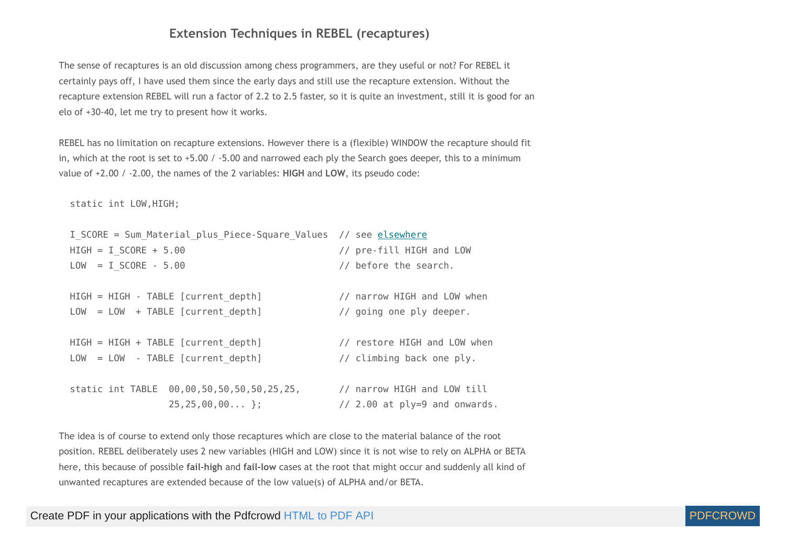#### **Extension Techniques in REBEL (recaptures)**

The sense of recaptures is an old discussion among chess programmers, are they useful or not? For REBEL it certainly pays off, I have used them since the early days and still use the recapture extension. Without the recapture extension REBEL will run a factor of 2.2 to 2.5 faster, so it is quite an investment, still it is good for an elo of +30-40, let me try to present how it works.

REBEL has no limitation on recapture extensions. However there is a (flexible) WINDOW the recapture should fit in, which at the root is set to +5.00 / -5.00 and narrowed each ply the Search goes deeper, this to a minimum value of +2.00 / -2.00, the names of the 2 variables: **HIGH** and **LOW**, its pseudo code:

static int LOW,HIGH;

| I SCORE = Sum Material plus Piece-Square Values // see elsewhere |                                |
|------------------------------------------------------------------|--------------------------------|
| $HIGH = I SCORE + 5.00$                                          | // pre-fill HIGH and LOW       |
| $LOW = I SCORE - 5.00$                                           | // before the search.          |
|                                                                  |                                |
| HIGH = HIGH - TABLE [current depth]                              | // narrow HIGH and LOW when    |
| $LOW = LOW + TABLE [current depth]$                              | // going one ply deeper.       |
|                                                                  |                                |
| $HIGH = HIGH + TABLE [current depth]$                            | // restore HIGH and LOW when   |
| $LOW = LOW - TABLE [current depth]$                              | // climbing back one ply.      |
|                                                                  |                                |
| static int TABLE 00,00,50,50,50,50,25,25,                        | // narrow HIGH and LOW till    |
| $25, 25, 00, 00$ };                                              | $1/2.00$ at ply=9 and onwards. |
|                                                                  |                                |

The idea is of course to extend only those recaptures which are close to the material balance of the root position. REBEL deliberately uses 2 new variables (HIGH and LOW) since it is not wise to rely on ALPHA or BETA here, this because of possible **fail-high** and **fail-low** cases at the root that might occur and suddenly all kind of unwanted recaptures are extended because of the low value(s) of ALPHA and/or BETA.

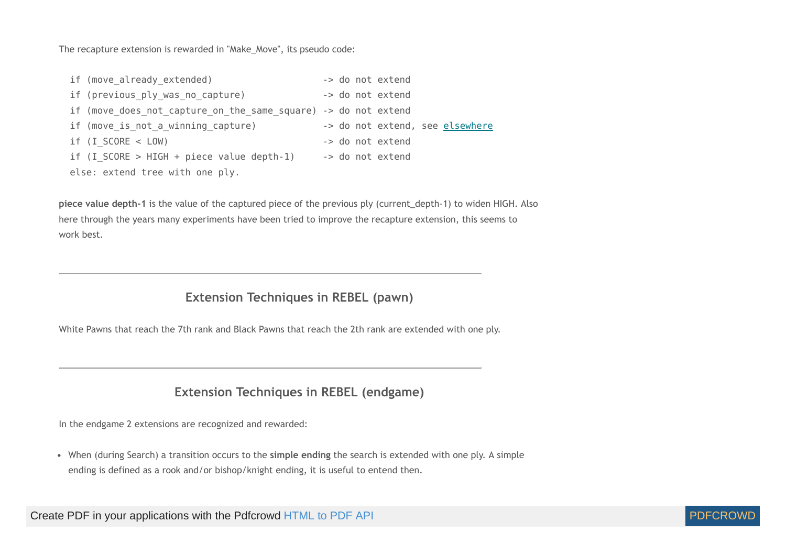The recapture extension is rewarded in "Make\_Move", its pseudo code:

```
if (move_already_extended) -> do not extend
if (previous ply was no capture) -> do not extend
if (move does not capture on the same square) -> do not extend
elsewhere
if (I SCORE < LOW) -> do not extend
if (I SCORE > HIGH + piece value depth-1) \rightarrow do not extend
 else: extend tree with one ply.
```
**piece value depth-1** is the value of the captured piece of the previous ply (current\_depth-1) to widen HIGH. Also here through the years many experiments have been tried to improve the recapture extension, this seems to work best.

## **Extension Techniques in REBEL (pawn)**

<span id="page-25-1"></span><span id="page-25-0"></span>White Pawns that reach the 7th rank and Black Pawns that reach the 2th rank are extended with one ply.

# **Extension Techniques in REBEL (endgame)**

In the endgame 2 extensions are recognized and rewarded:

When (during Search) a transition occurs to the **simple ending** the search is extended with one ply. A simple ending is defined as a rook and/or bishop/knight ending, it is useful to entend then.

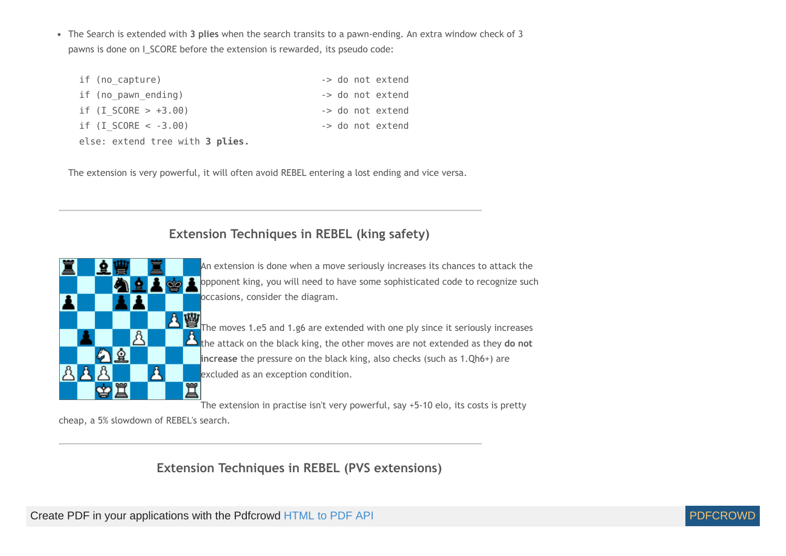The Search is extended with **3 plies** when the search transits to a pawn-ending. An extra window check of 3 pawns is done on I\_SCORE before the extension is rewarded, its pseudo code:

| if (no capture)                 | -> do not extend |
|---------------------------------|------------------|
| if (no pawn ending)             | -> do not extend |
| if $(I SCORE > +3.00)$          | -> do not extend |
| if $(I SCORE < -3.00)$          | -> do not extend |
| else: extend tree with 3 plies. |                  |

<span id="page-26-0"></span>The extension is very powerful, it will often avoid REBEL entering a lost ending and vice versa.



**Extension Techniques in REBEL (king safety)**

An extension is done when a move seriously increases its chances to attack the opponent king, you will need to have some sophisticated code to recognize such occasions, consider the diagram.

**A W** The moves 1.e5 and 1.g6 are extended with one ply since it seriously increases the attack on the black king, the other moves are not extended as they **do not increase** the pressure on the black king, also checks (such as 1.Qh6+) are excluded as an exception condition.

The extension in practise isn't very powerful, say +5-10 elo, its costs is pretty

<span id="page-26-1"></span>cheap, a 5% slowdown of REBEL's search.

**Extension Techniques in REBEL (PVS extensions)**

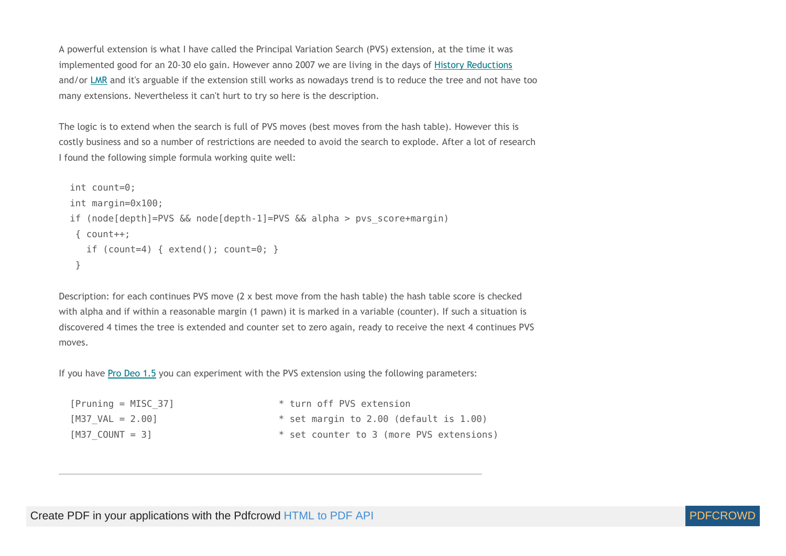A powerful extension is what I have called the Principal Variation Search (PVS) extension, at the time it was implemented good for an 20-30 elo gain. However anno 2007 we are living in the days of History [Reductions](http://www.top-5000.nl/authors/rebel/hr.htm) and/or [LMR](http://www.glaurungchess.com/lmr.html) and it's arguable if the extension still works as nowadays trend is to reduce the tree and not have too many extensions. Nevertheless it can't hurt to try so here is the description.

The logic is to extend when the search is full of PVS moves (best moves from the hash table). However this is costly business and so a number of restrictions are needed to avoid the search to explode. After a lot of research I found the following simple formula working quite well:

```
 int count=0;
 int margin=0x100;
 if (node[depth]=PVS && node[depth-1]=PVS && alpha > pvs_score+margin)
 \{ count++:
    if (count=4) { extend(); count=0; }
  }
```
Description: for each continues PVS move (2 x best move from the hash table) the hash table score is checked with alpha and if within a reasonable margin (1 pawn) it is marked in a variable (counter). If such a situation is discovered 4 times the tree is extended and counter set to zero again, ready to receive the next 4 continues PVS moves.

If you have Pro [Deo](http://www.top-5000.nl/prodeo.htm) 1.5 you can experiment with the PVS extension using the following parameters:

| $[Pruning = MISC 37]$      | * turn off PVS extension                 |
|----------------------------|------------------------------------------|
| $[M37 \text{ VAL} = 2.00]$ | $*$ set margin to 2.00 (default is 1.00) |
| $[M37$ COUNT = 3]          | * set counter to 3 (more PVS extensions) |

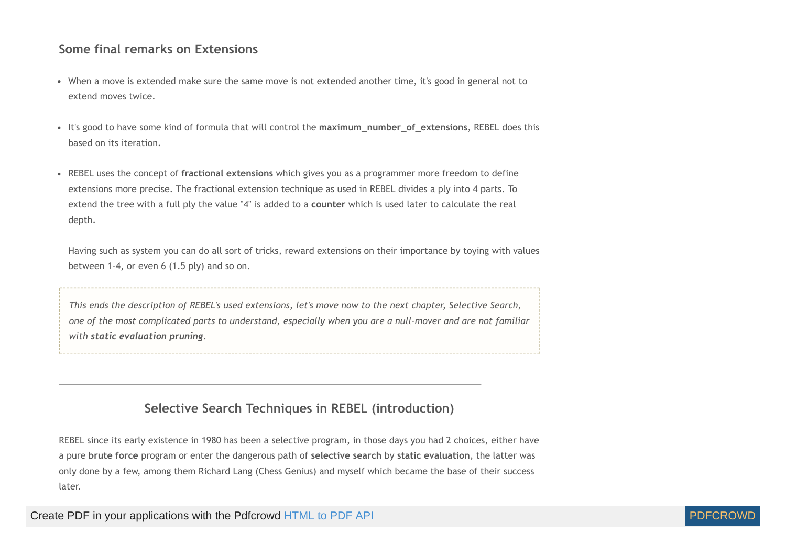# **Some final remarks on Extensions**

- When a move is extended make sure the same move is not extended another time, it's good in general not to extend moves twice.
- It's good to have some kind of formula that will control the **maximum\_number\_of\_extensions**, REBEL does this based on its iteration.
- REBEL uses the concept of **fractional extensions** which gives you as a programmer more freedom to define extensions more precise. The fractional extension technique as used in REBEL divides a ply into 4 parts. To extend the tree with a full ply the value "4" is added to a **counter** which is used later to calculate the real depth.

Having such as system you can do all sort of tricks, reward extensions on their importance by toying with values between 1-4, or even 6 (1.5 ply) and so on.

This ends the description of REBEL's used extensions, let's move now to the next chapter, Selective Search, one of the most complicated parts to understand, especially when you are a null-mover and are not familiar *with static evaluation pruning.*

# **Selective Search Techniques in REBEL (introduction)**

<span id="page-28-0"></span>REBEL since its early existence in 1980 has been a selective program, in those days you had 2 choices, either have a pure **brute force** program or enter the dangerous path of **selective search** by **static evaluation**, the latter was only done by a few, among them Richard Lang (Chess Genius) and myself which became the base of their success later.

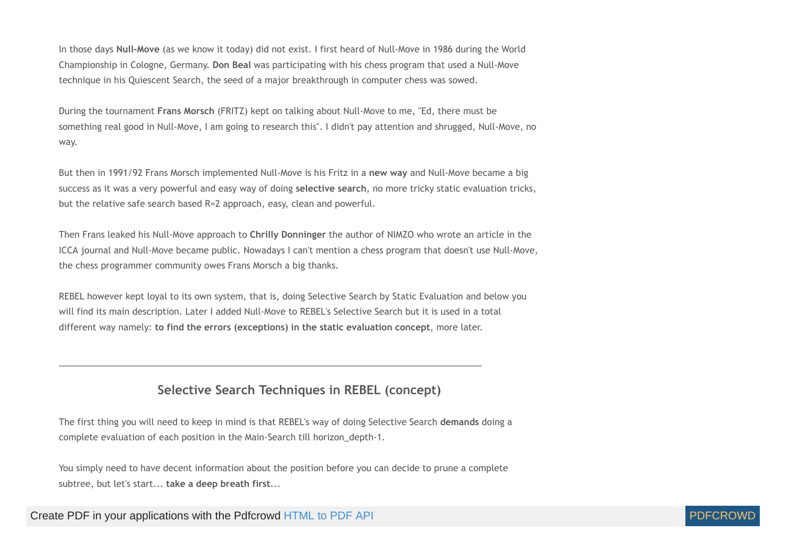In those days **Null-Move** (as we know it today) did not exist. I first heard of Null-Move in 1986 during the World Championship in Cologne, Germany. **Don Beal** was participating with his chess program that used a Null-Move technique in his Quiescent Search, the seed of a major breakthrough in computer chess was sowed.

During the tournament **Frans Morsch** (FRITZ) kept on talking about Null-Move to me, "Ed, there must be something real good in Null-Move, I am going to research this". I didn't pay attention and shrugged, Null-Move, no way.

But then in 1991/92 Frans Morsch implemented Null-Move is his Fritz in a **new way** and Null-Move became a big success as it was a very powerful and easy way of doing **selective search**, no more tricky static evaluation tricks, but the relative safe search based R=2 approach, easy, clean and powerful.

Then Frans leaked his Null-Move approach to **Chrilly Donninger** the author of NIMZO who wrote an article in the ICCA journal and Null-Move became public. Nowadays I can't mention a chess program that doesn't use Null-Move, the chess programmer community owes Frans Morsch a big thanks.

REBEL however kept loyal to its own system, that is, doing Selective Search by Static Evaluation and below you will find its main description. Later I added Null-Move to REBEL's Selective Search but it is used in a total different way namely: **to find the errors (exceptions) in the static evaluation concept**, more later.

# **Selective Search Techniques in REBEL (concept)**

<span id="page-29-0"></span>The first thing you will need to keep in mind is that REBEL's way of doing Selective Search **demands** doing a complete evaluation of each position in the Main-Search till horizon\_depth-1.

You simply need to have decent information about the position before you can decide to prune a complete subtree, but let's start... **take a deep breath first**...

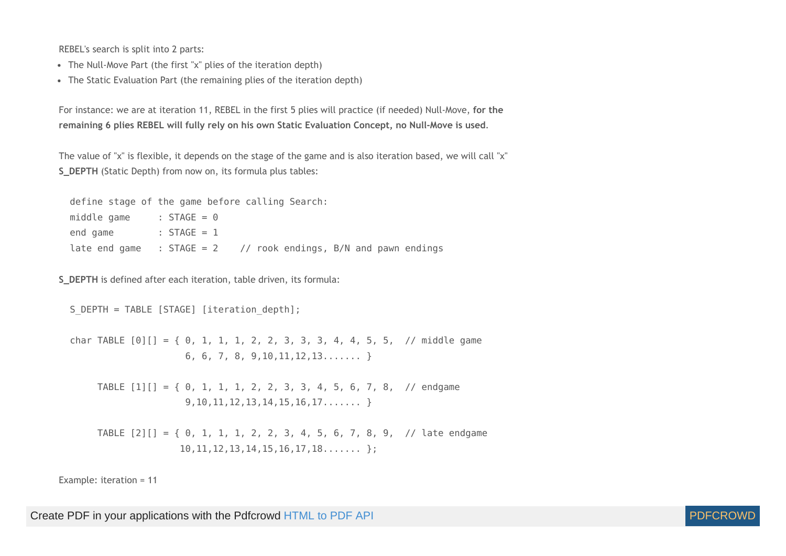REBEL's search is split into 2 parts:

- The Null-Move Part (the first "x" plies of the iteration depth)
- The Static Evaluation Part (the remaining plies of the iteration depth)

For instance: we are at iteration 11, REBEL in the first 5 plies will practice (if needed) Null-Move, **for the remaining 6 plies REBEL will fully rely on his own Static Evaluation Concept, no Null-Move is used**.

The value of "x" is flexible, it depends on the stage of the game and is also iteration based, we will call "x" **S\_DEPTH** (Static Depth) from now on, its formula plus tables:

 define stage of the game before calling Search: middle game :  $STAGE = 0$ end game : STAGE = 1 late end game :  $STAGE = 2$  // rook endings,  $B/N$  and pawn endings

**S\_DEPTH** is defined after each iteration, table driven, its formula:

S DEPTH = TABLE [STAGE] [iteration depth];

char TABLE  $[0][] = \{ 0, 1, 1, 1, 2, 2, 3, 3, 3, 4, 4, 5, 5, \textit{// middle game} \}$  6, 6, 7, 8, 9,10,11,12,13....... } TABLE  $[1][] = \{ 0, 1, 1, 1, 2, 2, 3, 3, 4, 5, 6, 7, 8, \textit{ // endgame} \}$ 9,10,11,12,13,14,15,16,17....... }

 TABLE [2][] = { 0, 1, 1, 1, 2, 2, 3, 4, 5, 6, 7, 8, 9, // late endgame 10,11,12,13,14,15,16,17,18....... };

Example: iteration = 11

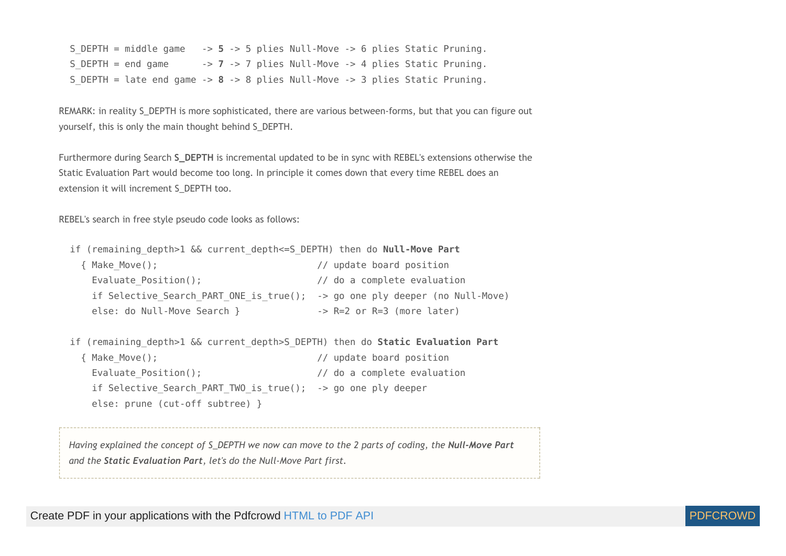S\_DEPTH = middle game -> **5** -> 5 plies Null-Move -> 6 plies Static Pruning. S DEPTH = end game -> 7 -> 7 plies Null-Move -> 4 plies Static Pruning. S\_DEPTH = late end game -> **8** -> 8 plies Null-Move -> 3 plies Static Pruning.

<span id="page-31-0"></span>REMARK: in reality S\_DEPTH is more sophisticated, there are various between-forms, but that you can figure out yourself, this is only the main thought behind S\_DEPTH.

Furthermore during Search **S\_DEPTH** is incremental updated to be in sync with REBEL's extensions otherwise the Static Evaluation Part would become too long. In principle it comes down that every time REBEL does an extension it will increment S\_DEPTH too.

<span id="page-31-1"></span>REBEL's search in free style pseudo code looks as follows:

| if (remaining depth>1 && current depth<=S DEPTH) then do Null-Move Part        |                                       |
|--------------------------------------------------------------------------------|---------------------------------------|
| { Make Move();                                                                 | // update board position              |
| Evaluate $Position()$ ;                                                        | // do a complete evaluation           |
| if Selective Search PART ONE is true(); -> go one ply deeper (no Null-Move)    |                                       |
| else: do Null-Move Search }                                                    | $\rightarrow$ R=2 or R=3 (more later) |
|                                                                                |                                       |
| if (remaining depth>1 && current depth>S DEPTH) then do Static Evaluation Part |                                       |
| { Make Move();                                                                 | // update board position              |
| Evaluate_Position();                                                           | // do a complete evaluation           |
| if Selective Search PART TWO is $true()$ ; -> go one ply deeper                |                                       |
| else: prune (cut-off subtree) }                                                |                                       |
|                                                                                |                                       |
|                                                                                |                                       |

Having explained the concept of S\_DEPTH we now can move to the 2 parts of coding, the Null-Move Part *and the Static Evaluation Part, let's do the Null-Move Part first.*

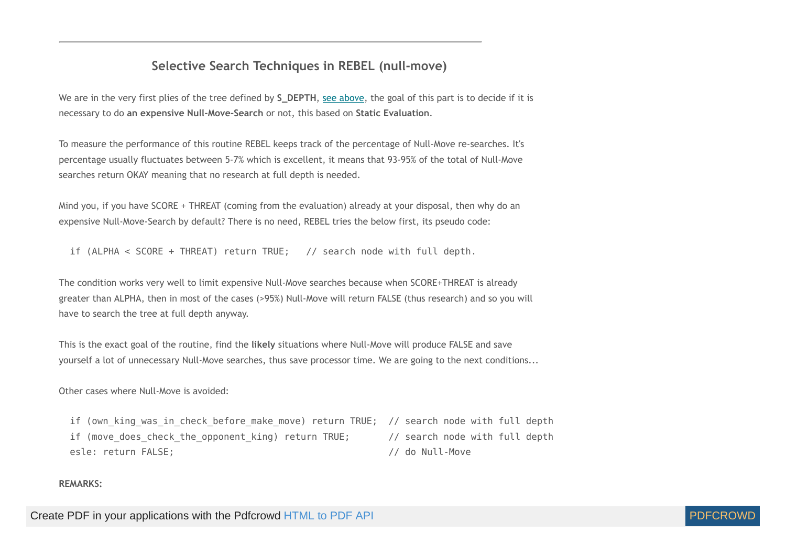# **Selective Search Techniques in REBEL (null-move)**

<span id="page-32-0"></span>We are in the very first plies of the tree defined by **S\_DEPTH**, see [above,](#page-31-0) the goal of this part is to decide if it is necessary to do **an expensive Null-Move-Search** or not, this based on **Static Evaluation**.

To measure the performance of this routine REBEL keeps track of the percentage of Null-Move re-searches. It's percentage usually fluctuates between 5-7% which is excellent, it means that 93-95% of the total of Null-Move searches return OKAY meaning that no research at full depth is needed.

Mind you, if you have SCORE + THREAT (coming from the evaluation) already at your disposal, then why do an expensive Null-Move-Search by default? There is no need, REBEL tries the below first, its pseudo code:

if (ALPHA < SCORE + THREAT) return TRUE; // search node with full depth.

The condition works very well to limit expensive Null-Move searches because when SCORE+THREAT is already greater than ALPHA, then in most of the cases (>95%) Null-Move will return FALSE (thus research) and so you will have to search the tree at full depth anyway.

This is the exact goal of the routine, find the **likely** situations where Null-Move will produce FALSE and save yourself a lot of unnecessary Null-Move searches, thus save processor time. We are going to the next conditions...

Other cases where Null-Move is avoided:

if (own king was in check before make move) return TRUE; // search node with full depth if (move does check the opponent king) return TRUE; // search node with full depth esle: return FALSE; // do Null-Move

#### **REMARKS:**

Create PDF in your applications with the Pdfcrowd [HTML to PDF API](https://pdfcrowd.com/doc/api/?ref=pdf) [PDFCROWD](https://pdfcrowd.com/?ref=pdf) AT A PUT API PDFCROWD BE A PUT AT A POST OF A PUT AND THE ROWD BE A PUT AT A PUT ASSAULT AT A PUT ASSAULT AT A PUT ASSAULT AT A PUT ASSAULT AT A PU

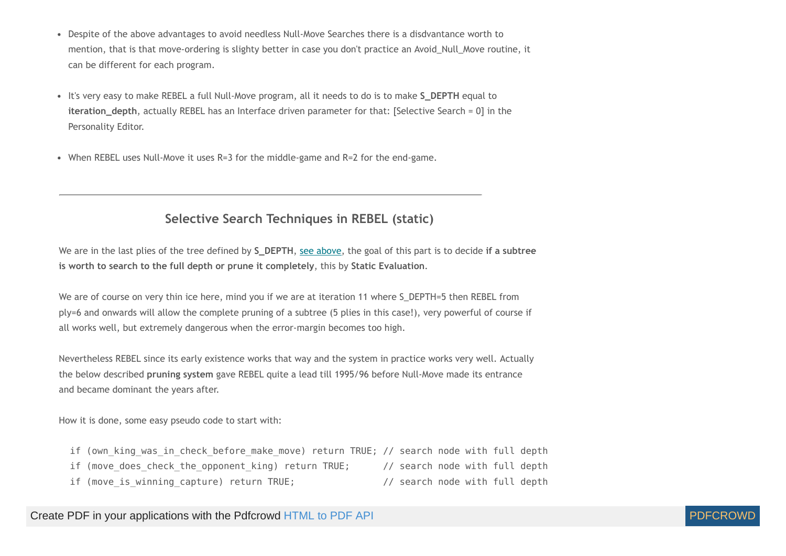- Despite of the above advantages to avoid needless Null-Move Searches there is a disdvantance worth to mention, that is that move-ordering is slighty better in case you don't practice an Avoid\_Null\_Move routine, it can be different for each program.
- It's very easy to make REBEL a full Null-Move program, all it needs to do is to make **S\_DEPTH** equal to **iteration\_depth**, actually REBEL has an Interface driven parameter for that: [Selective Search = 0] in the Personality Editor.
- <span id="page-33-0"></span>When REBEL uses Null-Move it uses R=3 for the middle-game and R=2 for the end-game.

# **Selective Search Techniques in REBEL (static)**

We are in the last plies of the tree defined by **S\_DEPTH**, see [above,](#page-31-1) the goal of this part is to decide **if a subtree is worth to search to the full depth or prune it completely**, this by **Static Evaluation**.

We are of course on very thin ice here, mind you if we are at iteration 11 where S\_DEPTH=5 then REBEL from ply=6 and onwards will allow the complete pruning of a subtree (5 plies in this case!), very powerful of course if all works well, but extremely dangerous when the error-margin becomes too high.

Nevertheless REBEL since its early existence works that way and the system in practice works very well. Actually the below described **pruning system** gave REBEL quite a lead till 1995/96 before Null-Move made its entrance and became dominant the years after.

How it is done, some easy pseudo code to start with:

| if (own king was in check before make move) return TRUE; // search node with full depth |                                |  |  |
|-----------------------------------------------------------------------------------------|--------------------------------|--|--|
| if (move does check the opponent king) return TRUE;                                     | // search node with full depth |  |  |
| if (move is winning capture) return TRUE;                                               | // search node with full depth |  |  |

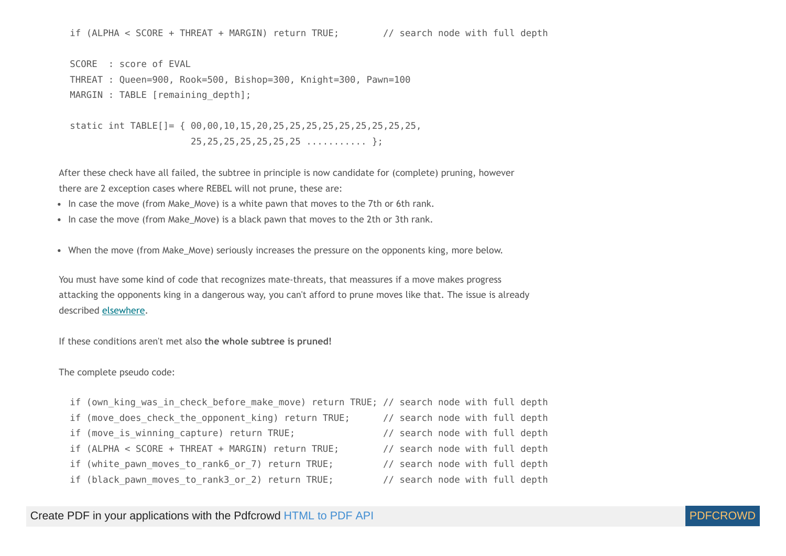if (ALPHA < SCORE + THREAT + MARGIN) return TRUE; // search node with full depth

 SCORE : score of EVAL THREAT : Queen=900, Rook=500, Bishop=300, Knight=300, Pawn=100 MARGIN : TABLE [remaining depth];

 static int TABLE[]= { 00,00,10,15,20,25,25,25,25,25,25,25,25,25, 25,25,25,25,25,25,25 ........... };

After these check have all failed, the subtree in principle is now candidate for (complete) pruning, however there are 2 exception cases where REBEL will not prune, these are:

- In case the move (from Make\_Move) is a white pawn that moves to the 7th or 6th rank.
- In case the move (from Make Move) is a black pawn that moves to the 2th or 3th rank.
- When the move (from Make Move) seriously increases the pressure on the opponents king, more below.

You must have some kind of code that recognizes mate-threats, that meassures if a move makes progress attacking the opponents king in a dangerous way, you can't afford to prune moves like that. The issue is already described [elsewhere](#page-26-0).

If these conditions aren't met also **the whole subtree is pruned!**

The complete pseudo code:

- if (own\_king\_was\_in\_check\_before\_make move) return TRUE; // search node with full depth
- if (move does check the opponent king) return TRUE; // search node with full depth
- if (move is winning capture) return TRUE; // search node with full depth
- if (ALPHA < SCORE + THREAT + MARGIN) return TRUE; // search node with full depth
- if (white pawn moves to rank6 or 7) return TRUE; // search node with full depth
- if (black pawn moves to rank3 or 2) return TRUE; // search node with full depth
- 
- 
- 
- 
- -

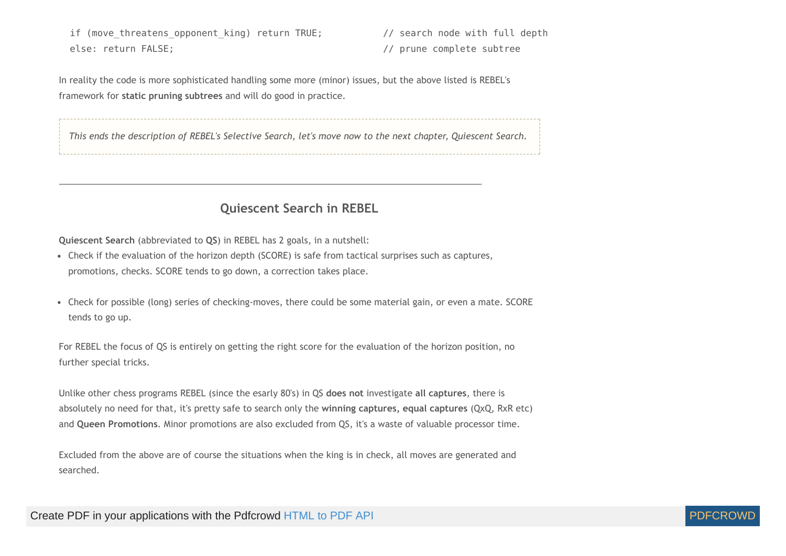if (move threatens opponent king) return TRUE; // search node with full depth else: return FALSE; // prune complete subtree

In reality the code is more sophisticated handling some more (minor) issues, but the above listed is REBEL's framework for **static pruning subtrees** and will do good in practice.

This ends the description of REBEL's Selective Search, let's move now to the next chapter, Quiescent Search.

#### **Quiescent Search in REBEL**

<span id="page-35-0"></span>**Quiescent Search** (abbreviated to **QS**) in REBEL has 2 goals, in a nutshell:

- Check if the evaluation of the horizon depth (SCORE) is safe from tactical surprises such as captures, promotions, checks. SCORE tends to go down, a correction takes place.
- Check for possible (long) series of checking-moves, there could be some material gain, or even a mate. SCORE tends to go up.

For REBEL the focus of QS is entirely on getting the right score for the evaluation of the horizon position, no further special tricks.

Unlike other chess programs REBEL (since the esarly 80's) in QS **does not** investigate **all captures**, there is absolutely no need for that, it's pretty safe to search only the **winning captures, equal captures** (QxQ, RxR etc) and **Queen Promotions**. Minor promotions are also excluded from QS, it's a waste of valuable processor time.

Excluded from the above are of course the situations when the king is in check, all moves are generated and searched.

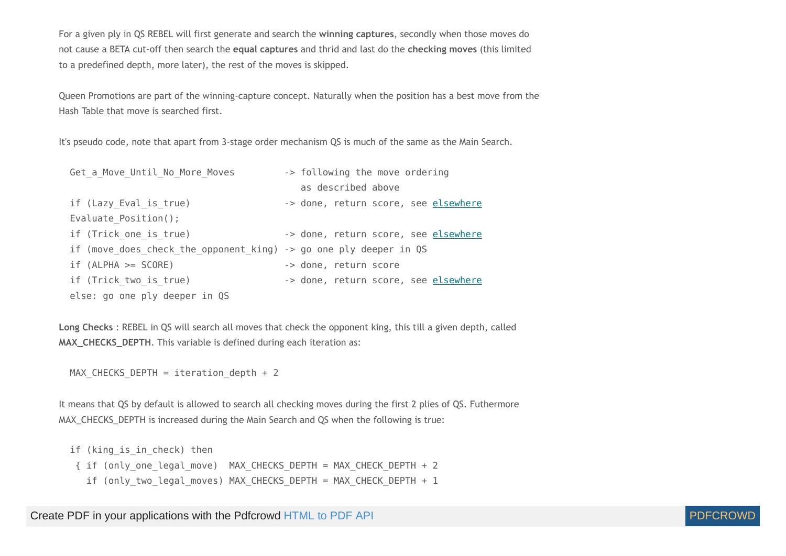For a given ply in QS REBEL will first generate and search the **winning captures**, secondly when those moves do not cause a BETA cut-off then search the **equal captures** and thrid and last do the **checking moves** (this limited to a predefined depth, more later), the rest of the moves is skipped.

Queen Promotions are part of the winning-capture concept. Naturally when the position has a best move from the Hash Table that move is searched first.

It's pseudo code, note that apart from 3-stage order mechanism QS is much of the same as the Main Search.

| Get a Move Until No More Moves                                    | -> following the move ordering       |
|-------------------------------------------------------------------|--------------------------------------|
|                                                                   | as described above                   |
| if (Lazy Eval is true)                                            | -> done, return score, see elsewhere |
| Evaluate Position();                                              |                                      |
| if (Trick one is true)                                            | -> done, return score, see elsewhere |
| if (move does check the opponent king) -> go one ply deeper in QS |                                      |
| $if (ALPHA >= SCORE)$                                             | -> done, return score                |
| if (Trick two is true)                                            | -> done, return score, see elsewhere |
| else: go one ply deeper in QS                                     |                                      |

**Long Checks** : REBEL in QS will search all moves that check the opponent king, this till a given depth, called **MAX\_CHECKS\_DEPTH.** This variable is defined during each iteration as:

MAX CHECKS DEPTH = iteration depth + 2

It means that QS by default is allowed to search all checking moves during the first 2 plies of QS. Futhermore MAX\_CHECKS\_DEPTH is increased during the Main Search and QS when the following is true:

```
if (king is in check) then
 { if (only_one_legal_move) MAX_CHECKS_DEPTH = MAX_CHECK_DEPTH + 2
   if (only two legal moves) MAX CHECKS DEPTH = MAX CHECK DEPTH + 1
```
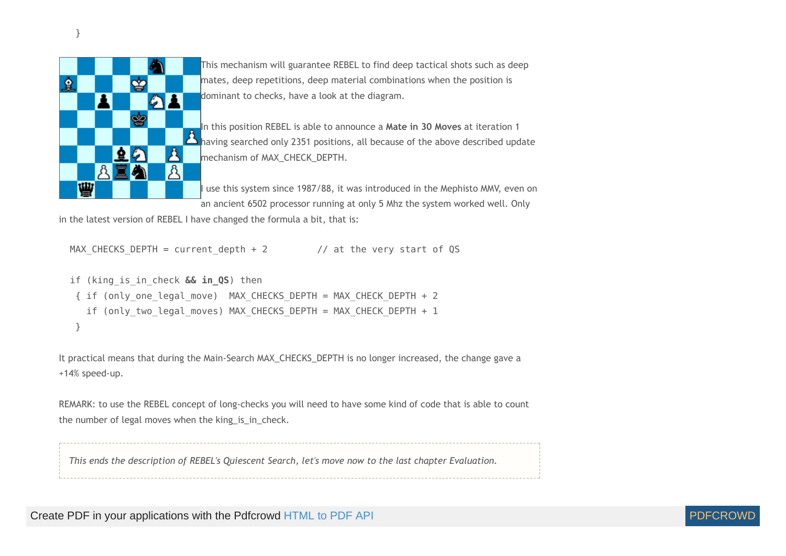

This mechanism will guarantee REBEL to find deep tactical shots such as deep mates, deep repetitions, deep material combinations when the position is dominant to checks, have a look at the diagram.

In this position REBEL is able to announce a **Mate in 30 Moves** at iteration 1 having searched only 2351 positions, all because of the above described update mechanism of MAX\_CHECK\_DEPTH.

I use this system since 1987/88, it was introduced in the Mephisto MMV, even on an ancient 6502 processor running at only 5 Mhz the system worked well. Only

in the latest version of REBEL I have changed the formula a bit, that is:

```
MAX CHECKS DEPTH = current depth + 2 // at the very start of QS
```

```
 if (king_is_in_check && in_QS) then
 { if (only_one_legal_move) MAX_CHECKS_DEPTH = MAX_CHECK_DEPTH + 2
   if (only two legal moves) MAX CHECKS DEPTH = MAX CHECK DEPTH + 1
  }
```
It practical means that during the Main-Search MAX\_CHECKS\_DEPTH is no longer increased, the change gave a +14% speed-up.

REMARK: to use the REBEL concept of long-checks you will need to have some kind of code that is able to count the number of legal moves when the king is in check.

*This ends the description of REBEL's Quiescent Search, let's move now to the last chapter Evaluation.*

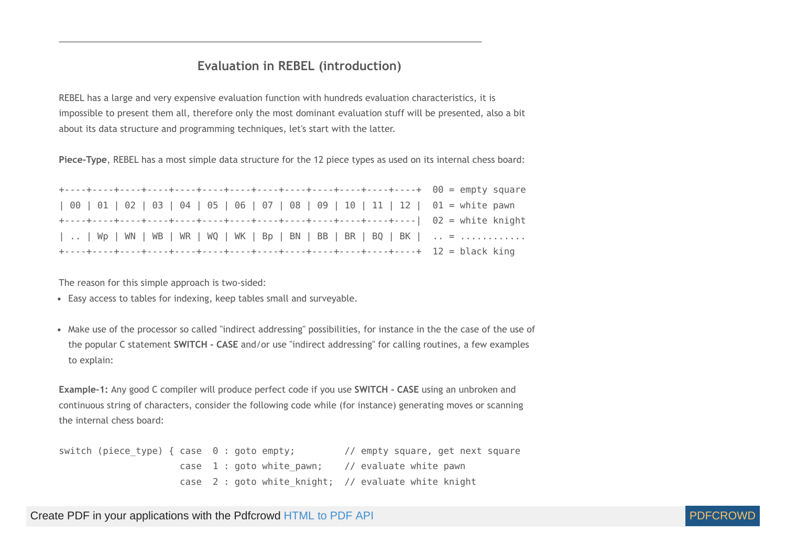## **Evaluation in REBEL (introduction)**

REBEL has a large and very expensive evaluation function with hundreds evaluation characteristics, it is impossible to present them all, therefore only the most dominant evaluation stuff will be presented, also a bit about its data structure and programming techniques, let's start with the latter.

**Piece-Type**, REBEL has a most simple data structure for the 12 piece types as used on its internal chess board:

| 00   01   02   03   04   05   06   07   08   09   10   11   12   01 = white pawn |  |
|----------------------------------------------------------------------------------|--|
|                                                                                  |  |
| Wp   WN   WB   WR   WQ   WK   Bp   BN   BB   BR   BQ   BK    =                   |  |
|                                                                                  |  |

The reason for this simple approach is two-sided:

Easy access to tables for indexing, keep tables small and surveyable.

Make use of the processor so called "indirect addressing" possibilities, for instance in the the case of the use of the popular C statement **SWITCH - CASE** and/or use "indirect addressing" for calling routines, a few examples to explain:

**Example-1:** Any good C compiler will produce perfect code if you use **SWITCH - CASE** using an unbroken and continuous string of characters, consider the following code while (for instance) generating moves or scanning the internal chess board:

switch (piece type) { case 0 : goto empty; // empty square, get next square case  $1:$  goto white pawn; // evaluate white pawn case 2 : goto white knight; // evaluate white knight

Create PDF in your applications with the Pdfcrowd [HTML to PDF API](https://pdfcrowd.com/doc/api/?ref=pdf) [PDFCROWD](https://pdfcrowd.com/?ref=pdf) AT A PUT API PDFCROWD BE A PUT AT A POST OF A PUT AND THE REAL PROPERTY AT A PUT AND A PUT AT A PUT AT A PUT AT A PUT AT A PUT AT A PUT AT A PUT AT

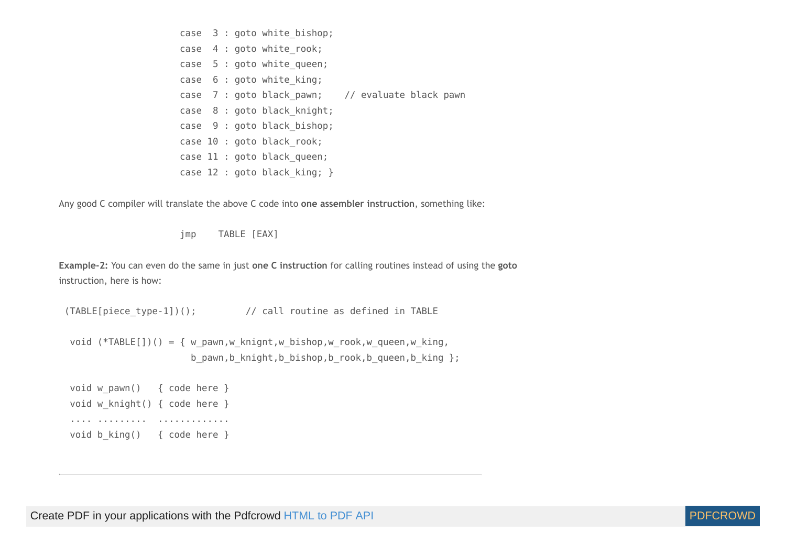|  |  | case 3 : goto white bishop;   |                                                  |  |
|--|--|-------------------------------|--------------------------------------------------|--|
|  |  | case 4 : goto white rook;     |                                                  |  |
|  |  | case 5 : goto white queen;    |                                                  |  |
|  |  | case 6 : goto white king;     |                                                  |  |
|  |  |                               | case 7 : goto black pawn; // evaluate black pawn |  |
|  |  | case 8 : goto black knight;   |                                                  |  |
|  |  | case 9 : goto black bishop;   |                                                  |  |
|  |  | case 10 : goto black rook;    |                                                  |  |
|  |  | case 11 : goto black queen;   |                                                  |  |
|  |  | case $12:$ goto black king; } |                                                  |  |

Any good C compiler will translate the above C code into **one assembler instruction**, something like:

jmp TABLE [EAX]

**Example-2:** You can even do the same in just **one C instruction** for calling routines instead of using the **goto** instruction, here is how:

(TABLE[piece\_type-1])(); // call routine as defined in TABLE

 void (\*TABLE[])() = { w\_pawn,w\_knignt,w\_bishop,w\_rook,w\_queen,w\_king, b pawn,b knight,b bishop,b rook,b queen,b king };

void w pawn() { code here } void w knight() { code here } .... ......... ............. void b king() { code here }

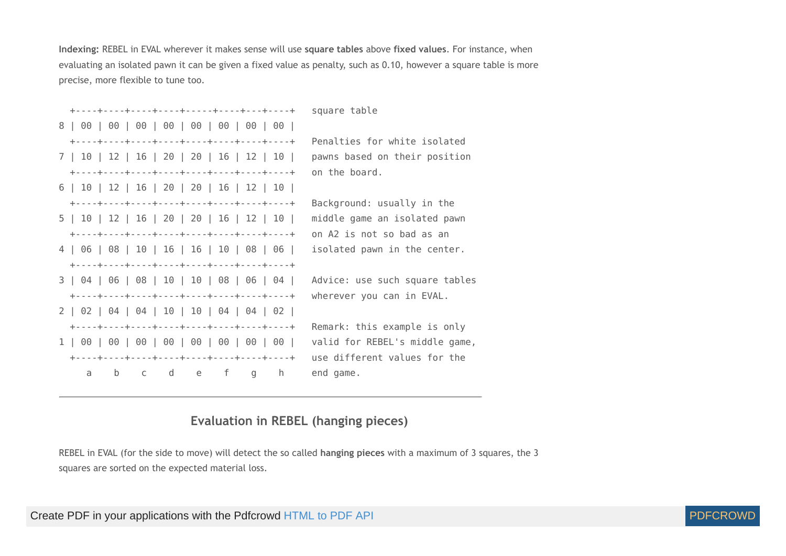**Indexing:** REBEL in EVAL wherever it makes sense will use **square tables** above **fixed values**. For instance, when evaluating an isolated pawn it can be given a fixed value as penalty, such as 0.10, however a square table is more precise, more flexible to tune too.

|     |   |  |                                           |  | +----+----+----+----+-----+-----+---+---+- | square table                   |
|-----|---|--|-------------------------------------------|--|--------------------------------------------|--------------------------------|
|     |   |  |                                           |  |                                            |                                |
|     |   |  |                                           |  |                                            | Penalties for white isolated   |
|     |   |  | 7   10   12   16   20   20   16   12   10 |  |                                            | pawns based on their position  |
|     |   |  |                                           |  |                                            | on the board.                  |
|     |   |  | 6   10   12   16   20   20   16   12   10 |  |                                            |                                |
|     |   |  |                                           |  |                                            | Background: usually in the     |
|     |   |  | 5   10   12   16   20   20   16   12   10 |  |                                            | middle game an isolated pawn   |
|     |   |  |                                           |  |                                            | on A2 is not so bad as an      |
|     |   |  |                                           |  | 4   06   08   10   16   16   10   08   06  | isolated pawn in the center.   |
|     |   |  |                                           |  |                                            |                                |
|     |   |  |                                           |  | 3   04   06   08   10   10   08   06   04  | Advice: use such square tables |
|     |   |  |                                           |  |                                            | wherever you can in EVAL.      |
|     |   |  | 2   02   04   04   10   10   04   04   02 |  |                                            |                                |
|     |   |  |                                           |  |                                            | Remark: this example is only   |
|     |   |  |                                           |  |                                            | valid for REBEL's middle game, |
|     |   |  |                                           |  |                                            | use different values for the   |
| a - | b |  | cde f g                                   |  | h                                          | end game.                      |

## **Evaluation in REBEL (hanging pieces)**

REBEL in EVAL (for the side to move) will detect the so called **hanging pieces** with a maximum of 3 squares, the 3 squares are sorted on the expected material loss.

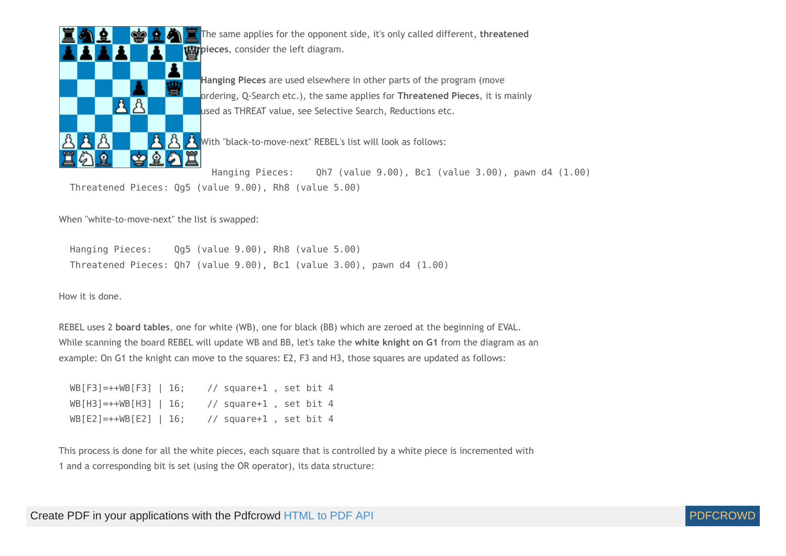

The same applies for the opponent side, it's only called different, **threatened pigman** pieces, consider the left diagram.

**Hanging Pieces** are used elsewhere in other parts of the program (move ordering, Q-Search etc.), the same applies for **Threatened Pieces**, it is mainly used as THREAT value, see Selective Search, Reductions etc.

 $\mathcal{R}$  With "black-to-move-next" REBEL's list will look as follows:

 Hanging Pieces: Qh7 (value 9.00), Bc1 (value 3.00), pawn d4 (1.00) Threatened Pieces: Qg5 (value 9.00), Rh8 (value 5.00)

When "white-to-move-next" the list is swapped:

 Hanging Pieces: Qg5 (value 9.00), Rh8 (value 5.00) Threatened Pieces: Qh7 (value 9.00), Bc1 (value 3.00), pawn d4 (1.00)

<span id="page-41-1"></span>How it is done.

REBEL uses 2 **board tables**, one for white (WB), one for black (BB) which are zeroed at the beginning of EVAL. While scanning the board REBEL will update WB and BB, let's take the **white knight on G1** from the diagram as an example: On G1 the knight can move to the squares: E2, F3 and H3, those squares are updated as follows:

| $WB[F3] = ++WB[F3]$   16; | // square+1, set bit 4  |  |  |
|---------------------------|-------------------------|--|--|
| $WB[H3] = ++WB[H3]$   16; | // square+1 , set bit 4 |  |  |
| $WB[E2] = ++WB[E2]   16;$ | // square+1, set bit 4  |  |  |

<span id="page-41-0"></span>This process is done for all the white pieces, each square that is controlled by a white piece is incremented with 1 and a corresponding bit is set (using the OR operator), its data structure:

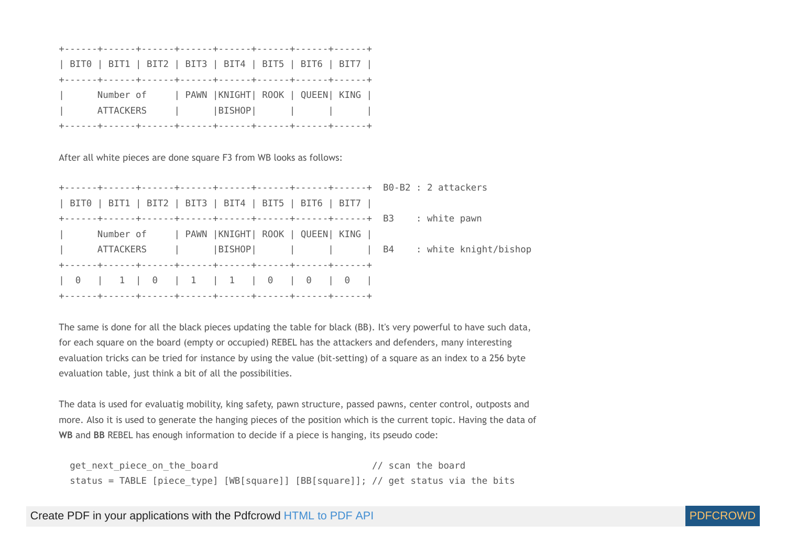|              | BITO   BIT1   BIT2   BIT3   BIT4   BIT5   BIT6   BIT7 |  |  |
|--------------|-------------------------------------------------------|--|--|
|              |                                                       |  |  |
| $\mathbf{r}$ | Number of   PAWN   KNIGHT   ROOK   QUEEN   KING       |  |  |
| $\Box$       | ATTACKERS      BISHOP                                 |  |  |
|              |                                                       |  |  |

After all white pieces are done square F3 from WB looks as follows:

|                             | BIT0   BIT1   BIT2   BIT3   BIT4   BIT5   BIT6   BIT7 |  |  |                                                     |
|-----------------------------|-------------------------------------------------------|--|--|-----------------------------------------------------|
|                             |                                                       |  |  | : white pawn                                        |
| and the state               | Number of   PAWN  KNIGHT  ROOK   QUEEN  KING          |  |  |                                                     |
| $\mathcal{L} = \mathcal{L}$ |                                                       |  |  | ATTACKERS    BISHOP        B4 : white knight/bishop |
|                             |                                                       |  |  |                                                     |
|                             | 0   1   0   1   1   0   0   0                         |  |  |                                                     |
|                             |                                                       |  |  |                                                     |

The same is done for all the black pieces updating the table for black (BB). It's very powerful to have such data, for each square on the board (empty or occupied) REBEL has the attackers and defenders, many interesting evaluation tricks can be tried for instance by using the value (bit-setting) of a square as an index to a 256 byte evaluation table, just think a bit of all the possibilities.

The data is used for evaluatig mobility, king safety, pawn structure, passed pawns, center control, outposts and more. Also it is used to generate the hanging pieces of the position which is the current topic. Having the data of **WB** and **BB** REBEL has enough information to decide if a piece is hanging, its pseudo code:

get next piece on the board and the state of the board the board of the board of the board of the board of the board of the board of the board of the board of the board of the board of the board of the board of the board o status = TABLE [piece\_type] [WB[square]] [BB[square]]; // get status via the bits

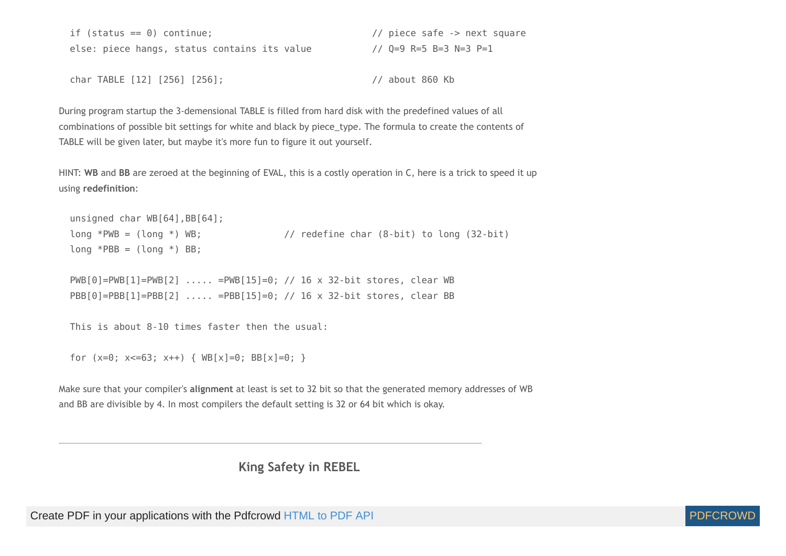| if (status == $0$ ) continue;                | // piece safe -> next square |
|----------------------------------------------|------------------------------|
| else: piece hangs, status contains its value | // Q=9 R=5 B=3 N=3 P=1       |

char TABLE [12] [256] [256]; // about 860 Kb

During program startup the 3-demensional TABLE is filled from hard disk with the predefined values of all combinations of possible bit settings for white and black by piece\_type. The formula to create the contents of TABLE will be given later, but maybe it's more fun to figure it out yourself.

HINT: **WB** and **BB** are zeroed at the beginning of EVAL, this is a costly operation in C, here is a trick to speed it up using **redefinition**:

```
unsigned char WB[64], BB[64];
long *PWB = (long *) WB; // redefine char (8-bit) to long (32-bit)
long *PBB = (long *) BB;
```
 PWB[0]=PWB[1]=PWB[2] ..... =PWB[15]=0; // 16 x 32-bit stores, clear WB PBB[0]=PBB[1]=PBB[2] ..... =PBB[15]=0; // 16 x 32-bit stores, clear BB

```
 This is about 8-10 times faster then the usual:
```

```
for (x=0; x<=63; x++) { WB[x]=0; BB[x]=0; }
```
Make sure that your compiler's **alignment** at least is set to 32 bit so that the generated memory addresses of WB and BB are divisible by 4. In most compilers the default setting is 32 or 64 bit which is okay.

**King Safety in REBEL**

Create PDF in your applications with the Pdfcrowd [HTML to PDF API](https://pdfcrowd.com/doc/api/?ref=pdf) PDF API [PDFCROWD](https://pdfcrowd.com/?ref=pdf) CREATED AT A PDFCROWD PDFCROWD

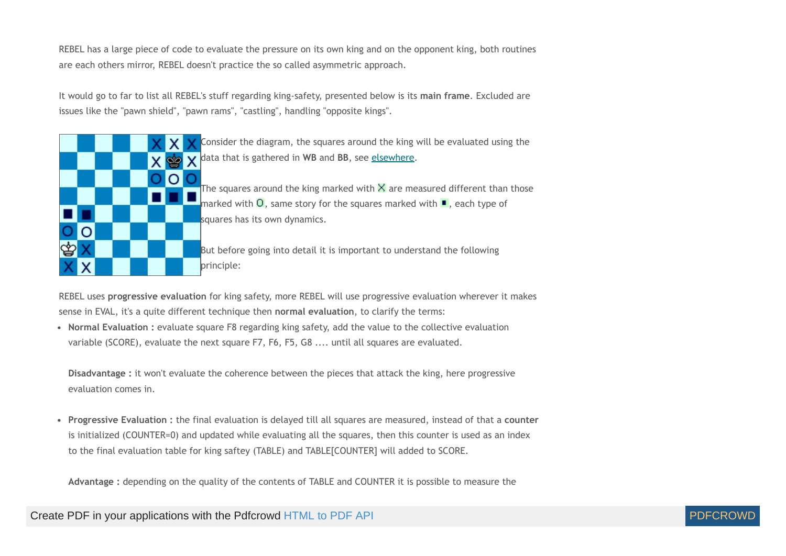REBEL has a large piece of code to evaluate the pressure on its own king and on the opponent king, both routines are each others mirror, REBEL doesn't practice the so called asymmetric approach.

It would go to far to list all REBEL's stuff regarding king-safety, presented below is its **main frame**. Excluded are issues like the "pawn shield", "pawn rams", "castling", handling "opposite kings".



Consider the diagram, the squares around the king will be evaluated using the data that is gathered in **WB** and **BB**, see [elsewhere.](#page-41-0)

The squares around the king marked with  $\times$  are measured different than those marked with  $\overline{O}$ , same story for the squares marked with  $\blacksquare$ , each type of squares has its own dynamics.

But before going into detail it is important to understand the following principle:

REBEL uses **progressive evaluation** for king safety, more REBEL will use progressive evaluation wherever it makes sense in EVAL, it's a quite different technique then **normal evaluation**, to clarify the terms:

**Normal Evaluation :** evaluate square F8 regarding king safety, add the value to the collective evaluation variable (SCORE), evaluate the next square F7, F6, F5, G8 .... until all squares are evaluated.

**Disadvantage :** it won't evaluate the coherence between the pieces that attack the king, here progressive evaluation comes in.

**Progressive Evaluation :** the final evaluation is delayed till all squares are measured, instead of that a **counter** is initialized (COUNTER=0) and updated while evaluating all the squares, then this counter is used as an index to the final evaluation table for king saftey (TABLE) and TABLE[COUNTER] will added to SCORE.

**Advantage :** depending on the quality of the contents of TABLE and COUNTER it is possible to measure the

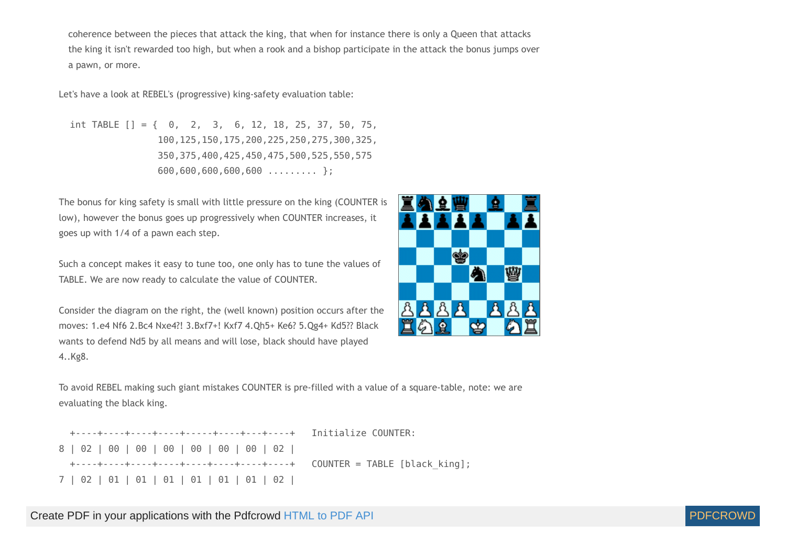coherence between the pieces that attack the king, that when for instance there is only a Queen that attacks the king it isn't rewarded too high, but when a rook and a bishop participate in the attack the bonus jumps over a pawn, or more.

Let's have a look at REBEL's (progressive) king-safety evaluation table:

int TABLE  $[$ ] = { 0, 2, 3, 6, 12, 18, 25, 37, 50, 75, 100,125,150,175,200,225,250,275,300,325, 350,375,400,425,450,475,500,525,550,575 600,600,600,600,600 ......... };

<span id="page-45-0"></span>The bonus for king safety is small with little pressure on the king (COUNTER is low), however the bonus goes up progressively when COUNTER increases, it goes up with 1/4 of a pawn each step.

Such a concept makes it easy to tune too, one only has to tune the values of TABLE. We are now ready to calculate the value of COUNTER.

Consider the diagram on the right, the (well known) position occurs after the moves: 1.e4 Nf6 2.Bc4 Nxe4?! 3.Bxf7+! Kxf7 4.Qh5+ Ke6? 5.Qg4+ Kd5?? Black wants to defend Nd5 by all means and will lose, black should have played 4..Kg8.



To avoid REBEL making such giant mistakes COUNTER is pre-filled with a value of a square-table, note: we are evaluating the black king.

|  |  |  |  |  | 7   02   01   01   01   01   01   01   02 |  |
|--|--|--|--|--|-------------------------------------------|--|

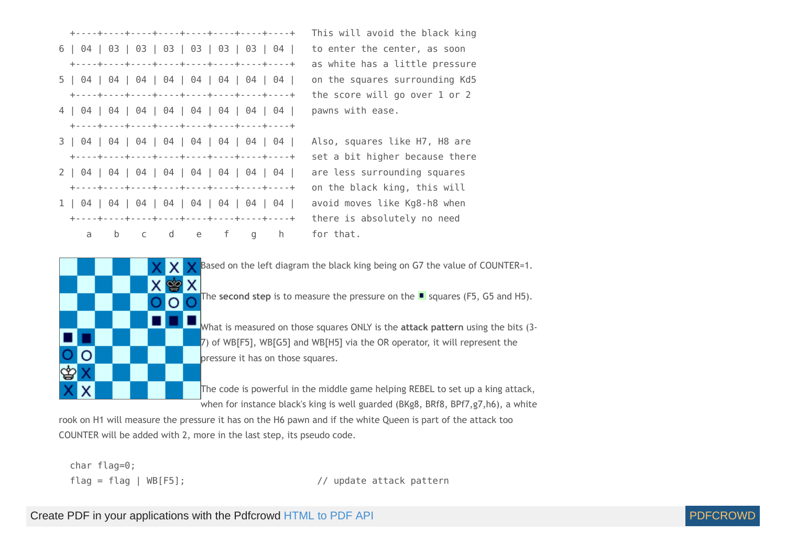



Based on the left diagram the black king being on G7 the value of COUNTER=1.

The **second step** is to measure the pressure on the  $\blacksquare$  squares (F5, G5 and H5).

What is measured on those squares ONLY is the **attack pattern** using the bits (3- 7) of WB[F5], WB[G5] and WB[H5] via the OR operator, it will represent the pressure it has on those squares.

The code is powerful in the middle game helping REBEL to set up a king attack, when for instance black's king is well guarded (BKg8, BRf8, BPf7,g7,h6), a white

rook on H1 will measure the pressure it has on the H6 pawn and if the white Queen is part of the attack too COUNTER will be added with 2, more in the last step, its pseudo code.

char flag=0;

flag = flag | WB[F5]; // update attack pattern

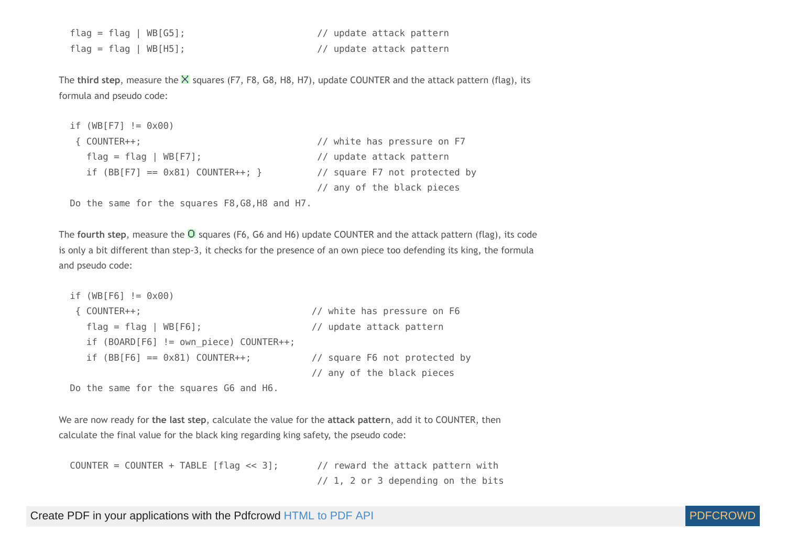| $flag = flag   WB[G5];$ | // update attack pattern |
|-------------------------|--------------------------|
| $flag = flag   WB[H5];$ | // update attack pattern |

The **third step**, measure the X squares (F7, F8, G8, H8, H7), update COUNTER and the attack pattern (flag), its formula and pseudo code:

```
if (WB[F7] != 0 \times 00)
 { COUNTER++; // white has pressure on F7
   flag = flag | WB[F7]; // update attack pattern
  if (BB[ F7] == 0x81) COUNTER++; } // square F7 not protected by
                                     // any of the black pieces
```
Do the same for the squares F8,G8,H8 and H7.

The **fourth** step, measure the O squares (F6, G6 and H6) update COUNTER and the attack pattern (flag), its code is only a bit different than step-3, it checks for the presence of an own piece too defending its king, the formula and pseudo code:

```
if (WB[F6] != 0 \times 00)
 { COUNTER++; // white has pressure on F6
   flag = flag | WB[F6]; // update attack pattern
  if (BOARD[F6] != own piece) COUNTER++;
  if (BB[F6] == 0x81) COUNTER++; // square F6 not protected by
                                     // any of the black pieces
```
Do the same for the squares G6 and H6.

We are now ready for **the last step**, calculate the value for the **attack pattern**, add it to COUNTER, then calculate the final value for the black king regarding king safety, the pseudo code:

| $COUNTER = COUNTER + TABLE [flag \ll 3];$ | // reward the attack pattern with    |
|-------------------------------------------|--------------------------------------|
|                                           | $1/1$ , 2 or 3 depending on the bits |

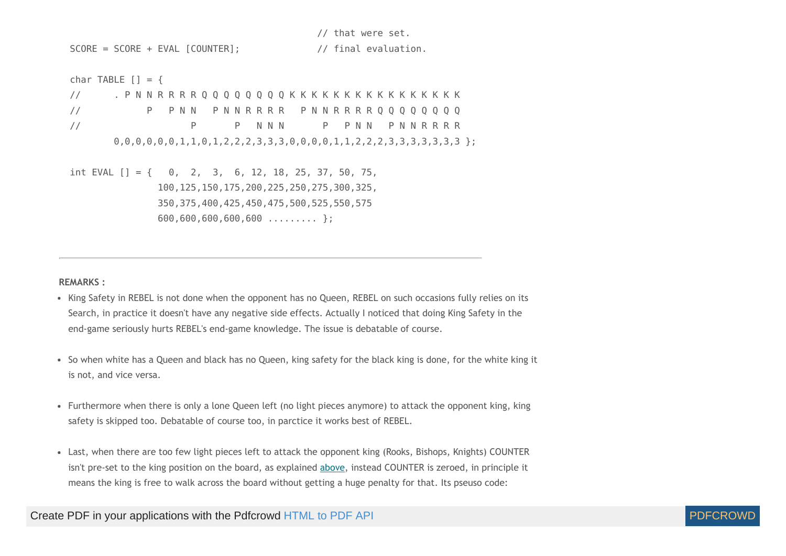SCORE = SCORE + EVAL [COUNTER];  $\frac{1}{2}$  // final evaluation. char TABLE  $[1] = \{$  // . P N N R R R R Q Q Q Q Q Q Q Q K K K K K K K K K K K K K K K K // P P NN P N N R R R P N N R R R R Q Q Q Q Q Q Q Q // P P N N N P P N N P N N R R R R  $0,0,0,0,0,0,1,1,0,1,2,2,2,3,3,3,0,0,0,0,1,1,2,2,2,3,3,3,3,3,3,3;$  int EVAL [] = { 0, 2, 3, 6, 12, 18, 25, 37, 50, 75, 100,125,150,175,200,225,250,275,300,325, 350,375,400,425,450,475,500,525,550,575 600,600,600,600,600 ......... };

// that were set.

**REMARKS :**

- King Safety in REBEL is not done when the opponent has no Queen, REBEL on such occasions fully relies on its Search, in practice it doesn't have any negative side effects. Actually I noticed that doing King Safety in the end-game seriously hurts REBEL's end-game knowledge. The issue is debatable of course.
- So when white has a Queen and black has no Queen, king safety for the black king is done, for the white king it is not, and vice versa.
- Furthermore when there is only a lone Queen left (no light pieces anymore) to attack the opponent king, king safety is skipped too. Debatable of course too, in parctice it works best of REBEL.
- Last, when there are too few light pieces left to attack the opponent king (Rooks, Bishops, Knights) COUNTER isn't pre-set to the king position on the board, as explained [above](#page-45-0), instead COUNTER is zeroed, in principle it means the king is free to walk across the board without getting a huge penalty for that. Its pseuso code:

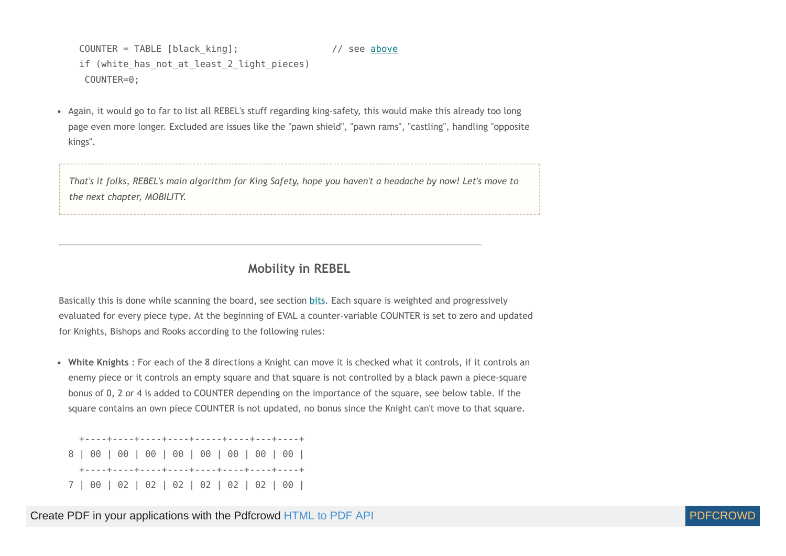COUNTER = TABLE [black king]; // see [above](#page-45-0) if (white has not at least 2 light pieces) COUNTER=0;

Again, it would go to far to list all REBEL's stuff regarding king-safety, this would make this already too long  $\bullet$ page even more longer. Excluded are issues like the "pawn shield", "pawn rams", "castling", handling "opposite kings".

That's it folks, REBEL's main algorithm for King Safety, hope you haven't a headache by now! Let's move to *the next chapter, MOBILITY.*

## **Mobility in REBEL**

<span id="page-49-0"></span>Basically this is done while scanning the board, see section [bits](#page-41-1). Each square is weighted and progressively evaluated for every piece type. At the beginning of EVAL a counter-variable COUNTER is set to zero and updated for Knights, Bishops and Rooks according to the following rules:

**White Knights** : For each of the 8 directions a Knight can move it is checked what it controls, if it controls an enemy piece or it controls an empty square and that square is not controlled by a black pawn a piece-square bonus of 0, 2 or 4 is added to COUNTER depending on the importance of the square, see below table. If the square contains an own piece COUNTER is not updated, no bonus since the Knight can't move to that square.

 +----+----+----+----+-----+----+---+----+ 8 | 00 | 00 | 00 | 00 | 00 | 00 | 00 | 00 | +----+----+----+----+----+----+----+----+ 7 | 00 | 02 | 02 | 02 | 02 | 02 | 02 | 00 |

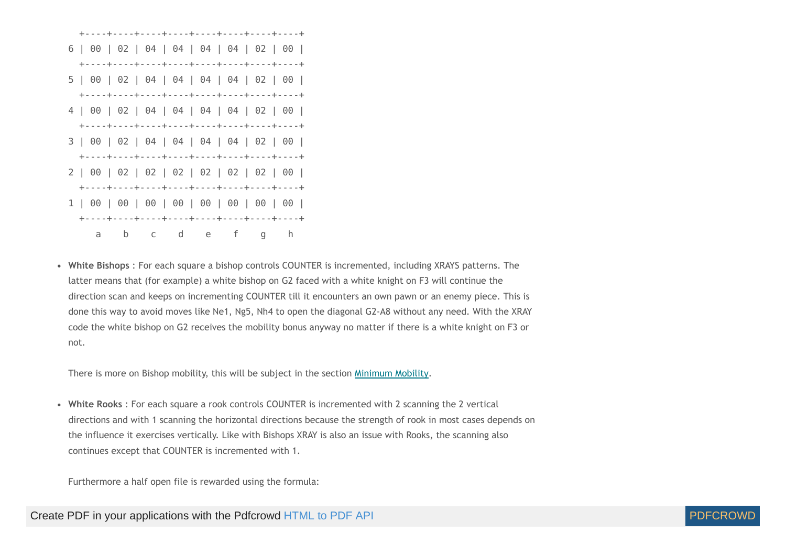

<span id="page-50-0"></span>**White Bishops** : For each square a bishop controls COUNTER is incremented, including XRAYS patterns. The latter means that (for example) a white bishop on G2 faced with a white knight on F3 will continue the direction scan and keeps on incrementing COUNTER till it encounters an own pawn or an enemy piece. This is done this way to avoid moves like Ne1, Ng5, Nh4 to open the diagonal G2-A8 without any need. With the XRAY code the white bishop on G2 receives the mobility bonus anyway no matter if there is a white knight on F3 or not.

There is more on Bishop mobility, this will be subject in the section [Minimum](#page-66-0) Mobility.

**White Rooks** : For each square a rook controls COUNTER is incremented with 2 scanning the 2 vertical directions and with 1 scanning the horizontal directions because the strength of rook in most cases depends on the influence it exercises vertically. Like with Bishops XRAY is also an issue with Rooks, the scanning also continues except that COUNTER is incremented with 1.

Furthermore a half open file is rewarded using the formula:

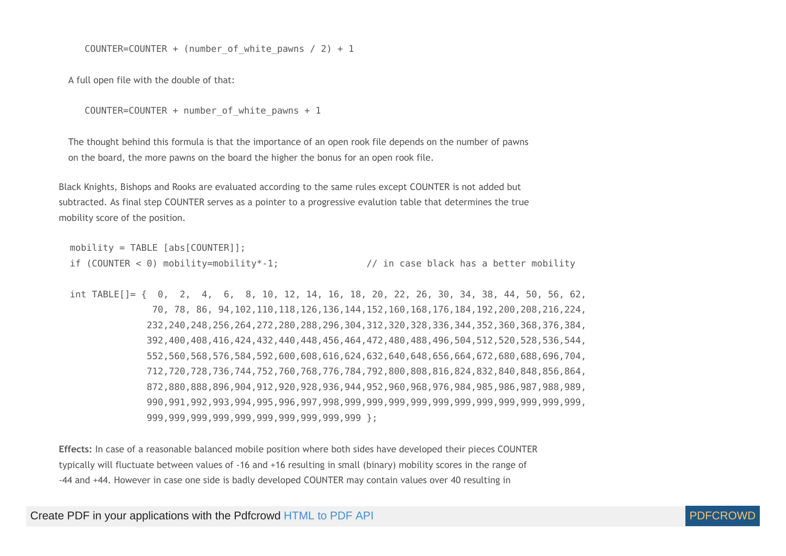COUNTER=COUNTER + (number of white pawns / 2) + 1

A full open file with the double of that:

```
COUNTER=COUNTER + number of white pawns + 1
```
The thought behind this formula is that the importance of an open rook file depends on the number of pawns on the board, the more pawns on the board the higher the bonus for an open rook file.

Black Knights, Bishops and Rooks are evaluated according to the same rules except COUNTER is not added but subtracted. As final step COUNTER serves as a pointer to a progressive evalution table that determines the true mobility score of the position.

```
mobility = TABLE [abs[COUNTER]];
if (COUNTER < 0) mobility=mobility*-1; \frac{1}{2} // in case black has a better mobility
```
 int TABLE[]= { 0, 2, 4, 6, 8, 10, 12, 14, 16, 18, 20, 22, 26, 30, 34, 38, 44, 50, 56, 62, 70, 78, 86, 94,102,110,118,126,136,144,152,160,168,176,184,192,200,208,216,224, 232,240,248,256,264,272,280,288,296,304,312,320,328,336,344,352,360,368,376,384, 392,400,408,416,424,432,440,448,456,464,472,480,488,496,504,512,520,528,536,544, 552,560,568,576,584,592,600,608,616,624,632,640,648,656,664,672,680,688,696,704, 712,720,728,736,744,752,760,768,776,784,792,800,808,816,824,832,840,848,856,864, 872,880,888,896,904,912,920,928,936,944,952,960,968,976,984,985,986,987,988,989, 990,991,992,993,994,995,996,997,998,999,999,999,999,999,999,999,999,999,999,999, 999,999,999,999,999,999,999,999,999,999 };

**Effects:** In case of a reasonable balanced mobile position where both sides have developed their pieces COUNTER typically will fluctuate between values of -16 and +16 resulting in small (binary) mobility scores in the range of -44 and +44. However in case one side is badly developed COUNTER may contain values over 40 resulting in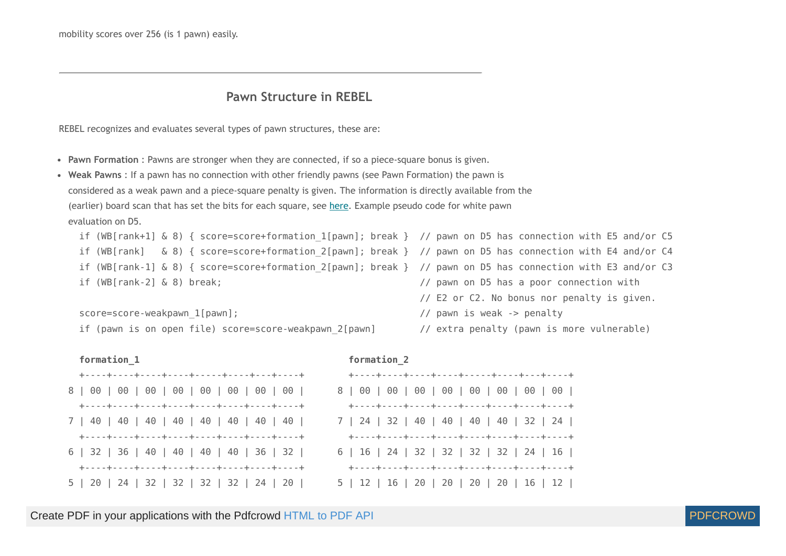mobility scores over 256 (is 1 pawn) easily.

### **Pawn Structure in REBEL**

REBEL recognizes and evaluates several types of pawn structures, these are:

- **Pawn Formation** : Pawns are stronger when they are connected, if so a piece-square bonus is given.
- **Weak Pawns** : If a pawn has no connection with other friendly pawns (see Pawn Formation) the pawn is considered as a weak pawn and a piece-square penalty is given. The information is directly available from the (earlier) board scan that has set the bits for each square, see [here](#page-41-1). Example pseudo code for white pawn evaluation on D5.

```
 if (WB[rank+1] & 8) { score=score+formation_1[pawn]; break } // pawn on D5 has connection with E5 and/or C5
if (WB[rank] & 8) { score=score+formation 2[pawn]; break } // pawn on D5 has connection with E4 and/or C4
if (WB[rank-1] & 8) { score=score+formation 2[pawn]; break } // pawn on D5 has connection with E3 and/or C3
if (WB[rank-2] & 8) break; \frac{1}{2} // pawn on D5 has a poor connection with
                                                           // E2 or C2. No bonus nor penalty is given.
```
score=score-weakpawn 1[pawn];  $\frac{1}{2}$  // pawn is weak -> penalty

```
if (pawn is on open file) score=score-weakpawn 2[pawn] // extra penalty (pawn is more vulnerable)
```

| formation 1                               | formation <sub>2</sub>   |
|-------------------------------------------|--------------------------|
| +----+----+----+----+-----+-----+---+---+ | +----+----+              |
|                                           | 8 00 00                  |
|                                           | +----+----+              |
|                                           | 7   24   32              |
|                                           | +----+----+-             |
| 6   32   36   40   40   40   40   36   32 | $6 \mid 16 \mid 24 \mid$ |
|                                           | +----+----+              |
| 5   20   24   32   32   32   32   24   20 | $5 \mid 12 \mid 16 \mid$ |
|                                           |                          |

| $\frac{1}{2}$ of $\frac{1}{2}$ of $\frac{1}{2}$ of $\frac{1}{2}$ | $\frac{1}{2}$                               |
|------------------------------------------------------------------|---------------------------------------------|
| +----+----+----+----+-----+----+----+---+                        | +----+----+----+----+-----+----+---+---+--- |
|                                                                  |                                             |
|                                                                  |                                             |
|                                                                  | 7   24   32   40   40   40   40   32   24   |
|                                                                  |                                             |
| 6   32   36   40   40   40   40   36   32                        | 6   16   24   32   32   32   32   24   16   |
|                                                                  |                                             |
| 5   20   24   32   32   32   32   24   20                        | 5   12   16   20   20   20   20   16   12   |

Create PDF in your applications with the Pdfcrowd [HTML to PDF API](https://pdfcrowd.com/doc/api/?ref=pdf) [PDFCROWD](https://pdfcrowd.com/?ref=pdf) AND THE POFCROWD PUT API PDFCROWD AT A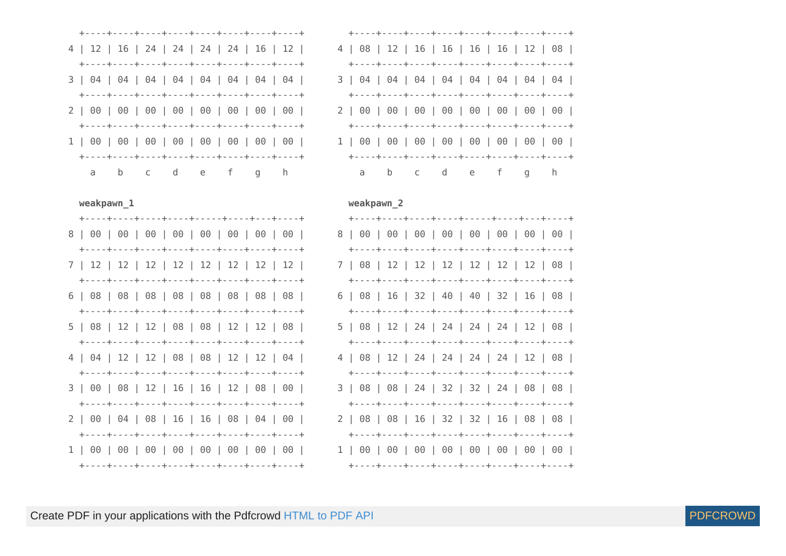|  |  |  |  |  |  | 4   12   16   24   24   24   24   16   12 |  |  |  |
|--|--|--|--|--|--|-------------------------------------------|--|--|--|
|  |  |  |  |  |  |                                           |  |  |  |
|  |  |  |  |  |  |                                           |  |  |  |
|  |  |  |  |  |  |                                           |  |  |  |
|  |  |  |  |  |  |                                           |  |  |  |
|  |  |  |  |  |  |                                           |  |  |  |
|  |  |  |  |  |  |                                           |  |  |  |
|  |  |  |  |  |  |                                           |  |  |  |
|  |  |  |  |  |  | a b c d e f g h                           |  |  |  |

|  |  |  |  | 4   08   12   16   16   16   16   12   08 |  |  |  |  |  |
|--|--|--|--|-------------------------------------------|--|--|--|--|--|
|  |  |  |  |                                           |  |  |  |  |  |
|  |  |  |  |                                           |  |  |  |  |  |
|  |  |  |  |                                           |  |  |  |  |  |
|  |  |  |  |                                           |  |  |  |  |  |
|  |  |  |  |                                           |  |  |  |  |  |
|  |  |  |  | 1 00 00 00 00 00 00 00 00                 |  |  |  |  |  |
|  |  |  |  |                                           |  |  |  |  |  |
|  |  |  |  | a b c d e f g h                           |  |  |  |  |  |

#### weakpawn 2

| +----+----+----+----+-----+----+----+---+--                                               |  |  |  |  |  |  |  |
|-------------------------------------------------------------------------------------------|--|--|--|--|--|--|--|
|                                                                                           |  |  |  |  |  |  |  |
| 7   08   12   12   12   12   12   12   08                                                 |  |  |  |  |  |  |  |
| 6   08   16   32   40   40   32   16   08                                                 |  |  |  |  |  |  |  |
| 5   08   12   24   24   24   24   12   08                                                 |  |  |  |  |  |  |  |
| 4   08   12   24   24   24   24   12   08                                                 |  |  |  |  |  |  |  |
|                                                                                           |  |  |  |  |  |  |  |
| 3   08   08   24   32   32   24   08   08                                                 |  |  |  |  |  |  |  |
| 2   08   08   16   32   32   16   08   08  <br>+----+----+----+----+----+----+----+---+-- |  |  |  |  |  |  |  |
|                                                                                           |  |  |  |  |  |  |  |



weakpawn 1

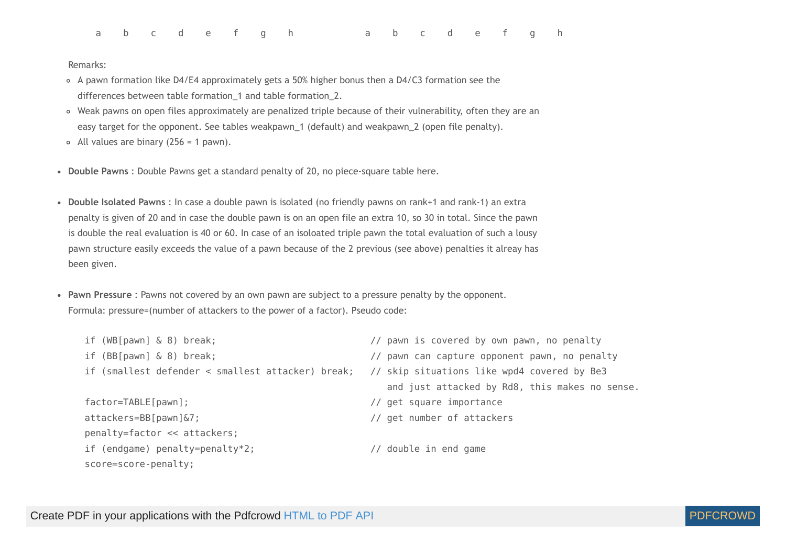| abc def ghabc def gh |  |  |  |  |  |  |  |  |
|----------------------|--|--|--|--|--|--|--|--|
|                      |  |  |  |  |  |  |  |  |

Remarks:

- A pawn formation like D4/E4 approximately gets a 50% higher bonus then a D4/C3 formation see the differences between table formation\_1 and table formation\_2.
- Weak pawns on open files approximately are penalized triple because of their vulnerability, often they are an easy target for the opponent. See tables weakpawn\_1 (default) and weakpawn\_2 (open file penalty).
- $\circ$  All values are binary (256 = 1 pawn).
- **Double Pawns** : Double Pawns get a standard penalty of 20, no piece-square table here.
- **Double Isolated Pawns** : In case a double pawn is isolated (no friendly pawns on rank+1 and rank-1) an extra penalty is given of 20 and in case the double pawn is on an open file an extra 10, so 30 in total. Since the pawn is double the real evaluation is 40 or 60. In case of an isoloated triple pawn the total evaluation of such a lousy pawn structure easily exceeds the value of a pawn because of the 2 previous (see above) penalties it alreay has been given.
- **Pawn Pressure** : Pawns not covered by an own pawn are subject to a pressure penalty by the opponent. Formula: pressure=(number of attackers to the power of a factor). Pseudo code:

| if $(WB[pawn] & 8)$ break;                        | // pawn is covered by own pawn, no penalty     |  |  |  |  |  |
|---------------------------------------------------|------------------------------------------------|--|--|--|--|--|
| if $(BB[$ pawn $]$ & 8) break;                    | // pawn can capture opponent pawn, no penalty  |  |  |  |  |  |
| if (smallest defender < smallest attacker) break; | // skip situations like wpd4 covered by Be3    |  |  |  |  |  |
|                                                   | and just attacked by Rd8, this makes no sense. |  |  |  |  |  |
| $factor = TABLE[pawn];$                           | // get square importance                       |  |  |  |  |  |
| $attackers = BB[pawn]$                            | // get number of attackers                     |  |  |  |  |  |
| penalty=factor << attackers;                      |                                                |  |  |  |  |  |
| if (endgame) penalty=penalty*2;                   | // double in end game                          |  |  |  |  |  |
| score=score-penalty;                              |                                                |  |  |  |  |  |

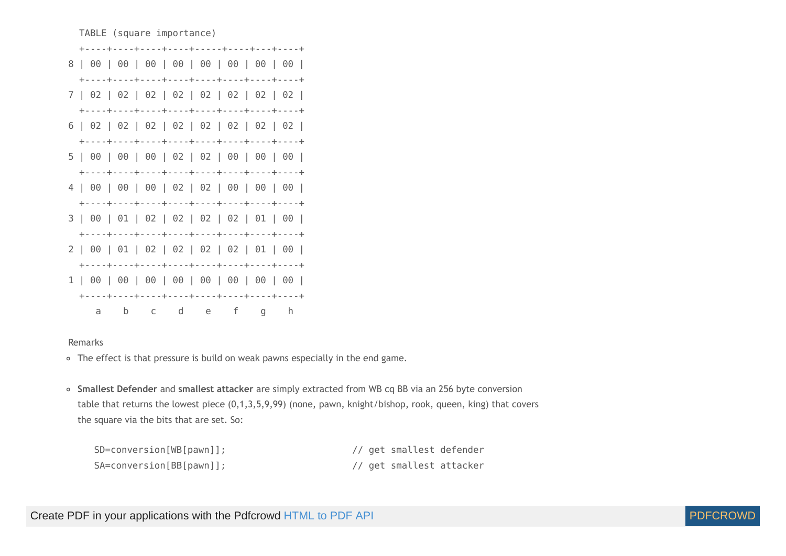

Remarks

- The effect is that pressure is build on weak pawns especially in the end game.
- **Smallest Defender** and **smallest attacker** are simply extracted from WB cq BB via an 256 byte conversion table that returns the lowest piece (0,1,3,5,9,99) (none, pawn, knight/bishop, rook, queen, king) that covers the square via the bits that are set. So:

| SD=conversion[WB[pawn]]; |  | // get smallest defender |  |
|--------------------------|--|--------------------------|--|
| SA=conversion[BB[pawn]]; |  | // get smallest attacker |  |

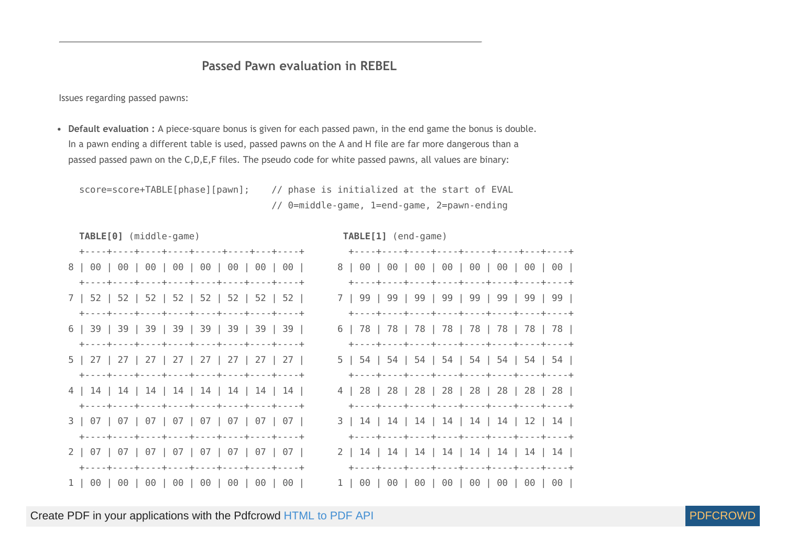## **Passed Pawn evaluation in REBEL**

Issues regarding passed pawns:

**Default evaluation :** A piece-square bonus is given for each passed pawn, in the end game the bonus is double. In a pawn ending a different table is used, passed pawns on the A and H file are far more dangerous than a passed passed pawn on the C,D,E,F files. The pseudo code for white passed pawns, all values are binary:

 score=score+TABLE[phase][pawn]; // phase is initialized at the start of EVAL // 0=middle-game, 1=end-game, 2=pawn-ending



Create PDF in your applications with the Pdfcrowd [HTML to PDF API](https://pdfcrowd.com/doc/api/?ref=pdf) [PDFCROWD](https://pdfcrowd.com/?ref=pdf)

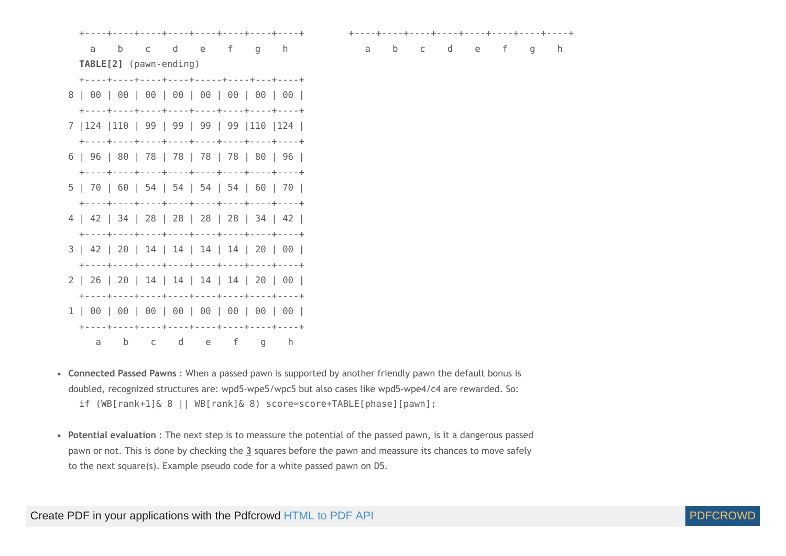

- **Connected Passed Pawns** : When a passed pawn is supported by another friendly pawn the default bonus is doubled, recognized structures are: wpd5-wpe5/wpc5 but also cases like wpd5-wpe4/c4 are rewarded. So: if (WB[rank+1]& 8 || WB[rank]& 8) score=score+TABLE[phase][pawn];
- **Potential evaluation** : The next step is to meassure the potential of the passed pawn, is it a dangerous passed pawn or not. This is done by checking the **3** squares before the pawn and meassure its chances to move safely to the next square(s). Example pseudo code for a white passed pawn on D5.

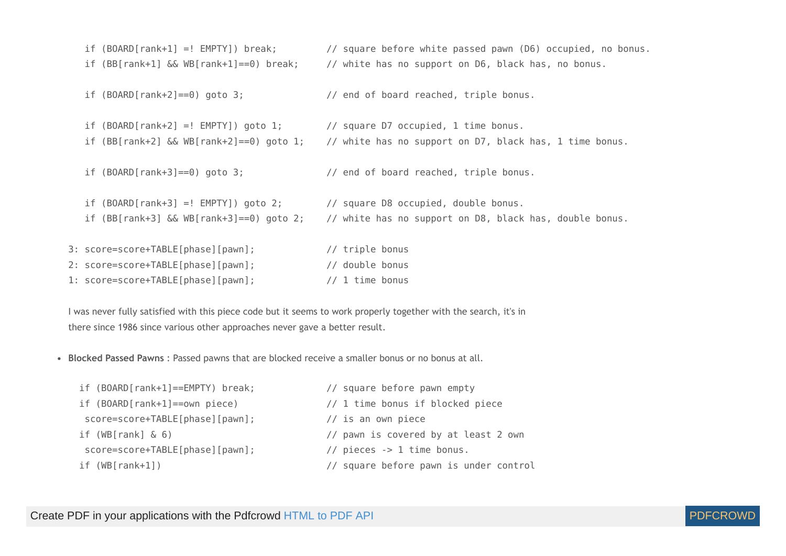```
 if (BOARD[rank+1] =! EMPTY]) break; // square before white passed pawn (D6) occupied, no bonus.
   if (BB[rank+1] && WB[rank+1]==0) break; // white has no support on D6, black has, no bonus.
   if (BOARD[rank+2]==0) goto 3; // end of board reached, triple bonus.
   if (BOARD[rank+2] =! EMPTY]) goto 1; // square D7 occupied, 1 time bonus.
   if (BB[rank+2] && WB[rank+2]==0) goto 1; // white has no support on D7, black has, 1 time bonus.
   if (BOARD[rank+3]==0) goto 3; // end of board reached, triple bonus.
   if (BOARD[rank+3] =! EMPTY]) goto 2; // square D8 occupied, double bonus.
   if (BB[rank+3] && WB[rank+3]==0) goto 2; // white has no support on D8, black has, double bonus.
3: score=score+TABLE[phase][pawn]; // triple bonus
2: score=score+TABLE[phase][pawn]; // double bonus
1: score=score+TABLE[phase][pawn]; // 1 time bonus
```
I was never fully satisfied with this piece code but it seems to work properly together with the search, it's in there since 1986 since various other approaches never gave a better result.

**Blocked Passed Pawns** : Passed pawns that are blocked receive a smaller bonus or no bonus at all.

```
 if (BOARD[rank+1]==EMPTY) break; // square before pawn empty
 if (BOARD[rank+1]==own piece) // 1 time bonus if blocked piece
 score=score+TABLE[phase][pawn]; // is an own piece
 if (WB[rank] & 6) // pawn is covered by at least 2 own
 score=score+TABLE[phase][pawn]; // pieces -> 1 time bonus.
 if (WB[rank+1]) // square before pawn is under control
```
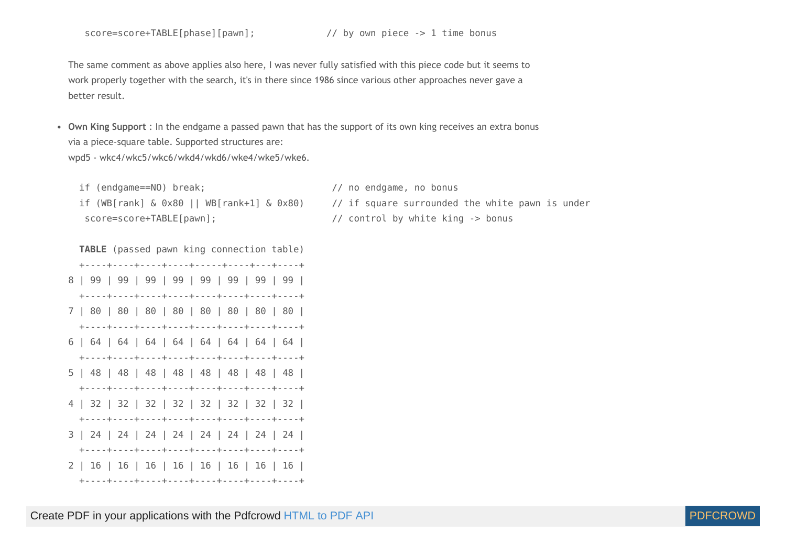score=score+TABLE[phase][pawn]; // by own piece -> 1 time bonus

The same comment as above applies also here, I was never fully satisfied with this piece code but it seems to work properly together with the search, it's in there since 1986 since various other approaches never gave a better result.

**Own King Support** : In the endgame a passed pawn that has the support of its own king receives an extra bonus via a piece-square table. Supported structures are: wpd5 - wkc4/wkc5/wkc6/wkd4/wkd6/wke4/wke5/wke6.

 if (endgame==NO) break; // no endgame, no bonus if (WB[rank] & 0x80 || WB[rank+1] & 0x80) // if square surrounded the white pawn is under score=score+TABLE[pawn]; // control by white king -> bonus

 **TABLE** (passed pawn king connection table) +----+----+----+----+-----+----+---+----+ 8 | 99 | 99 | 99 | 99 | 99 | 99 | 99 | 99 | +----+----+----+----+----+----+----+----+ 7 | 80 | 80 | 80 | 80 | 80 | 80 | 80 | 80 | +----+----+----+----+----+----+----+----+ 6 | 64 | 64 | 64 | 64 | 64 | 64 | 64 | 64 | +----+----+----+----+----+----+----+----+ 5 | 48 | 48 | 48 | 48 | 48 | 48 | 48 | 48 | +----+----+----+----+----+----+----+----+ 4 | 32 | 32 | 32 | 32 | 32 | 32 | 32 | 32 | +----+----+----+----+----+----+----+----+ 3 | 24 | 24 | 24 | 24 | 24 | 24 | 24 | 24 | +----+----+----+----+----+----+----+----+ 2 | 16 | 16 | 16 | 16 | 16 | 16 | 16 | 16 | +----+----+----+----+----+----+----+----+

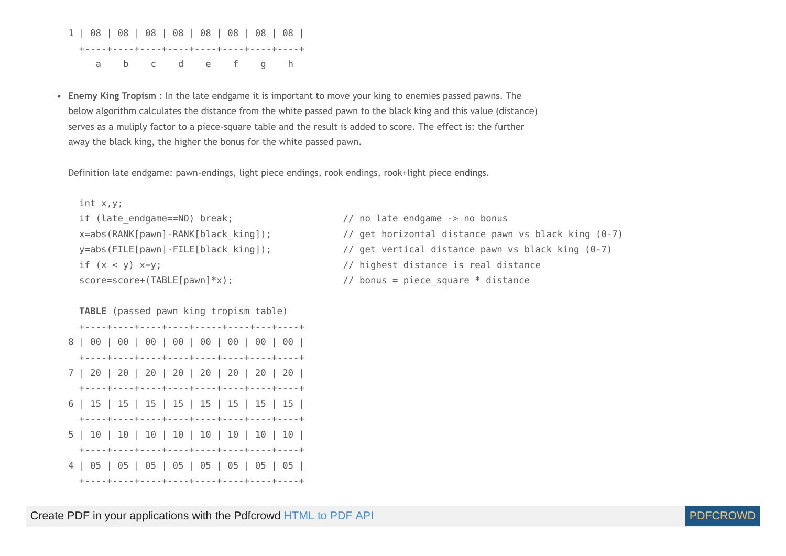1 | 08 | 08 | 08 | 08 | 08 | 08 | 08 | 08 | +----+----+----+----+----+----+----+----+ a b c d e f g h

**Enemy King Tropism** : In the late endgame it is important to move your king to enemies passed pawns. The below algorithm calculates the distance from the white passed pawn to the black king and this value (distance) serves as a muliply factor to a piece-square table and the result is added to score. The effect is: the further away the black king, the higher the bonus for the white passed pawn.

Definition late endgame: pawn-endings, light piece endings, rook endings, rook+light piece endings.

```
 int x,y;
if (late endgame==NO) break; \frac{1}{2} // no late endgame -> no bonus
```

```
 x=abs(RANK[pawn]-RANK[black_king]); // get horizontal distance pawn vs black king (0-7)
y=abs(FILE[pawn]-FILE[black king]); // get vertical distance pawn vs black king (0-7)
 if (x < y) x=y; // highest distance is real distance
score=score+(TABLE[pawn]*x); // bonus = piece_square * distance
```
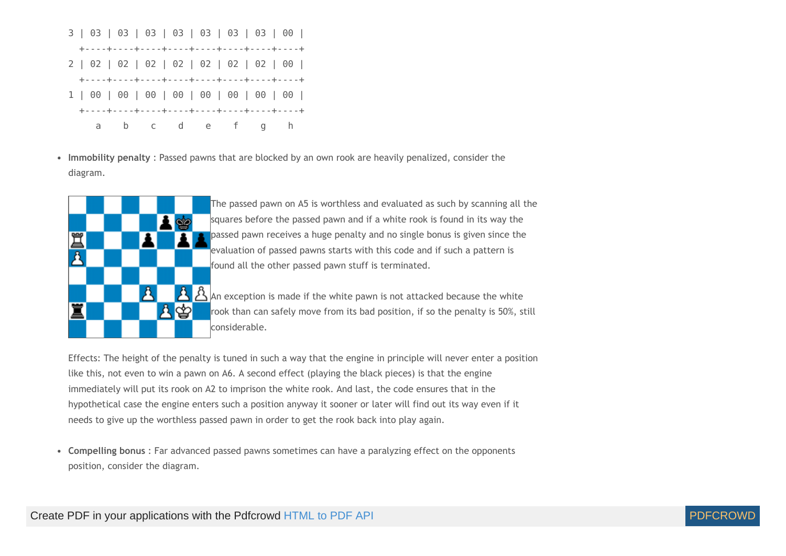

**Immobility penalty** : Passed pawns that are blocked by an own rook are heavily penalized, consider the diagram.



The passed pawn on A5 is worthless and evaluated as such by scanning all the squares before the passed pawn and if a white rook is found in its way the **passed pawn receives a huge penalty and no single bonus is given since the** evaluation of passed pawns starts with this code and if such a pattern is found all the other passed pawn stuff is terminated.

 $\mathcal{\hat{B}}$  An exception is made if the white pawn is not attacked because the white rook than can safely move from its bad position, if so the penalty is 50%, still considerable.

Effects: The height of the penalty is tuned in such a way that the engine in principle will never enter a position like this, not even to win a pawn on A6. A second effect (playing the black pieces) is that the engine immediately will put its rook on A2 to imprison the white rook. And last, the code ensures that in the hypothetical case the engine enters such a position anyway it sooner or later will find out its way even if it needs to give up the worthless passed pawn in order to get the rook back into play again.

**Compelling bonus** : Far advanced passed pawns sometimes can have a paralyzing effect on the opponents position, consider the diagram.

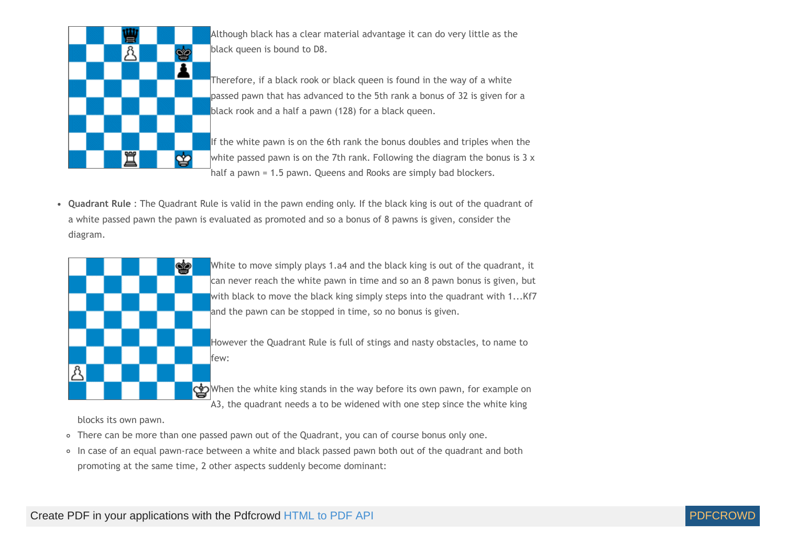

Although black has a clear material advantage it can do very little as the black queen is bound to D8.

Therefore, if a black rook or black queen is found in the way of a white passed pawn that has advanced to the 5th rank a bonus of 32 is given for a black rook and a half a pawn (128) for a black queen.

If the white pawn is on the 6th rank the bonus doubles and triples when the white passed pawn is on the 7th rank. Following the diagram the bonus is  $3 \times$ half a pawn = 1.5 pawn. Queens and Rooks are simply bad blockers.

**Quadrant Rule** : The Quadrant Rule is valid in the pawn ending only. If the black king is out of the quadrant of a white passed pawn the pawn is evaluated as promoted and so a bonus of 8 pawns is given, consider the diagram.



White to move simply plays 1.a4 and the black king is out of the quadrant, it can never reach the white pawn in time and so an 8 pawn bonus is given, but with black to move the black king simply steps into the quadrant with 1...Kf7 and the pawn can be stopped in time, so no bonus is given.

However the Quadrant Rule is full of stings and nasty obstacles, to name to few:

When the white king stands in the way before its own pawn, for example on  $\vec{a}$  A3, the quadrant needs a to be widened with one step since the white king

blocks its own pawn.

- There can be more than one passed pawn out of the Quadrant, you can of course bonus only one.
- In case of an equal pawn-race between a white and black passed pawn both out of the quadrant and both promoting at the same time, 2 other aspects suddenly become dominant:

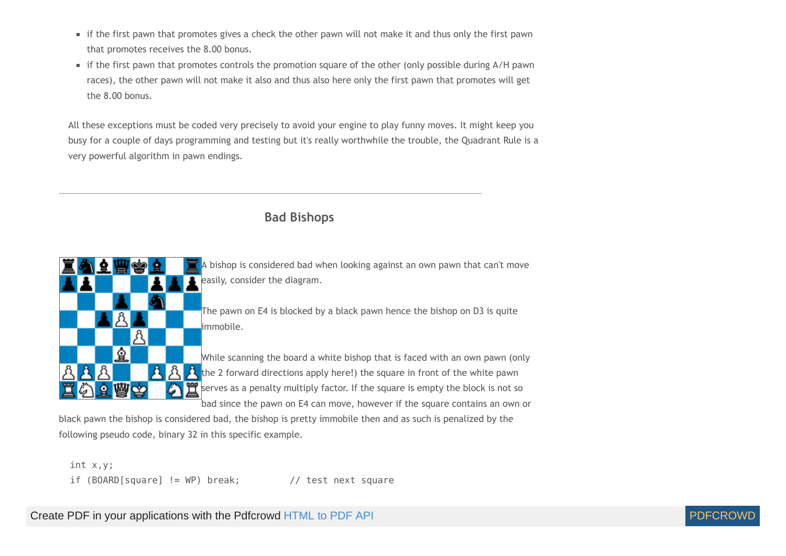- if the first pawn that promotes gives a check the other pawn will not make it and thus only the first pawn that promotes receives the 8.00 bonus.
- if the first pawn that promotes controls the promotion square of the other (only possible during A/H pawn races), the other pawn will not make it also and thus also here only the first pawn that promotes will get the 8.00 bonus.

All these exceptions must be coded very precisely to avoid your engine to play funny moves. It might keep you busy for a couple of days programming and testing but it's really worthwhile the trouble, the Quadrant Rule is a very powerful algorithm in pawn endings.

## **Bad Bishops**



black pawn the bishop is considered bad, the bishop is pretty immobile then and as such is penalized by the following pseudo code, binary 32 in this specific example.

 int x,y; if  $(BOARD[square] := WP)$  break;  $//$  test next square

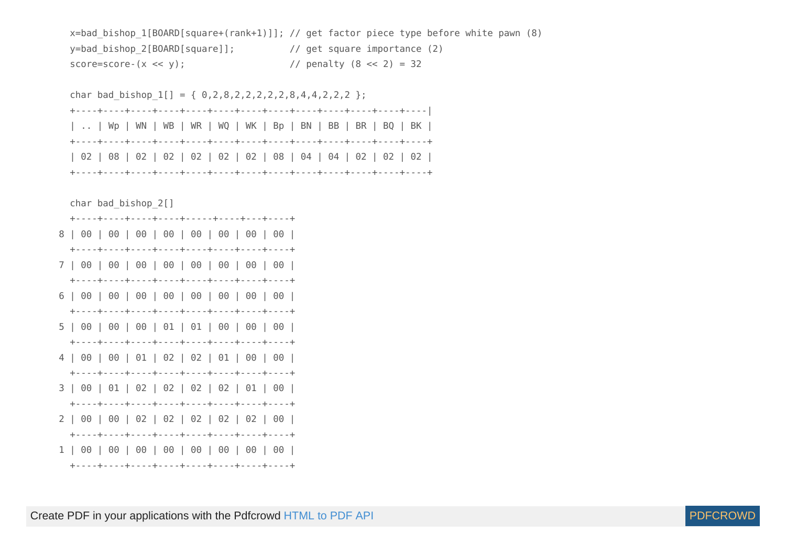```
x=bad bishop 1[BOARD[square+(rank+1)]]; // get factor piece type before white pawn (8)
y=bad bishop 2[BOARD[square]]; // get square importance (2)
score=score-(x \ll y); \qquad \qquad \qquad \qquad// penalty (8 \ll 2) = 32
```
char bad bishop  $1[] = { 0,2,8,2,2,2,2,2,8,4,4,2,2,2 }$  +----+----+----+----+----+----+----+----+----+----+----+----+----| | .. | Wp | WN | WB | WR | WQ | WK | Bp | BN | BB | BR | BQ | BK | +----+----+----+----+----+----+----+----+----+----+----+----+----+ | 02 | 08 | 02 | 02 | 02 | 02 | 02 | 08 | 04 | 04 | 02 | 02 | 02 | +----+----+----+----+----+----+----+----+----+----+----+----+----+ char bad\_bishop\_2[] +----+----+----+----+-----+----+---+----+ 8 | 00 | 00 | 00 | 00 | 00 | 00 | 00 | 00 | +----+----+----+----+----+----+----+----+ 7 | 00 | 00 | 00 | 00 | 00 | 00 | 00 | 00 | +----+----+----+----+----+----+----+----+ 6 | 00 | 00 | 00 | 00 | 00 | 00 | 00 | 00 | +----+----+----+----+----+----+----+----+ 5 | 00 | 00 | 00 | 01 | 01 | 00 | 00 | 00 | +----+----+----+----+----+----+----+----+ 4 | 00 | 00 | 01 | 02 | 02 | 01 | 00 | 00 | +----+----+----+----+----+----+----+----+ 3 | 00 | 01 | 02 | 02 | 02 | 02 | 01 | 00 | +----+----+----+----+----+----+----+----+ 2 | 00 | 00 | 02 | 02 | 02 | 02 | 02 | 00 | +----+----+----+----+----+----+----+----+ 1 | 00 | 00 | 00 | 00 | 00 | 00 | 00 | 00 | +----+----+----+----+----+----+----+----+

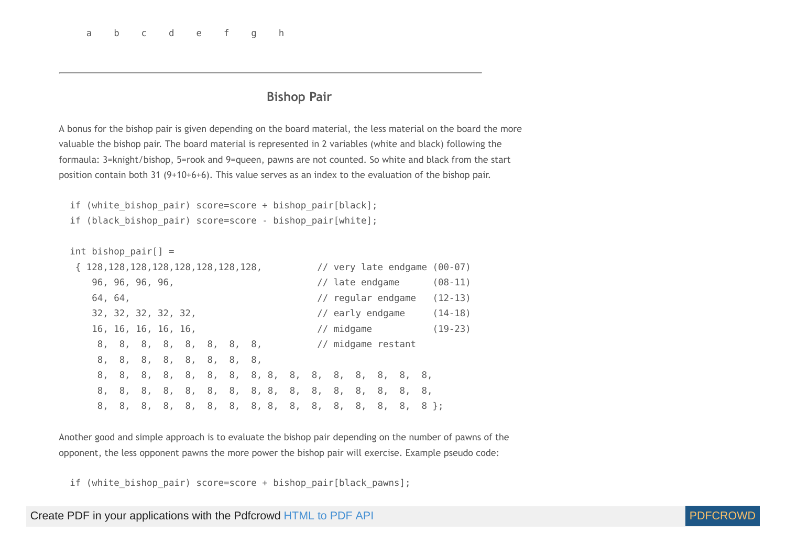#### **Bishop Pair**

A bonus for the bishop pair is given depending on the board material, the less material on the board the more valuable the bishop pair. The board material is represented in 2 variables (white and black) following the formaula: 3=knight/bishop, 5=rook and 9=queen, pawns are not counted. So white and black from the start position contain both 31 (9+10+6+6). This value serves as an index to the evaluation of the bishop pair.

```
if (white bishop pair) score=score + bishop pair[black];
if (black bishop pair) score=score - bishop pair[white];
```
int bishop pair $[] =$  { 128,128,128,128,128,128,128,128, // very late endgame (00-07) 96, 96, 96, 96, // late endgame (08-11) 64, 64, // regular endgame (12-13) 32, 32, 32, 32, 32, // early endgame (14-18) 16, 16, 16, 16, 16, // midgame (19-23) 8, 8, 8, 8, 8, 8, 8, 8, // midgame restant 8, 8, 8, 8, 8, 8, 8, 8, 8, 8, 8, 8, 8, 8, 8, 8, 8, 8, 8, 8, 8, 8, 8, 8, 8, 8, 8, 8, 8, 8, 8, 8, 8, 8, 8, 8, 8, 8, 8, 8, 8, 8, 8, 8, 8, 8, 8, 8, 8, 8, 8, 8, 8, 8, 8, 8 };

Another good and simple approach is to evaluate the bishop pair depending on the number of pawns of the opponent, the less opponent pawns the more power the bishop pair will exercise. Example pseudo code:

if (white bishop pair) score=score + bishop pair[black pawns];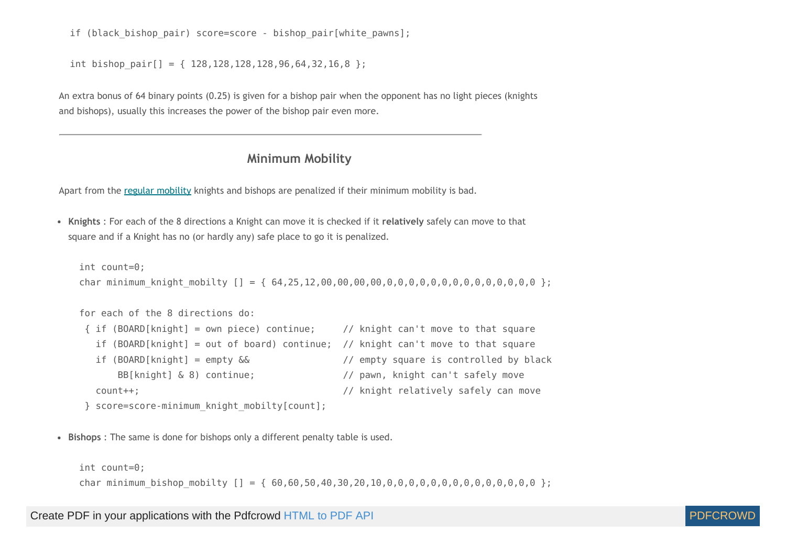if (black bishop pair) score=score - bishop pair[white pawns];

int bishop pair[] = {  $128,128,128,128,96,64,32,16,8$  };

<span id="page-66-0"></span>An extra bonus of 64 binary points (0.25) is given for a bishop pair when the opponent has no light pieces (knights and bishops), usually this increases the power of the bishop pair even more.

#### **Minimum Mobility**

Apart from the regular [mobility](#page-49-0) knights and bishops are penalized if their minimum mobility is bad.

**Knights** : For each of the 8 directions a Knight can move it is checked if it **relatively** safely can move to that square and if a Knight has no (or hardly any) safe place to go it is penalized.

```
 int count=0;
 char minimum_knight_mobilty [] = { 64,25,12,00,00,00,00,0,0,0,0,0,0,0,0,0,0,0,0,0,0 };
 for each of the 8 directions do:
 { if (BOARD[knight] = own piece) continue; // knight can't move to that square
   if (BOARD[knight] = out of board) continue; // knight can't move to that square
   if (BOARD[knight] = empty && // empty square is controlled by black
      BB[knight] & 8) continue; \frac{1}{2} // pawn, knight can't safely move
  count++; \frac{1}{2} count++;
```

```
 } score=score-minimum_knight_mobilty[count];
```
**Bishops** : The same is done for bishops only a different penalty table is used.

int count=0;

char minimum bishop mobilty [] = {  $60,60,50,40,30,20,10,0,0,0,0,0,0,0,0,0,0,0,0,0,0,0$ };

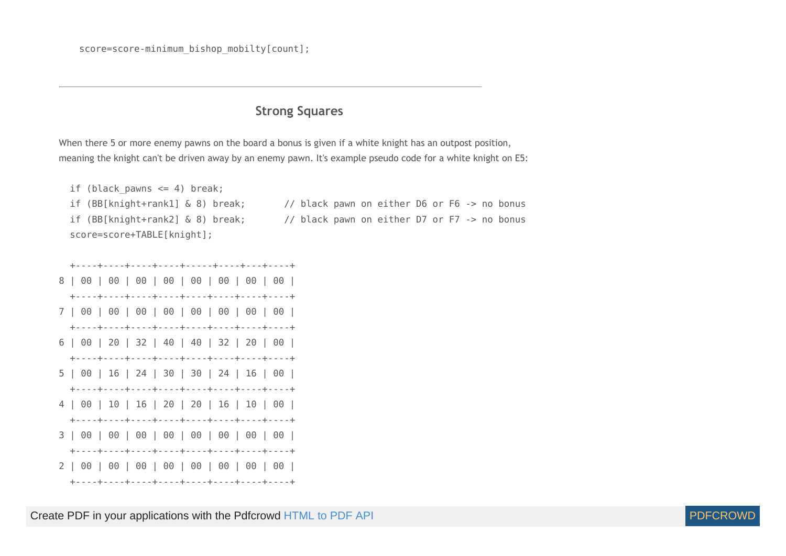### **Strong Squares**

When there 5 or more enemy pawns on the board a bonus is given if a white knight has an outpost position, meaning the knight can't be driven away by an enemy pawn. It's example pseudo code for a white knight on E5:



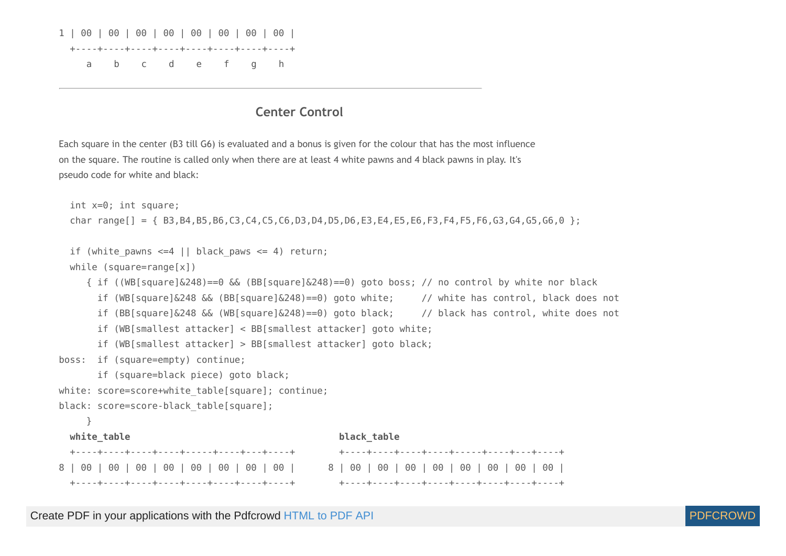

### **Center Control**

Each square in the center (B3 till G6) is evaluated and a bonus is given for the colour that has the most influence on the square. The routine is called only when there are at least 4 white pawns and 4 black pawns in play. It's pseudo code for white and black:

```
 int x=0; int square;
   char range[] = { B3,B4,B5,B6,C3,C4,C5,C6,D3,D4,D5,D6,E3,E4,E5,E6,F3,F4,F5,F6,G3,G4,G5,G6,0 };
 if (white pawns \leq 4 || black paws \leq 4) return;
  while (square=range[x])
    \{ if ((WB[square]&248)==0 && (BB[square]&248)==0) goto boss; // no control by white nor black
       if (WB[square]&248 && (BB[square]&248)==0) goto white; // white has control, black does not
       if (BB[square]&248 && (WB[square]&248)==0) goto black; // black has control, white does not
       if (WB[smallest attacker] < BB[smallest attacker] goto white;
       if (WB[smallest attacker] > BB[smallest attacker] goto black;
boss: if (square=empty) continue;
       if (square=black piece) goto black;
white: score=score+white table[square]; continue;
black: score=score-black table[square];
     }
  white table black table
   +----+----+----+----+-----+----+---+----+ +----+----+----+----+-----+----+---+----+
8 | 00 | 00 | 00 | 00 | 00 | 00 | 00 | 00 | 8 | 00 | 00 | 00 | 00 | 00 | 00 | 00 | 00 |
   +----+----+----+----+----+----+----+----+ +----+----+----+----+----+----+----+----+
```
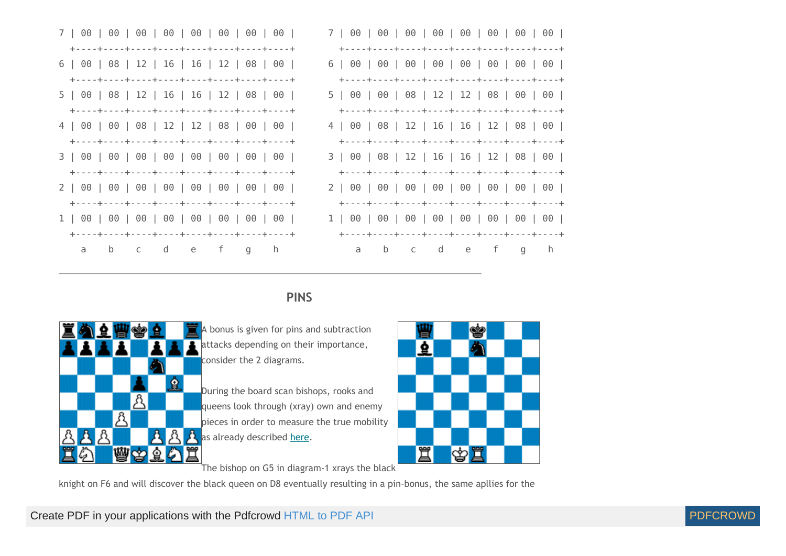| 6   00   08   12   16   16   12   08   00 |                                           |
|-------------------------------------------|-------------------------------------------|
|                                           |                                           |
| 5   00   08   12   16   16   12   08   00 | 5   00   00   08   12   12   08   00   00 |
|                                           |                                           |
| 4   00   00   08   12   12   08   00   00 | 4   00   08   12   16   16   12   08   00 |
|                                           |                                           |
|                                           | 3   00   08   12   16   16   12   08   00 |
|                                           |                                           |
|                                           |                                           |
|                                           |                                           |
|                                           |                                           |
|                                           |                                           |
| a b c d e f g h                           | a b c d e f g h                           |

## **PINS**



 $\blacksquare$  A bonus is given for pins and subtraction attacks depending on their importance, consider the 2 diagrams.

During the board scan bishops, rooks and queens look through (xray) own and enemy pieces in order to measure the true mobility  $\mathcal{B}$   $\mathcal{B}$  as already described [here](#page-50-0).



The bishop on G5 in diagram-1 xrays the black

knight on F6 and will discover the black queen on D8 eventually resulting in a pin-bonus, the same apllies for the

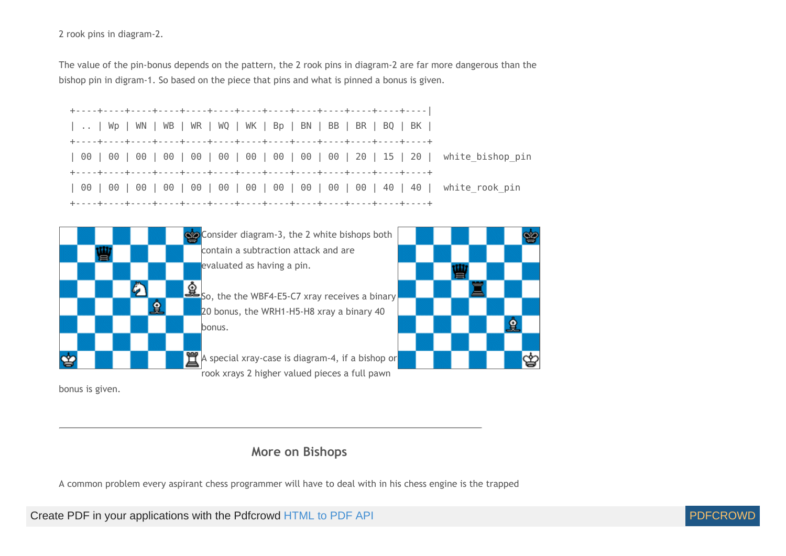2 rook pins in diagram-2.

The value of the pin-bonus depends on the pattern, the 2 rook pins in diagram-2 are far more dangerous than the bishop pin in digram-1. So based on the piece that pins and what is pinned a bonus is given.







bonus is given.

# **More on Bishops**

A common problem every aspirant chess programmer will have to deal with in his chess engine is the trapped

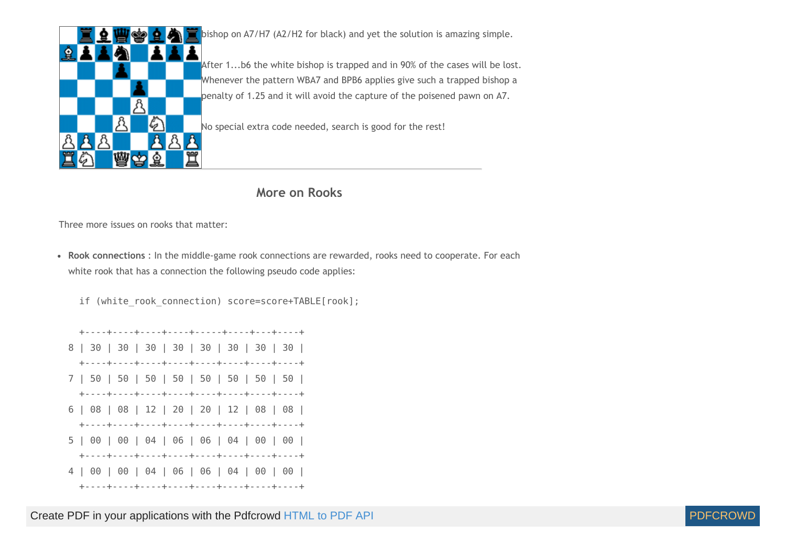

bishop on A7/H7 (A2/H2 for black) and yet the solution is amazing simple.

After 1...b6 the white bishop is trapped and in 90% of the cases will be lost. Whenever the pattern WBA7 and BPB6 applies give such a trapped bishop a penalty of 1.25 and it will avoid the capture of the poisened pawn on A7.

No special extra code needed, search is good for the rest!

### **More on Rooks**

Three more issues on rooks that matter:

**Rook connections** : In the middle-game rook connections are rewarded, rooks need to cooperate. For each white rook that has a connection the following pseudo code applies:

if (white rook connection) score=score+TABLE[rook];

 +----+----+----+----+-----+----+---+----+ 8 | 30 | 30 | 30 | 30 | 30 | 30 | 30 | 30 | +----+----+----+----+----+----+----+----+ 7 | 50 | 50 | 50 | 50 | 50 | 50 | 50 | 50 | +----+----+----+----+----+----+----+----+ 6 | 08 | 08 | 12 | 20 | 20 | 12 | 08 | 08 | +----+----+----+----+----+----+----+----+ 5 | 00 | 00 | 04 | 06 | 06 | 04 | 00 | 00 | +----+----+----+----+----+----+----+----+ 4 | 00 | 00 | 04 | 06 | 06 | 04 | 00 | 00 | +----+----+----+----+----+----+----+----+

Create PDF in your applications with the Pdfcrowd [HTML to PDF API](https://pdfcrowd.com/doc/api/?ref=pdf) [PDFCROWD](https://pdfcrowd.com/?ref=pdf) AND THE POFCROWD PUT API PDFCROWD AT A

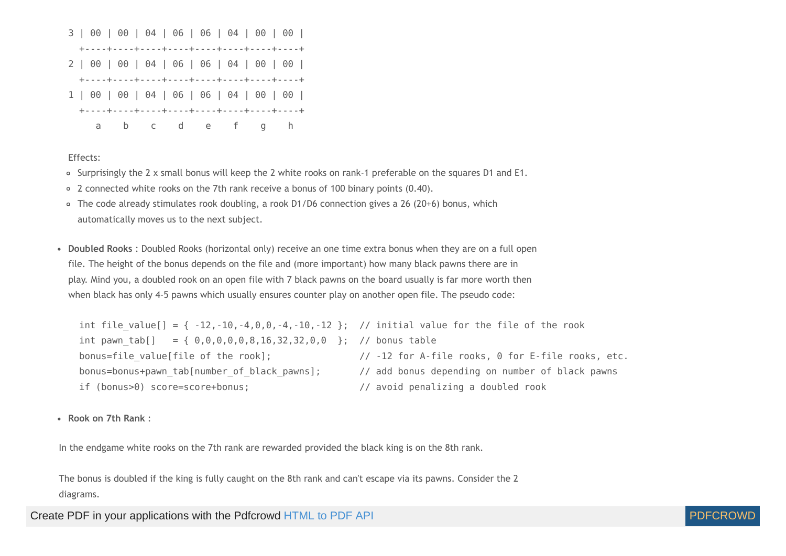

Effects:

- o Surprisingly the 2 x small bonus will keep the 2 white rooks on rank-1 preferable on the squares D1 and E1.
- 2 connected white rooks on the 7th rank receive a bonus of 100 binary points (0.40).
- The code already stimulates rook doubling, a rook D1/D6 connection gives a 26 (20+6) bonus, which automatically moves us to the next subject.
- **Doubled Rooks** : Doubled Rooks (horizontal only) receive an one time extra bonus when they are on a full open file. The height of the bonus depends on the file and (more important) how many black pawns there are in play. Mind you, a doubled rook on an open file with 7 black pawns on the board usually is far more worth then when black has only 4-5 pawns which usually ensures counter play on another open file. The pseudo code:

int file value[] = {  $-12, -10, -4, 0, 0, -4, -10, -12$  }; // initial value for the file of the rook int pawn tab[] = {  $0,0,0,0,0,8,16,32,32,0,0$  }; // bonus table bonus=file value[file of the rook];  $// -12$  for A-file rooks, 0 for E-file rooks, etc. bonus=bonus+pawn\_tab[number\_of\_black\_pawns]; // add bonus depending on number of black pawns if (bonus>0) score=score+bonus; // avoid penalizing a doubled rook

**Rook on 7th Rank** :

In the endgame white rooks on the 7th rank are rewarded provided the black king is on the 8th rank.

The bonus is doubled if the king is fully caught on the 8th rank and can't escape via its pawns. Consider the 2 diagrams.

Create PDF in your applications with the Pdfcrowd [HTML to PDF API](https://pdfcrowd.com/doc/api/?ref=pdf) PDF API [PDFCROWD](https://pdfcrowd.com/?ref=pdf) CREATER AND THE PDFCROWD PO

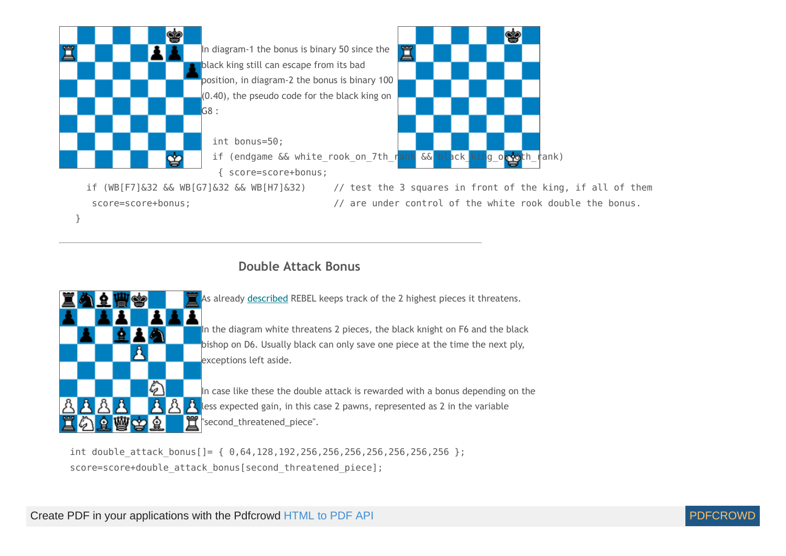

# **Double Attack Bonus**



}

As already [described](#page-40-0) REBEL keeps track of the 2 highest pieces it threatens.

In the diagram white threatens 2 pieces, the black knight on F6 and the black bishop on D6. Usually black can only save one piece at the time the next ply, exceptions left aside.

In case like these the double attack is rewarded with a bonus depending on the A less expected gain, in this case 2 pawns, represented as 2 in the variable  $\mathbf{\tilde{T}}$  second\_threatened\_piece".

int double attack bonus[]=  $\{ 0,64,128,192,256,256,256,256,256,256,256 \}$ ; score=score+double attack bonus[second threatened piece];

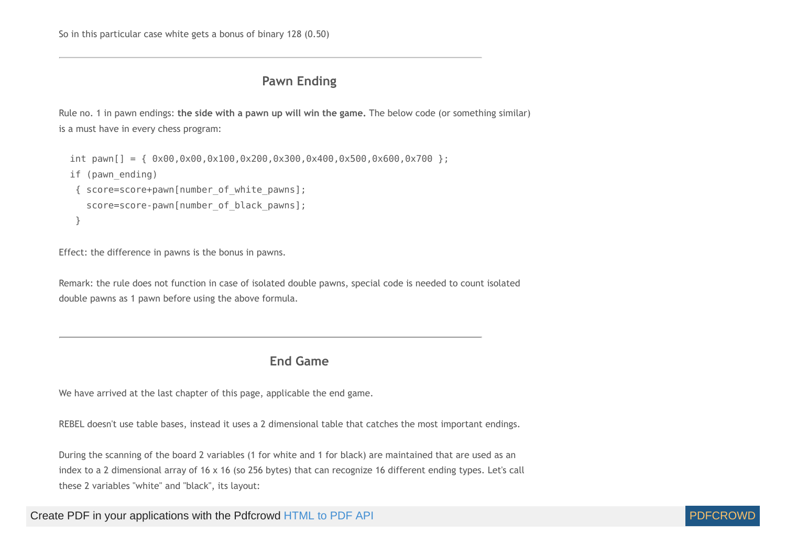# **Pawn Ending**

Rule no. 1 in pawn endings: **the side with a pawn up will win the game.** The below code (or something similar) is a must have in every chess program:

```
int pawn[] = { 0 \times 00, 0 \times 00, 0 \times 100, 0 \times 200, 0 \times 300, 0 \times 400, 0 \times 500, 0 \times 600, 0 \times 700 };
 if (pawn_ending) 
  { score=score+pawn[number_of_white_pawns];
    score=score-pawn[number_of_black_pawns];
  }
```
Effect: the difference in pawns is the bonus in pawns.

Remark: the rule does not function in case of isolated double pawns, special code is needed to count isolated double pawns as 1 pawn before using the above formula.

# **End Game**

We have arrived at the last chapter of this page, applicable the end game.

REBEL doesn't use table bases, instead it uses a 2 dimensional table that catches the most important endings.

During the scanning of the board 2 variables (1 for white and 1 for black) are maintained that are used as an index to a 2 dimensional array of 16 x 16 (so 256 bytes) that can recognize 16 different ending types. Let's call these 2 variables "white" and "black", its layout:

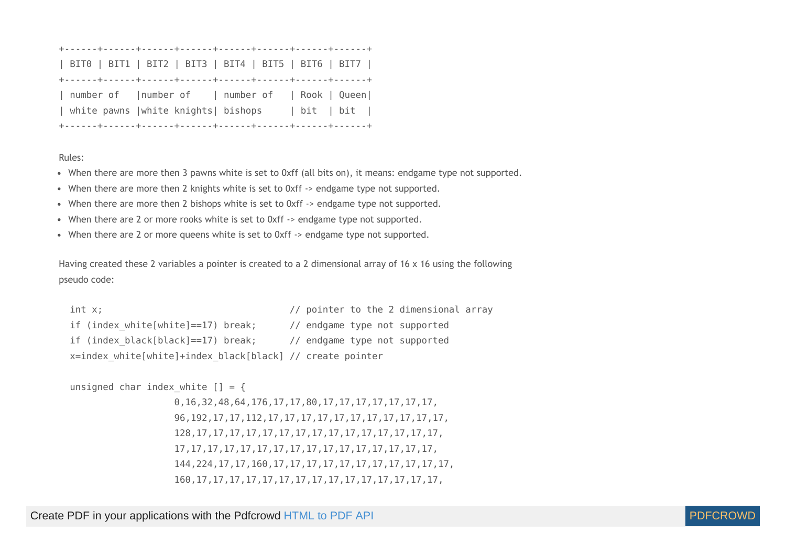| BIT0   BIT1   BIT2   BIT3   BIT4   BIT5   BIT6   BIT7 |                                                  |
|-------------------------------------------------------|--------------------------------------------------|
|                                                       |                                                  |
|                                                       |                                                  |
|                                                       | number of   number of   number of   Rook   Queen |
| white pawns   white knights  bishops   bit   bit      |                                                  |

## Rules:

- When there are more then 3 pawns white is set to 0xff (all bits on), it means: endgame type not supported.
- When there are more then 2 knights white is set to 0xff -> endgame type not supported.
- When there are more then 2 bishops white is set to 0xff -> endgame type not supported.
- When there are 2 or more rooks white is set to 0xff -> endgame type not supported.
- When there are 2 or more queens white is set to 0xff -> endgame type not supported.

Having created these 2 variables a pointer is created to a 2 dimensional array of 16 x 16 using the following pseudo code:

```
int x; \frac{1}{2} int x;
if (index white[white]==17) break; // endgame type not supported
if (index black[black]==17) break; // endgame type not supported
 x=index_white[white]+index_black[black] // create pointer
```

```
unsigned char index white | = {
```
0,16,32,48,64,176,17,17,80,17,17,17,17,17,17,17, 96,192,17,17,112,17,17,17,17,17,17,17,17,17,17,17, 128,17,17,17,17,17,17,17,17,17,17,17,17,17,17,17, 17,17,17,17,17,17,17,17,17,17,17,17,17,17,17,17, 144,224,17,17,160,17,17,17,17,17,17,17,17,17,17,17, 160,17,17,17,17,17,17,17,17,17,17,17,17,17,17,17,

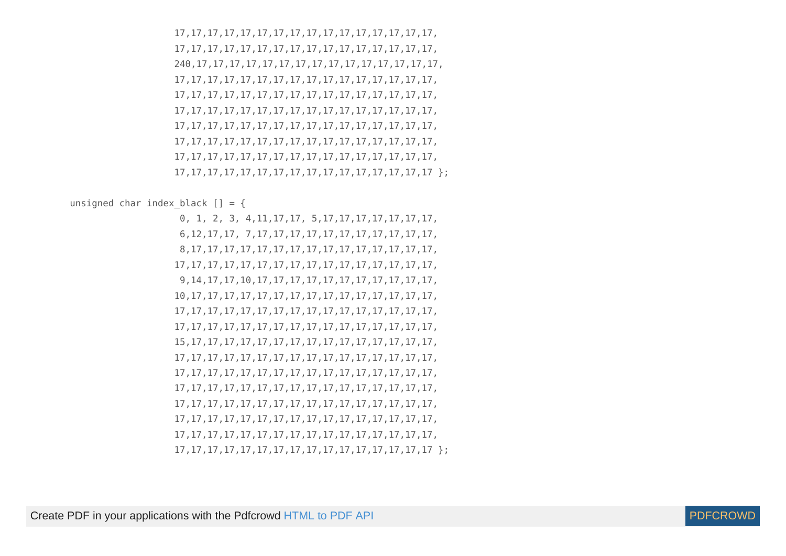17,17,17,17,17,17,17,17,17,17,17,17,17,17,17,17, 17,17,17,17,17,17,17,17,17,17,17,17,17,17,17,17, 240,17,17,17,17,17,17,17,17,17,17,17,17,17,17,17, 17,17,17,17,17,17,17,17,17,17,17,17,17,17,17,17, 17,17,17,17,17,17,17,17,17,17,17,17,17,17,17,17, 17,17,17,17,17,17,17,17,17,17,17,17,17,17,17,17, 17,17,17,17,17,17,17,17,17,17,17,17,17,17,17,17, 17,17,17,17,17,17,17,17,17,17,17,17,17,17,17,17, 17,17,17,17,17,17,17,17,17,17,17,17,17,17,17,17, 17,17,17,17,17,17,17,17,17,17,17,17,17,17,17,17 };

unsigned char index black  $[] = {$ 

 0, 1, 2, 3, 4,11,17,17, 5,17,17,17,17,17,17,17, 6,12,17,17, 7,17,17,17,17,17,17,17,17,17,17,17, 8,17,17,17,17,17,17,17,17,17,17,17,17,17,17,17, 17,17,17,17,17,17,17,17,17,17,17,17,17,17,17,17, 9,14,17,17,10,17,17,17,17,17,17,17,17,17,17,17, 10,17,17,17,17,17,17,17,17,17,17,17,17,17,17,17, 17,17,17,17,17,17,17,17,17,17,17,17,17,17,17,17, 17,17,17,17,17,17,17,17,17,17,17,17,17,17,17,17, 15,17,17,17,17,17,17,17,17,17,17,17,17,17,17,17, 17,17,17,17,17,17,17,17,17,17,17,17,17,17,17,17, 17,17,17,17,17,17,17,17,17,17,17,17,17,17,17,17, 17,17,17,17,17,17,17,17,17,17,17,17,17,17,17,17, 17,17,17,17,17,17,17,17,17,17,17,17,17,17,17,17, 17,17,17,17,17,17,17,17,17,17,17,17,17,17,17,17, 17,17,17,17,17,17,17,17,17,17,17,17,17,17,17,17, 17,17,17,17,17,17,17,17,17,17,17,17,17,17,17,17 };

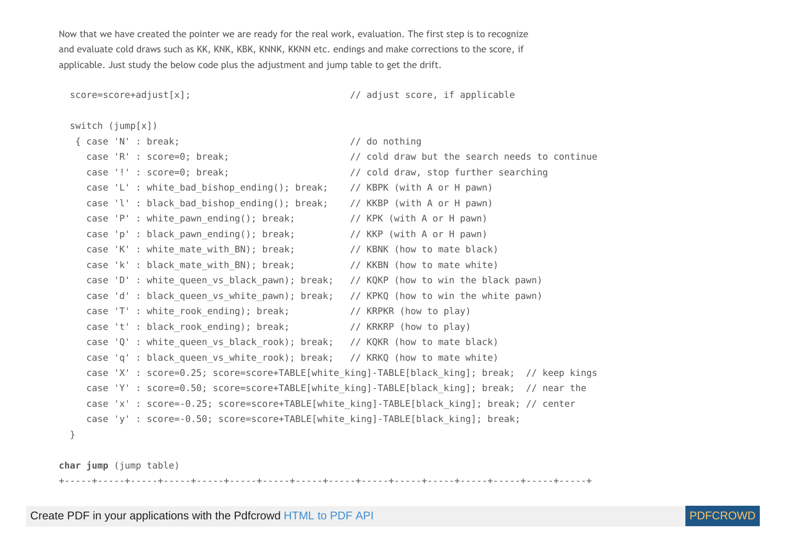Now that we have created the pointer we are ready for the real work, evaluation. The first step is to recognize and evaluate cold draws such as KK, KNK, KBK, KNNK, KKNN etc. endings and make corrections to the score, if applicable. Just study the below code plus the adjustment and jump table to get the drift.

score=score+adjust[x]; // adjust score, if applicable

```
 switch (jump[x])
```

```
 { case 'N' : break; // do nothing
  case 'R' : score=0; break; // cold draw but the search needs to continue
  case '!' : score=0; break; // cold draw, stop further searching
 case 'L' : white bad bishop ending(); break; // KBPK (with A or H pawn)
  case 'l' : black_bad_bishop_ending(); break; // KKBP (with A or H pawn)
  case 'P' : white pawn ending(): break: // KPK (with A or H pawn)
  case 'p' : black pawn ending(); break; // KKP (with A or H pawn)
  case 'K' : white mate with BN); break; // KBNK (how to mate black)
  case 'k' : black mate with BN); break; // KKBN (how to mate white)
 case 'D' : white queen vs black pawn); break; // KQKP (how to win the black pawn)
  case 'd' : black queen vs white pawn); break; // KPKQ (how to win the white pawn)
  case 'T' : white rook ending); break; // KRPKR (how to play)
  case 't' : black_rook_ending); break; // KRKRP (how to play)
  case 'Q' : white queen vs black rook); break; // KQKR (how to mate black)
  case 'q' : black queen vs white rook); break; // KRKQ (how to mate white)
  case 'X' : score=0.25; score=score+TABLE[white king]-TABLE[black king]; break; // keep kings
  case 'Y' : score=0.50; score=score+TABLE[white king]-TABLE[black king]; break; // near the
   case 'x' : score=-0.25; score=score+TABLE[white_king]-TABLE[black_king]; break; // center
  case 'y' : score=-0.50; score=score+TABLE[white king]-TABLE[black king]; break;
```
**char jump** (jump table)

}

+-----+-----+-----+-----+-----+-----+-----+-----+-----+-----+-----+-----+-----+-----+-----+-----+

Create PDF in your applications with the Pdfcrowd [HTML to PDF API](https://pdfcrowd.com/doc/api/?ref=pdf) [PDFCROWD](https://pdfcrowd.com/?ref=pdf) AND THE POFCROWD PUT API PDFCROWD AT A

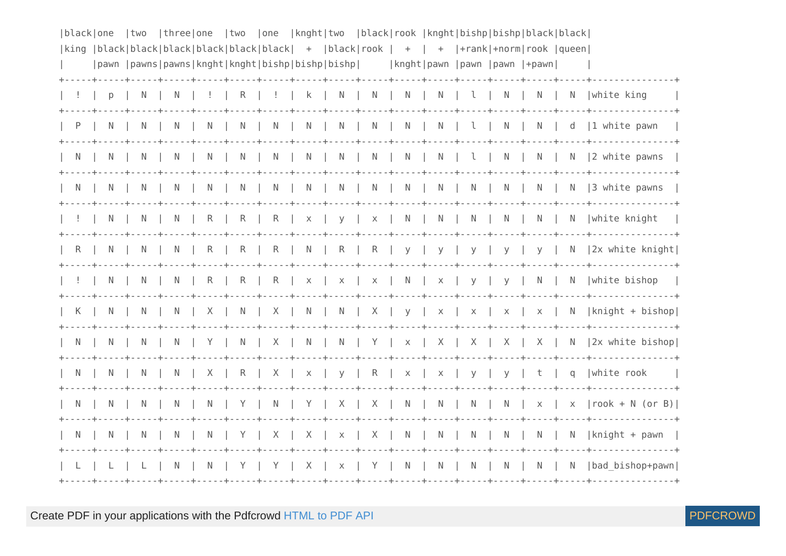| black one | two | three one |    | two          | one            |  |  |  | knght two  black rook  knght bishp bishp black black                                      |  |                                                                         |
|-----------|-----|-----------|----|--------------|----------------|--|--|--|-------------------------------------------------------------------------------------------|--|-------------------------------------------------------------------------|
|           |     |           |    |              |                |  |  |  | king  black black black black black black  +  black rook   +   +  +rank +norm rook  queen |  |                                                                         |
|           |     |           |    |              |                |  |  |  | pawn  pawns pawns knght knght bishp bishp bishp     knght pawn  pawn  pawn  +pawn         |  |                                                                         |
|           | N I |           |    |              |                |  |  |  |                                                                                           |  | R   !   k   N   N   N   N   L   N   N   N   white king                  |
|           |     | N.        | N. |              |                |  |  |  |                                                                                           |  |                                                                         |
|           |     |           |    |              |                |  |  |  |                                                                                           |  |                                                                         |
|           |     | -N        | -N | <sup>N</sup> |                |  |  |  |                                                                                           |  | N   N   N   N   N   N   N   N   N   3 white pawns                       |
|           |     |           |    |              |                |  |  |  |                                                                                           |  | N   N   R   R   R   x   y   x   N   N   N   N   N   White knight        |
| R.        |     | - N       | R  |              |                |  |  |  |                                                                                           |  | R   R   N   R   R   y   y   y   y   y   N   2x white knight             |
|           |     |           |    |              |                |  |  |  |                                                                                           |  | N   N   R   R   R   x   x   x   N   x   y   y   N   N   White bishop    |
| K         |     | N.        |    |              |                |  |  |  |                                                                                           |  | X   N   X   N   N   X   y   x   x   x   x   N   knight + bishop         |
| N.        |     |           |    |              |                |  |  |  |                                                                                           |  | N   N   Y   N   X   N   N   Y   x   X   X   X   X   N   2x white bishop |
|           |     | N.        |    |              |                |  |  |  |                                                                                           |  | X   R   X   x   y   R   x   x   y   y   t   q  white rook               |
| N.        |     |           |    |              |                |  |  |  |                                                                                           |  | N   N   N   Y   N   Y   X   X   N   N   N   N   X   X   TOOK + N (Or B) |
|           |     | -N        | N. |              |                |  |  |  | $Y$   X   X   x   X   N   N   N   N                                                       |  | N   N  knight + pawn                                                    |
|           |     | N.        | N. | $Y \perp$    | Y <sub>1</sub> |  |  |  |                                                                                           |  | X   x   Y   N   N   N   N   N   N  bad bishop+pawn                      |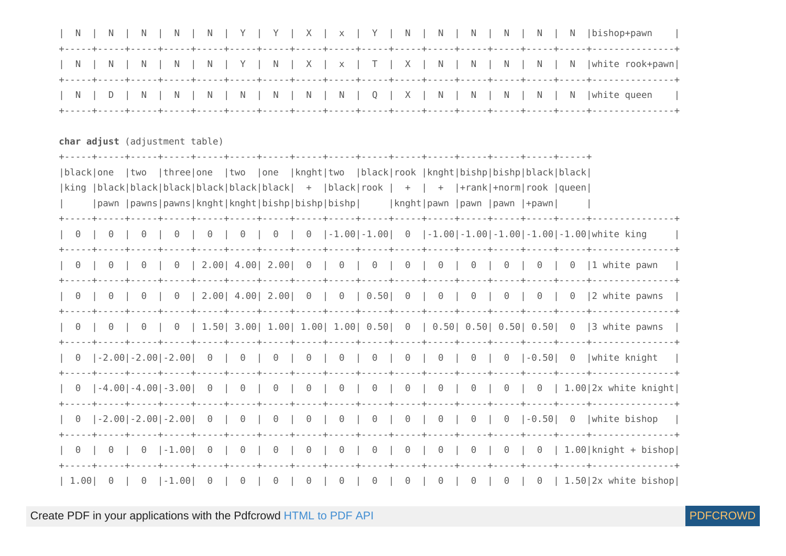| N.                                                                                        |  |          |  |                                                                                     |  | <sup>N</sup> |  | N. |  |                                    |  |          |  |          |          | $Y \mid Y \mid X \mid x \mid Y \mid N \mid N$                                             |  |  | $\blacksquare$ | N <sub>N</sub> | $\vert$ N |  | N  bishop+pawn                                                                                                                                                                                                                                                                  |                                                                     |
|-------------------------------------------------------------------------------------------|--|----------|--|-------------------------------------------------------------------------------------|--|--------------|--|----|--|------------------------------------|--|----------|--|----------|----------|-------------------------------------------------------------------------------------------|--|--|----------------|----------------|-----------|--|---------------------------------------------------------------------------------------------------------------------------------------------------------------------------------------------------------------------------------------------------------------------------------|---------------------------------------------------------------------|
| N.                                                                                        |  |          |  | N.                                                                                  |  |              |  |    |  |                                    |  |          |  |          |          |                                                                                           |  |  |                |                |           |  |                                                                                                                                                                                                                                                                                 | N   N   Y   N   X   x   T   X   N   N   N   N   N   white rook+pawn |
|                                                                                           |  |          |  |                                                                                     |  |              |  |    |  |                                    |  |          |  |          |          |                                                                                           |  |  |                |                |           |  | N   D   N   N   N   N   N   N   N   Q   X   N   N   N   N   N   White queen                                                                                                                                                                                                     |                                                                     |
| char adjust (adjustment table)                                                            |  |          |  |                                                                                     |  |              |  |    |  |                                    |  |          |  |          |          |                                                                                           |  |  |                |                |           |  |                                                                                                                                                                                                                                                                                 |                                                                     |
| black one  two  three one  two  one  knght two  black rook  knght bishp bishp black black |  |          |  |                                                                                     |  |              |  |    |  |                                    |  |          |  |          |          |                                                                                           |  |  |                |                |           |  |                                                                                                                                                                                                                                                                                 |                                                                     |
|                                                                                           |  |          |  |                                                                                     |  |              |  |    |  |                                    |  |          |  |          |          |                                                                                           |  |  |                |                |           |  |                                                                                                                                                                                                                                                                                 |                                                                     |
|                                                                                           |  |          |  |                                                                                     |  |              |  |    |  |                                    |  |          |  |          |          | king  black black black black black black  +  black rook   +   +  +rank +norm rook  queen |  |  |                |                |           |  |                                                                                                                                                                                                                                                                                 |                                                                     |
|                                                                                           |  |          |  |                                                                                     |  |              |  |    |  |                                    |  |          |  |          |          | pawn  pawns pawns knght knght bishp bishp bishp     knght pawn  pawn  pawn  +pawn         |  |  |                |                |           |  |                                                                                                                                                                                                                                                                                 |                                                                     |
| $\Theta$                                                                                  |  |          |  |                                                                                     |  |              |  |    |  |                                    |  |          |  |          |          |                                                                                           |  |  |                |                |           |  | $\begin{bmatrix} 0 & 0 & 0 \\ 0 & 0 & 0 \end{bmatrix}$ 0 $\begin{bmatrix} 0 & 0 & 0 \\ 0 & 0 & 0 \\ 0 & 0 & 0 \end{bmatrix}$ -1.00 -1.00 -1.00 -1.00 -1.00 -1.00 -1.00 -1.00 -1.00 -1.00 -1.00 -1.00 -1.00 -1.00 -1.00 -1.00 -1.00 -1.00 -1.00 -1.00 -1.00 -1.00 -1.00 -1.00 -1 |                                                                     |
| $\Theta$                                                                                  |  | $\Theta$ |  |                                                                                     |  |              |  |    |  |                                    |  |          |  |          |          |                                                                                           |  |  |                |                |           |  |                                                                                                                                                                                                                                                                                 |                                                                     |
| $\Theta$                                                                                  |  |          |  |                                                                                     |  |              |  |    |  |                                    |  |          |  |          |          |                                                                                           |  |  |                |                |           |  | 0   0   0   2.00  4.00  2.00  0   0   0.50  0   0   0   0   0   0   2 white pawns                                                                                                                                                                                               |                                                                     |
| $\Theta$                                                                                  |  |          |  |                                                                                     |  |              |  |    |  |                                    |  |          |  |          |          |                                                                                           |  |  |                |                |           |  | 0   0   0   1.50  3.00  1.00  1.00  0.50  0   0.50  0.50  0.50  0.50  0   3 white pawns                                                                                                                                                                                         |                                                                     |
|                                                                                           |  |          |  |                                                                                     |  |              |  |    |  |                                    |  |          |  |          |          |                                                                                           |  |  |                |                |           |  |                                                                                                                                                                                                                                                                                 |                                                                     |
| $\Theta$                                                                                  |  |          |  |                                                                                     |  |              |  |    |  | $[-4.00] - 4.00] - 3.00$ 0 0 0 0 0 |  |          |  |          |          |                                                                                           |  |  |                |                |           |  |                                                                                                                                                                                                                                                                                 | 0   0   0   0   0   0   0   0   1.00 2x white knight                |
|                                                                                           |  |          |  |                                                                                     |  |              |  |    |  |                                    |  |          |  |          |          |                                                                                           |  |  |                |                |           |  |                                                                                                                                                                                                                                                                                 |                                                                     |
| $\Theta$                                                                                  |  | $\Theta$ |  | $\begin{bmatrix} 0 \\ 1 \end{bmatrix}$ $\begin{bmatrix} -1.00 \\ 0 \end{bmatrix}$ 0 |  |              |  |    |  | $\Theta$                           |  | $\Theta$ |  | $\Theta$ | $\Theta$ |                                                                                           |  |  |                |                |           |  |                                                                                                                                                                                                                                                                                 | $0 \mid 0 \mid 0 \mid 0 \mid 0 \mid 0 \mid 1.00$   knight + bishop  |
|                                                                                           |  |          |  |                                                                                     |  |              |  |    |  |                                    |  |          |  |          |          |                                                                                           |  |  |                |                |           |  |                                                                                                                                                                                                                                                                                 |                                                                     |

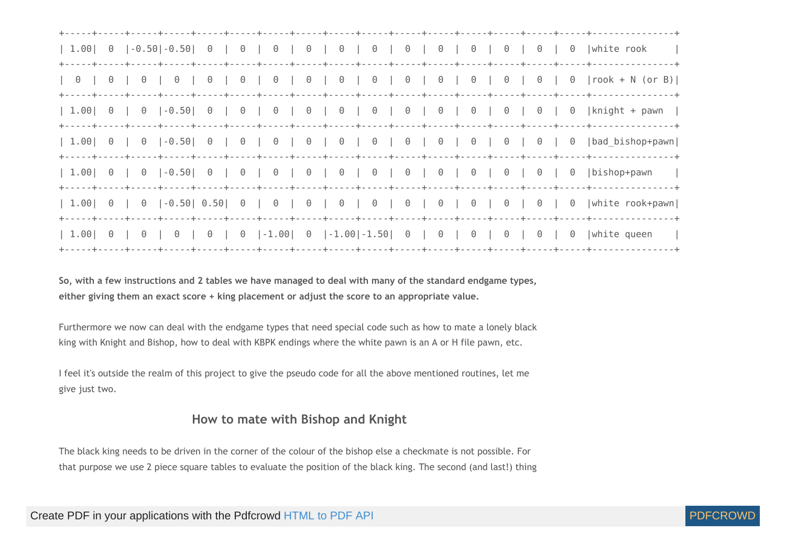| 1.00                                                                            |          |          | $\begin{bmatrix} 0 \\ -0.50 \end{bmatrix}$ - 0.50 $\begin{bmatrix} 0 \\ 0 \\ 0 \end{bmatrix}$ |          |          |                                                |          |          |                                              |                                                |                                                                 |          |                                                                     | $\begin{array}{ccc} \circ & \circ & \circ \end{array}$ | $\Theta$                                        | $\Theta$ | white rook<br>---+-----+---------------- <del>-</del>    |
|---------------------------------------------------------------------------------|----------|----------|-----------------------------------------------------------------------------------------------|----------|----------|------------------------------------------------|----------|----------|----------------------------------------------|------------------------------------------------|-----------------------------------------------------------------|----------|---------------------------------------------------------------------|--------------------------------------------------------|-------------------------------------------------|----------|----------------------------------------------------------|
| $\begin{array}{ccc} \circ & \circ & \circ \\ \circ & \circ & \circ \end{array}$ | $\Theta$ | $\Theta$ | $\Theta$                                                                                      | $\Theta$ |          |                                                |          |          |                                              |                                                |                                                                 |          | $0 0 0 0 0 0 0 0 0 0 0 0 0 0 0$                                     | $\Theta$                                               | $\Theta$                                        |          | $0$  rook + N (or B)                                     |
| 1.00                                                                            | $\Theta$ | $\Theta$ | $ -0.50 $ 0                                                                                   |          |          |                                                |          |          |                                              |                                                |                                                                 |          |                                                                     | $\Theta$                                               | $\Theta$                                        |          | $0$   knight + pawn                                      |
| 1.00                                                                            | $\Theta$ | $\Theta$ | $ -0.50 $ 0                                                                                   |          | $\Theta$ | $\begin{array}{ccc} \circ & \circ \end{array}$ |          |          | $\begin{array}{c c c c c} 0 & 0 \end{array}$ | $\begin{array}{ccc} \circ & \circ \end{array}$ | $\begin{array}{c c} \circ & \circ \\ \circ & \circ \end{array}$ |          | $\begin{array}{c c c c c} \hline \circ & \circ & \circ \end{array}$ | $\Theta$                                               | $\Theta$                                        |          | 0  bad bishop+pawn                                       |
| 1.00                                                                            | $\Theta$ | $\Theta$ | $ -0.50 $ 0                                                                                   |          | $\Theta$ |                                                | $\Theta$ | $\Theta$ | $\cdot$ 0 $\cdot$                            | ---+-----+-----+-----+-----+-<br>$\Theta$      | $\theta$                                                        | $\theta$ | $\theta$                                                            | $\Theta$                                               | $\Theta$                                        | $\Theta$ | ---+-----+---------------+<br> bishop+pawn<br>$\sim$ 1.1 |
| 1.00                                                                            | $\Theta$ |          | $0$  -0.50  0.50  0   0   0   0                                                               |          |          |                                                |          |          |                                              |                                                |                                                                 |          | 0 0 0 0 0 0                                                         | $\Theta$                                               | $\begin{array}{ccc} \odot & \cdots \end{array}$ | $\Theta$ | white rook+pawn                                          |
| 1.00                                                                            | $\Theta$ | $\Theta$ | $\Theta$                                                                                      | $\Theta$ |          |                                                |          |          |                                              |                                                |                                                                 |          | $0$  -1.00  0  -1.00 -1.50  0   0   0                               | $\Theta$                                               | $\Theta$                                        | $\Theta$ | white queen<br>and the                                   |

So, with a few instructions and 2 tables we have managed to deal with many of the standard endgame types, **either giving them an exact score + king placement or adjust the score to an appropriate value.**

Furthermore we now can deal with the endgame types that need special code such as how to mate a lonely black king with Knight and Bishop, how to deal with KBPK endings where the white pawn is an A or H file pawn, etc.

I feel it's outside the realm of this project to give the pseudo code for all the above mentioned routines, let me give just two.

## **How to mate with Bishop and Knight**

The black king needs to be driven in the corner of the colour of the bishop else a checkmate is not possible. For that purpose we use 2 piece square tables to evaluate the position of the black king. The second (and last!) thing

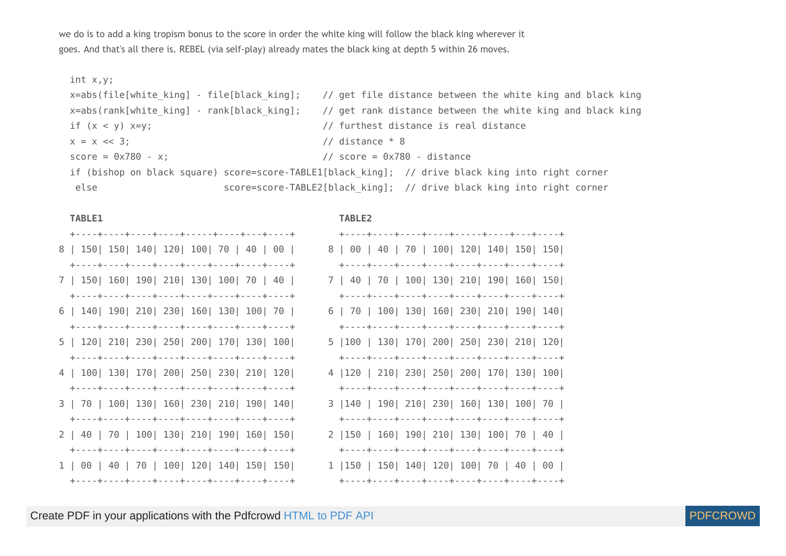we do is to add a king tropism bonus to the score in order the white king will follow the black king wherever it goes. And that's all there is. REBEL (via self-play) already mates the black king at depth 5 within 26 moves.

```
 int x,y;
x=abs(file[white king] - file[black king]; // get file distance between the white king and black king
x=abs(rank[white king] - rank[black king]; // get rank distance between the white king and black king
if (x < y) x=y; (1 + 2)y = 1 // furthest distance is real distance
x = x \ll 3; // distance * 8
score = 0x780 - x; // score = 0x780 - x;
if (bishop on black square) score=score-TABLE1[black king]; // drive black king into right corner
else score=score-TABLE2[black king]; // drive black king into right corner
```

| 8   150   150   140   120   100   70   40   00                                   | 8   00   40   70   100   120   140   150   150    |
|----------------------------------------------------------------------------------|---------------------------------------------------|
|                                                                                  |                                                   |
| 7   150   160   190   210   130   100   70   40                                  | 7   40   70   100   130   210   190   160   150   |
|                                                                                  |                                                   |
| 6   140   190   210   230   160   130   100   70                                 | 6   70   100   130   160   230   210   190   140  |
|                                                                                  |                                                   |
| 5   120   210   230   250   200   170   130   100                                | 5   100   130   170   200   250   230   210   120 |
| $+\cdots+\cdots+\cdots+\cdots+\cdots+\cdots+\cdots+\cdots+\cdots+\cdots+\cdots+$ |                                                   |
| 4   100   130   170   200   250   230   210   120                                | 4   120   210   230   250   200   170   130   100 |
|                                                                                  |                                                   |
| 3   70   100   130   160   230   210   190   140                                 | 3   140   190   210   230   160   130   100   70  |
|                                                                                  |                                                   |
| 2   40   70   100   130   210   190   160   150                                  | 2   150   160   190   210   130   100   70   40   |
|                                                                                  |                                                   |
| 1   00   40   70   100   120   140   150   150                                   | 1   150   150   140   120   100   70   40   00    |
|                                                                                  |                                                   |

## **TABLE1 TABLE2**

| +----+----+----+----+-----+----+----+---+         |  |  |  |  |
|---------------------------------------------------|--|--|--|--|
| 3   00   40   70   100  120  140  150  150        |  |  |  |  |
|                                                   |  |  |  |  |
| 7   40   70   100  130  210  190  160  150        |  |  |  |  |
|                                                   |  |  |  |  |
| 5   70   100  130  160  230  210  190  140        |  |  |  |  |
|                                                   |  |  |  |  |
| 5   100   130   170   200   250   230   210   120 |  |  |  |  |
|                                                   |  |  |  |  |
| 4  120   210  230  250  200  170  130  100        |  |  |  |  |
|                                                   |  |  |  |  |
| 3  140   190  210  230  160  130  100  70         |  |  |  |  |
|                                                   |  |  |  |  |
| 2  150   160  190  210  130  100  70   40         |  |  |  |  |
|                                                   |  |  |  |  |
| l  150   150  140  120  100  70   40   00         |  |  |  |  |
|                                                   |  |  |  |  |

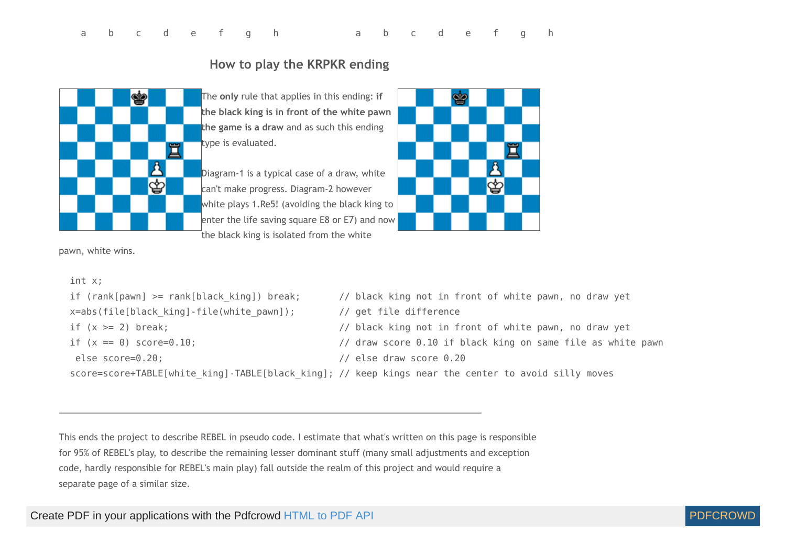# **How to play the KRPKR ending**

The **only** rule that applies in this ending: **if the black king is in front of the white pawn the game is a draw** and as such this ending type is evaluated.

Diagram-1 is a typical case of a draw, white can't make progress. Diagram-2 however white plays 1.Re5! (avoiding the black king to enter the life saving square E8 or E7) and now the black king is isolated from the white



```
pawn, white wins.
```
♔

罝

♔

```
 int x;
if (rank[pawn] >= rank[black king]) break; // black king not in front of white pawn, no draw yet
x=abs(file[black king]-file(white pawn]); // get file difference
if (x \ge 2) break; \frac{1}{2} is the same of \frac{1}{2} black king not in front of white pawn, no draw yet
if (x == 0) score=0.10; \frac{10}{10} if black king on same file as white pawn
 else score=0.20; // else draw score 0.20
score=score+TABLE[white king]-TABLE[black king]; // keep kings near the center to avoid silly moves
```
This ends the project to describe REBEL in pseudo code. I estimate that what's written on this page is responsible for 95% of REBEL's play, to describe the remaining lesser dominant stuff (many small adjustments and exception code, hardly responsible for REBEL's main play) fall outside the realm of this project and would require a separate page of a similar size.